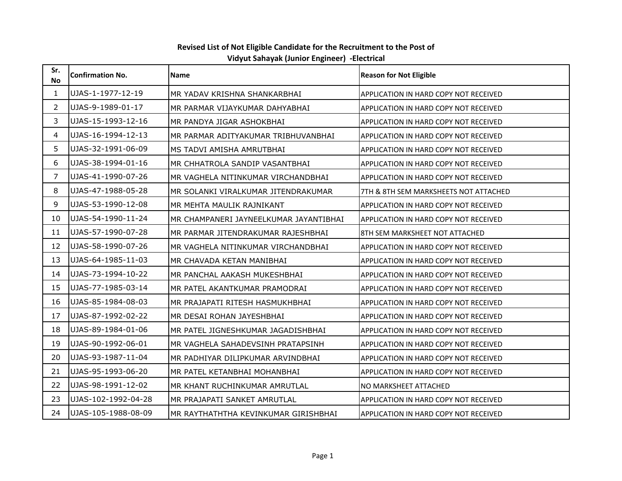| Sr.<br><b>No</b> | <b>Confirmation No.</b> | <b>Name</b>                            | <b>Reason for Not Eligible</b>               |
|------------------|-------------------------|----------------------------------------|----------------------------------------------|
| 1                | UJAS-1-1977-12-19       | MR YADAV KRISHNA SHANKARBHAI           | APPLICATION IN HARD COPY NOT RECEIVED        |
| $\mathbf{2}$     | UJAS-9-1989-01-17       | MR PARMAR VIJAYKUMAR DAHYABHAI         | APPLICATION IN HARD COPY NOT RECEIVED        |
| 3                | UJAS-15-1993-12-16      | MR PANDYA JIGAR ASHOKBHAI              | APPLICATION IN HARD COPY NOT RECEIVED        |
| 4                | UJAS-16-1994-12-13      | MR PARMAR ADITYAKUMAR TRIBHUVANBHAI    | <b>APPLICATION IN HARD COPY NOT RECEIVED</b> |
| 5                | UJAS-32-1991-06-09      | MS TADVI AMISHA AMRUTBHAI              | APPLICATION IN HARD COPY NOT RECEIVED        |
| 6                | UJAS-38-1994-01-16      | MR CHHATROLA SANDIP VASANTBHAI         | APPLICATION IN HARD COPY NOT RECEIVED        |
| 7                | UJAS-41-1990-07-26      | MR VAGHELA NITINKUMAR VIRCHANDBHAI     | APPLICATION IN HARD COPY NOT RECEIVED        |
| 8                | UJAS-47-1988-05-28      | MR SOLANKI VIRALKUMAR JITENDRAKUMAR    | 7TH & 8TH SEM MARKSHEETS NOT ATTACHED        |
| 9                | UJAS-53-1990-12-08      | MR MEHTA MAULIK RAJNIKANT              | APPLICATION IN HARD COPY NOT RECEIVED        |
| 10               | UJAS-54-1990-11-24      | MR CHAMPANERI JAYNEELKUMAR JAYANTIBHAI | <b>APPLICATION IN HARD COPY NOT RECEIVED</b> |
| 11               | UJAS-57-1990-07-28      | MR PARMAR JITENDRAKUMAR RAJESHBHAI     | 8TH SEM MARKSHEET NOT ATTACHED               |
| 12               | UJAS-58-1990-07-26      | MR VAGHELA NITINKUMAR VIRCHANDBHAI     | APPLICATION IN HARD COPY NOT RECEIVED        |
| 13               | UJAS-64-1985-11-03      | MR CHAVADA KETAN MANIBHAI              | APPLICATION IN HARD COPY NOT RECEIVED        |
| 14               | UJAS-73-1994-10-22      | MR PANCHAL AAKASH MUKESHBHAI           | APPLICATION IN HARD COPY NOT RECEIVED        |
| 15               | UJAS-77-1985-03-14      | MR PATEL AKANTKUMAR PRAMODRAI          | <b>APPLICATION IN HARD COPY NOT RECEIVED</b> |
| 16               | UJAS-85-1984-08-03      | MR PRAJAPATI RITESH HASMUKHBHAI        | APPLICATION IN HARD COPY NOT RECEIVED        |
| 17               | UJAS-87-1992-02-22      | MR DESAI ROHAN JAYESHBHAI              | <b>APPLICATION IN HARD COPY NOT RECEIVED</b> |
| 18               | UJAS-89-1984-01-06      | MR PATEL JIGNESHKUMAR JAGADISHBHAI     | <b>APPLICATION IN HARD COPY NOT RECEIVED</b> |
| 19               | UJAS-90-1992-06-01      | MR VAGHELA SAHADEVSINH PRATAPSINH      | <b>APPLICATION IN HARD COPY NOT RECEIVED</b> |
| 20               | UJAS-93-1987-11-04      | MR PADHIYAR DILIPKUMAR ARVINDBHAI      | APPLICATION IN HARD COPY NOT RECEIVED        |
| 21               | UJAS-95-1993-06-20      | MR PATEL KETANBHAI MOHANBHAI           | APPLICATION IN HARD COPY NOT RECEIVED        |
| 22               | UJAS-98-1991-12-02      | MR KHANT RUCHINKUMAR AMRUTLAL          | NO MARKSHEET ATTACHED                        |
| 23               | UJAS-102-1992-04-28     | MR PRAJAPATI SANKET AMRUTLAL           | APPLICATION IN HARD COPY NOT RECEIVED        |
| 24               | UJAS-105-1988-08-09     | MR RAYTHATHTHA KEVINKUMAR GIRISHBHAI   | APPLICATION IN HARD COPY NOT RECEIVED        |

## Revised List of Not Eligible Candidate for the Recruitment to the Post of Vidyut Sahayak (Junior Engineer) -Electrical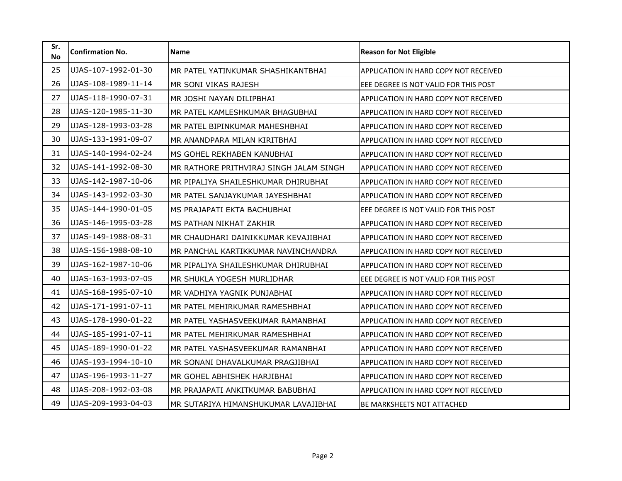| Sr.<br><b>No</b> | <b>Confirmation No.</b> | <b>Name</b>                             | <b>Reason for Not Eligible</b>               |
|------------------|-------------------------|-----------------------------------------|----------------------------------------------|
| 25               | UJAS-107-1992-01-30     | MR PATEL YATINKUMAR SHASHIKANTBHAI      | APPLICATION IN HARD COPY NOT RECEIVED        |
| 26               | UJAS-108-1989-11-14     | MR SONI VIKAS RAJESH                    | EEE DEGREE IS NOT VALID FOR THIS POST        |
| 27               | UJAS-118-1990-07-31     | MR JOSHI NAYAN DILIPBHAI                | APPLICATION IN HARD COPY NOT RECEIVED        |
| 28               | UJAS-120-1985-11-30     | MR PATEL KAMLESHKUMAR BHAGUBHAI         | APPLICATION IN HARD COPY NOT RECEIVED        |
| 29               | UJAS-128-1993-03-28     | MR PATEL BIPINKUMAR MAHESHBHAI          | APPLICATION IN HARD COPY NOT RECEIVED        |
| 30               | UJAS-133-1991-09-07     | MR ANANDPARA MILAN KIRITBHAI            | APPLICATION IN HARD COPY NOT RECEIVED        |
| 31               | UJAS-140-1994-02-24     | MS GOHEL REKHABEN KANUBHAI              | APPLICATION IN HARD COPY NOT RECEIVED        |
| 32               | UJAS-141-1992-08-30     | MR RATHORE PRITHVIRAJ SINGH JALAM SINGH | APPLICATION IN HARD COPY NOT RECEIVED        |
| 33               | UJAS-142-1987-10-06     | MR PIPALIYA SHAILESHKUMAR DHIRUBHAI     | APPLICATION IN HARD COPY NOT RECEIVED        |
| 34               | UJAS-143-1992-03-30     | MR PATEL SANJAYKUMAR JAYESHBHAI         | APPLICATION IN HARD COPY NOT RECEIVED        |
| 35               | UJAS-144-1990-01-05     | MS PRAJAPATI EKTA BACHUBHAI             | EEE DEGREE IS NOT VALID FOR THIS POST        |
| 36               | UJAS-146-1995-03-28     | MS PATHAN NIKHAT ZAKHIR                 | APPLICATION IN HARD COPY NOT RECEIVED        |
| 37               | UJAS-149-1988-08-31     | MR CHAUDHARI DAINIKKUMAR KEVAJIBHAI     | APPLICATION IN HARD COPY NOT RECEIVED        |
| 38               | UJAS-156-1988-08-10     | MR PANCHAL KARTIKKUMAR NAVINCHANDRA     | <b>APPLICATION IN HARD COPY NOT RECEIVED</b> |
| 39               | UJAS-162-1987-10-06     | MR PIPALIYA SHAILESHKUMAR DHIRUBHAI     | APPLICATION IN HARD COPY NOT RECEIVED        |
| 40               | UJAS-163-1993-07-05     | MR SHUKLA YOGESH MURLIDHAR              | EEE DEGREE IS NOT VALID FOR THIS POST        |
| 41               | UJAS-168-1995-07-10     | MR VADHIYA YAGNIK PUNJABHAI             | APPLICATION IN HARD COPY NOT RECEIVED        |
| 42               | UJAS-171-1991-07-11     | MR PATEL MEHIRKUMAR RAMESHBHAI          | APPLICATION IN HARD COPY NOT RECEIVED        |
| 43               | UJAS-178-1990-01-22     | MR PATEL YASHASVEEKUMAR RAMANBHAI       | APPLICATION IN HARD COPY NOT RECEIVED        |
| 44               | UJAS-185-1991-07-11     | MR PATEL MEHIRKUMAR RAMESHBHAI          | APPLICATION IN HARD COPY NOT RECEIVED        |
| 45               | UJAS-189-1990-01-22     | MR PATEL YASHASVEEKUMAR RAMANBHAI       | APPLICATION IN HARD COPY NOT RECEIVED        |
| 46               | UJAS-193-1994-10-10     | MR SONANI DHAVALKUMAR PRAGJIBHAI        | <b>APPLICATION IN HARD COPY NOT RECEIVED</b> |
| 47               | UJAS-196-1993-11-27     | MR GOHEL ABHISHEK HARJIBHAI             | <b>APPLICATION IN HARD COPY NOT RECEIVED</b> |
| 48               | UJAS-208-1992-03-08     | MR PRAJAPATI ANKITKUMAR BABUBHAI        | APPLICATION IN HARD COPY NOT RECEIVED        |
| 49               | UJAS-209-1993-04-03     | MR SUTARIYA HIMANSHUKUMAR LAVAJIBHAI    | BE MARKSHEETS NOT ATTACHED                   |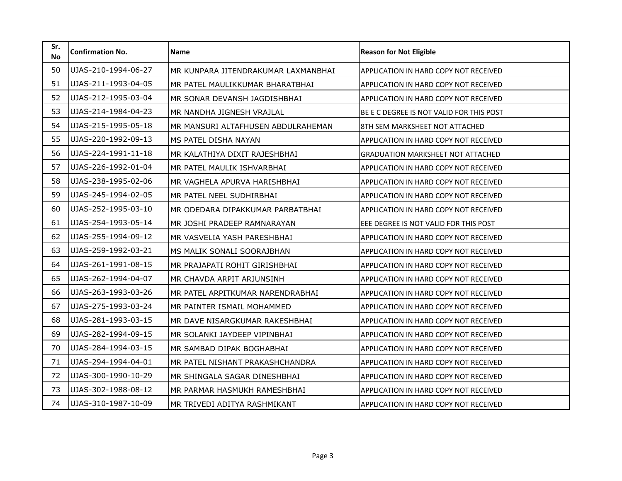| Sr.<br><b>No</b> | <b>Confirmation No.</b> | <b>Name</b>                         | <b>Reason for Not Eligible</b>               |
|------------------|-------------------------|-------------------------------------|----------------------------------------------|
| 50               | UJAS-210-1994-06-27     | MR KUNPARA JITENDRAKUMAR LAXMANBHAI | APPLICATION IN HARD COPY NOT RECEIVED        |
| 51               | UJAS-211-1993-04-05     | MR PATEL MAULIKKUMAR BHARATBHAI     | APPLICATION IN HARD COPY NOT RECEIVED        |
| 52               | UJAS-212-1995-03-04     | MR SONAR DEVANSH JAGDISHBHAI        | APPLICATION IN HARD COPY NOT RECEIVED        |
| 53               | UJAS-214-1984-04-23     | MR NANDHA JIGNESH VRAJLAL           | BE E C DEGREE IS NOT VALID FOR THIS POST     |
| 54               | UJAS-215-1995-05-18     | MR MANSURI ALTAFHUSEN ABDULRAHEMAN  | 8TH SEM MARKSHEET NOT ATTACHED               |
| 55               | UJAS-220-1992-09-13     | MS PATEL DISHA NAYAN                | APPLICATION IN HARD COPY NOT RECEIVED        |
| 56               | UJAS-224-1991-11-18     | MR KALATHIYA DIXIT RAJESHBHAI       | <b>GRADUATION MARKSHEET NOT ATTACHED</b>     |
| 57               | UJAS-226-1992-01-04     | MR PATEL MAULIK ISHVARBHAI          | APPLICATION IN HARD COPY NOT RECEIVED        |
| 58               | UJAS-238-1995-02-06     | MR VAGHELA APURVA HARISHBHAI        | APPLICATION IN HARD COPY NOT RECEIVED        |
| 59               | UJAS-245-1994-02-05     | MR PATEL NEEL SUDHIRBHAI            | APPLICATION IN HARD COPY NOT RECEIVED        |
| 60               | UJAS-252-1995-03-10     | MR ODEDARA DIPAKKUMAR PARBATBHAI    | APPLICATION IN HARD COPY NOT RECEIVED        |
| 61               | UJAS-254-1993-05-14     | MR JOSHI PRADEEP RAMNARAYAN         | EEE DEGREE IS NOT VALID FOR THIS POST        |
| 62               | UJAS-255-1994-09-12     | MR VASVELIA YASH PARESHBHAI         | APPLICATION IN HARD COPY NOT RECEIVED        |
| 63               | UJAS-259-1992-03-21     | MS MALIK SONALI SOORAJBHAN          | APPLICATION IN HARD COPY NOT RECEIVED        |
| 64               | UJAS-261-1991-08-15     | MR PRAJAPATI ROHIT GIRISHBHAI       | APPLICATION IN HARD COPY NOT RECEIVED        |
| 65               | UJAS-262-1994-04-07     | MR CHAVDA ARPIT ARJUNSINH           | APPLICATION IN HARD COPY NOT RECEIVED        |
| 66               | UJAS-263-1993-03-26     | MR PATEL ARPITKUMAR NARENDRABHAI    | APPLICATION IN HARD COPY NOT RECEIVED        |
| 67               | UJAS-275-1993-03-24     | MR PAINTER ISMAIL MOHAMMED          | APPLICATION IN HARD COPY NOT RECEIVED        |
| 68               | UJAS-281-1993-03-15     | MR DAVE NISARGKUMAR RAKESHBHAI      | APPLICATION IN HARD COPY NOT RECEIVED        |
| 69               | UJAS-282-1994-09-15     | MR SOLANKI JAYDEEP VIPINBHAI        | APPLICATION IN HARD COPY NOT RECEIVED        |
| 70               | UJAS-284-1994-03-15     | MR SAMBAD DIPAK BOGHABHAI           | APPLICATION IN HARD COPY NOT RECEIVED        |
| 71               | UJAS-294-1994-04-01     | MR PATEL NISHANT PRAKASHCHANDRA     | APPLICATION IN HARD COPY NOT RECEIVED        |
| 72               | UJAS-300-1990-10-29     | MR SHINGALA SAGAR DINESHBHAI        | <b>APPLICATION IN HARD COPY NOT RECEIVED</b> |
| 73               | UJAS-302-1988-08-12     | MR PARMAR HASMUKH RAMESHBHAI        | APPLICATION IN HARD COPY NOT RECEIVED        |
| 74               | UJAS-310-1987-10-09     | MR TRIVEDI ADITYA RASHMIKANT        | APPLICATION IN HARD COPY NOT RECEIVED        |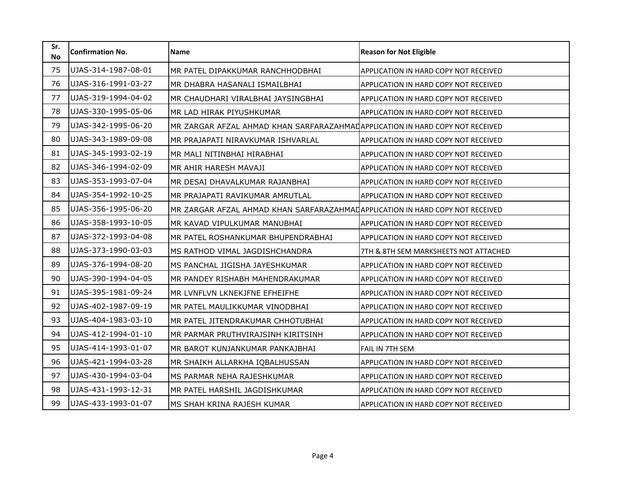| Sr.<br><b>No</b> | <b>Confirmation No.</b> | <b>Name</b>                                                                   | <b>Reason for Not Eligible</b>        |
|------------------|-------------------------|-------------------------------------------------------------------------------|---------------------------------------|
| 75               | UJAS-314-1987-08-01     | MR PATEL DIPAKKUMAR RANCHHODBHAI                                              | APPLICATION IN HARD COPY NOT RECEIVED |
| 76               | UJAS-316-1991-03-27     | MR DHABRA HASANALI ISMAILBHAI                                                 | APPLICATION IN HARD COPY NOT RECEIVED |
| 77               | UJAS-319-1994-04-02     | MR CHAUDHARI VIRALBHAI JAYSINGBHAI                                            | APPLICATION IN HARD COPY NOT RECEIVED |
| 78               | UJAS-330-1995-05-06     | MR LAD HIRAK PIYUSHKUMAR                                                      | APPLICATION IN HARD COPY NOT RECEIVED |
| 79               | UJAS-342-1995-06-20     | MR ZARGAR AFZAL AHMAD KHAN SARFARAZAHMADAPPLICATION IN HARD COPY NOT RECEIVED |                                       |
| 80               | UJAS-343-1989-09-08     | MR PRAJAPATI NIRAVKUMAR ISHVARLAL                                             | APPLICATION IN HARD COPY NOT RECEIVED |
| 81               | UJAS-345-1993-02-19     | MR MALI NITINBHAI HIRABHAI                                                    | APPLICATION IN HARD COPY NOT RECEIVED |
| 82               | UJAS-346-1994-02-09     | MR AHIR HARESH MAVAJI                                                         | APPLICATION IN HARD COPY NOT RECEIVED |
| 83               | UJAS-353-1993-07-04     | MR DESAI DHAVALKUMAR RAJANBHAI                                                | APPLICATION IN HARD COPY NOT RECEIVED |
| 84               | UJAS-354-1992-10-25     | MR PRAJAPATI RAVIKUMAR AMRUTLAL                                               | APPLICATION IN HARD COPY NOT RECEIVED |
| 85               | UJAS-356-1995-06-20     | MR ZARGAR AFZAL AHMAD KHAN SARFARAZAHMADAPPLICATION IN HARD COPY NOT RECEIVED |                                       |
| 86               | UJAS-358-1993-10-05     | MR KAVAD VIPULKUMAR MANUBHAI                                                  | APPLICATION IN HARD COPY NOT RECEIVED |
| 87               | UJAS-372-1993-04-08     | MR PATEL ROSHANKUMAR BHUPENDRABHAI                                            | APPLICATION IN HARD COPY NOT RECEIVED |
| 88               | UJAS-373-1990-03-03     | MS RATHOD VIMAL JAGDISHCHANDRA                                                | 7TH & 8TH SEM MARKSHEETS NOT ATTACHED |
| 89               | UJAS-376-1994-08-20     | MS PANCHAL JIGISHA JAYESHKUMAR                                                | APPLICATION IN HARD COPY NOT RECEIVED |
| 90               | UJAS-390-1994-04-05     | MR PANDEY RISHABH MAHENDRAKUMAR                                               | APPLICATION IN HARD COPY NOT RECEIVED |
| 91               | UJAS-395-1981-09-24     | MR LVNFLVN LKNEKJFNE EFHEIFHE                                                 | APPLICATION IN HARD COPY NOT RECEIVED |
| 92               | UJAS-402-1987-09-19     | MR PATEL MAULIKKUMAR VINODBHAI                                                | APPLICATION IN HARD COPY NOT RECEIVED |
| 93               | UJAS-404-1983-03-10     | MR PATEL JITENDRAKUMAR CHHOTUBHAI                                             | APPLICATION IN HARD COPY NOT RECEIVED |
| 94               | UJAS-412-1994-01-10     | MR PARMAR PRUTHVIRAJSINH KIRITSINH                                            | APPLICATION IN HARD COPY NOT RECEIVED |
| 95               | UJAS-414-1993-01-07     | MR BAROT KUNJANKUMAR PANKAJBHAI                                               | <b>FAIL IN 7TH SEM</b>                |
| 96               | UJAS-421-1994-03-28     | MR SHAIKH ALLARKHA IQBALHUSSAN                                                | APPLICATION IN HARD COPY NOT RECEIVED |
| 97               | UJAS-430-1994-03-04     | MS PARMAR NEHA RAJESHKUMAR                                                    | APPLICATION IN HARD COPY NOT RECEIVED |
| 98               | UJAS-431-1993-12-31     | MR PATEL HARSHIL JAGDISHKUMAR                                                 | APPLICATION IN HARD COPY NOT RECEIVED |
| 99               | UJAS-433-1993-01-07     | MS SHAH KRINA RAJESH KUMAR                                                    | APPLICATION IN HARD COPY NOT RECEIVED |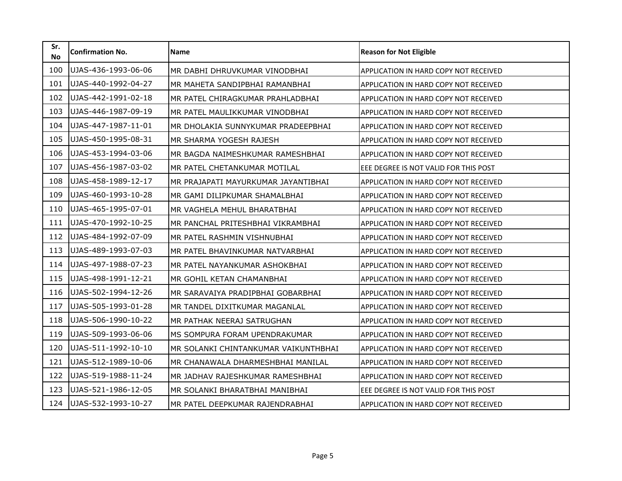| Sr.<br><b>No</b> | <b>Confirmation No.</b> | <b>Name</b>                          | <b>Reason for Not Eligible</b>               |
|------------------|-------------------------|--------------------------------------|----------------------------------------------|
| 100              | UJAS-436-1993-06-06     | MR DABHI DHRUVKUMAR VINODBHAI        | APPLICATION IN HARD COPY NOT RECEIVED        |
| 101              | UJAS-440-1992-04-27     | MR MAHETA SANDIPBHAI RAMANBHAI       | APPLICATION IN HARD COPY NOT RECEIVED        |
| 102              | UJAS-442-1991-02-18     | MR PATEL CHIRAGKUMAR PRAHLADBHAI     | APPLICATION IN HARD COPY NOT RECEIVED        |
| 103              | UJAS-446-1987-09-19     | MR PATEL MAULIKKUMAR VINODBHAI       | <b>APPLICATION IN HARD COPY NOT RECEIVED</b> |
| 104              | UJAS-447-1987-11-01     | MR DHOLAKIA SUNNYKUMAR PRADEEPBHAI   | APPLICATION IN HARD COPY NOT RECEIVED        |
| 105              | UJAS-450-1995-08-31     | MR SHARMA YOGESH RAJESH              | APPLICATION IN HARD COPY NOT RECEIVED        |
| 106              | UJAS-453-1994-03-06     | MR BAGDA NAIMESHKUMAR RAMESHBHAI     | APPLICATION IN HARD COPY NOT RECEIVED        |
| 107              | UJAS-456-1987-03-02     | MR PATEL CHETANKUMAR MOTILAL         | EEE DEGREE IS NOT VALID FOR THIS POST        |
| 108              | UJAS-458-1989-12-17     | MR PRAJAPATI MAYURKUMAR JAYANTIBHAI  | APPLICATION IN HARD COPY NOT RECEIVED        |
| 109              | UJAS-460-1993-10-28     | MR GAMI DILIPKUMAR SHAMALBHAI        | APPLICATION IN HARD COPY NOT RECEIVED        |
| 110              | UJAS-465-1995-07-01     | MR VAGHELA MEHUL BHARATBHAI          | APPLICATION IN HARD COPY NOT RECEIVED        |
| 111              | UJAS-470-1992-10-25     | MR PANCHAL PRITESHBHAI VIKRAMBHAI    | APPLICATION IN HARD COPY NOT RECEIVED        |
| 112              | UJAS-484-1992-07-09     | MR PATEL RASHMIN VISHNUBHAI          | <b>APPLICATION IN HARD COPY NOT RECEIVED</b> |
| 113              | UJAS-489-1993-07-03     | MR PATEL BHAVINKUMAR NATVARBHAI      | APPLICATION IN HARD COPY NOT RECEIVED        |
| 114              | UJAS-497-1988-07-23     | MR PATEL NAYANKUMAR ASHOKBHAI        | APPLICATION IN HARD COPY NOT RECEIVED        |
| 115              | UJAS-498-1991-12-21     | MR GOHIL KETAN CHAMANBHAI            | APPLICATION IN HARD COPY NOT RECEIVED        |
| 116              | UJAS-502-1994-12-26     | MR SARAVAIYA PRADIPBHAI GOBARBHAI    | APPLICATION IN HARD COPY NOT RECEIVED        |
| 117              | UJAS-505-1993-01-28     | MR TANDEL DIXITKUMAR MAGANLAL        | APPLICATION IN HARD COPY NOT RECEIVED        |
| 118              | UJAS-506-1990-10-22     | MR PATHAK NEERAJ SATRUGHAN           | APPLICATION IN HARD COPY NOT RECEIVED        |
| 119              | UJAS-509-1993-06-06     | MS SOMPURA FORAM UPENDRAKUMAR        | APPLICATION IN HARD COPY NOT RECEIVED        |
| 120              | UJAS-511-1992-10-10     | MR SOLANKI CHINTANKUMAR VAIKUNTHBHAI | APPLICATION IN HARD COPY NOT RECEIVED        |
| 121              | UJAS-512-1989-10-06     | MR CHANAWALA DHARMESHBHAI MANILAL    | <b>APPLICATION IN HARD COPY NOT RECEIVED</b> |
| 122              | UJAS-519-1988-11-24     | MR JADHAV RAJESHKUMAR RAMESHBHAI     | <b>APPLICATION IN HARD COPY NOT RECEIVED</b> |
| 123              | UJAS-521-1986-12-05     | MR SOLANKI BHARATBHAI MANIBHAI       | EEE DEGREE IS NOT VALID FOR THIS POST        |
| 124              | UJAS-532-1993-10-27     | MR PATEL DEEPKUMAR RAJENDRABHAI      | APPLICATION IN HARD COPY NOT RECEIVED        |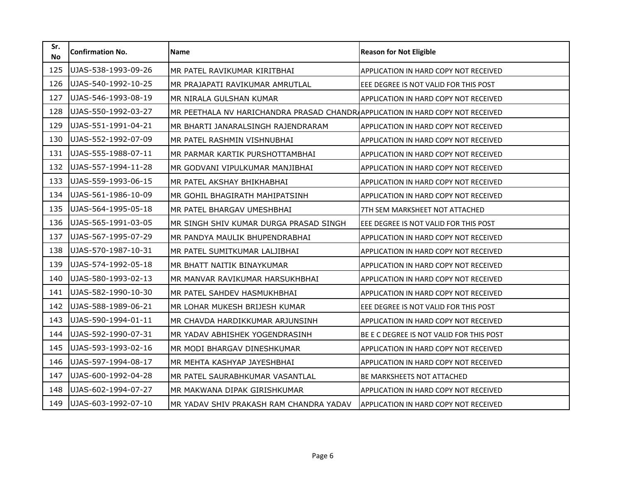| Sr.<br><b>No</b> | <b>Confirmation No.</b> | <b>Name</b>                                                                   | <b>Reason for Not Eligible</b>               |
|------------------|-------------------------|-------------------------------------------------------------------------------|----------------------------------------------|
| 125              | UJAS-538-1993-09-26     | MR PATEL RAVIKUMAR KIRITBHAI                                                  | APPLICATION IN HARD COPY NOT RECEIVED        |
| 126              | UJAS-540-1992-10-25     | MR PRAJAPATI RAVIKUMAR AMRUTLAL                                               | EEE DEGREE IS NOT VALID FOR THIS POST        |
| 127              | UJAS-546-1993-08-19     | MR NIRALA GULSHAN KUMAR                                                       | APPLICATION IN HARD COPY NOT RECEIVED        |
| 128              | UJAS-550-1992-03-27     | MR PEETHALA NV HARICHANDRA PRASAD CHANDRAPPLICATION IN HARD COPY NOT RECEIVED |                                              |
| 129              | UJAS-551-1991-04-21     | MR BHARTI JANARALSINGH RAJENDRARAM                                            | APPLICATION IN HARD COPY NOT RECEIVED        |
| 130              | UJAS-552-1992-07-09     | MR PATEL RASHMIN VISHNUBHAI                                                   | APPLICATION IN HARD COPY NOT RECEIVED        |
| 131              | UJAS-555-1988-07-11     | MR PARMAR KARTIK PURSHOTTAMBHAI                                               | APPLICATION IN HARD COPY NOT RECEIVED        |
| 132              | UJAS-557-1994-11-28     | MR GODVANI VIPULKUMAR MANJIBHAI                                               | APPLICATION IN HARD COPY NOT RECEIVED        |
| 133              | UJAS-559-1993-06-15     | MR PATEL AKSHAY BHIKHABHAI                                                    | APPLICATION IN HARD COPY NOT RECEIVED        |
| 134              | UJAS-561-1986-10-09     | MR GOHIL BHAGIRATH MAHIPATSINH                                                | APPLICATION IN HARD COPY NOT RECEIVED        |
| 135              | UJAS-564-1995-05-18     | MR PATEL BHARGAV UMESHBHAI                                                    | 7TH SEM MARKSHEET NOT ATTACHED               |
| 136              | UJAS-565-1991-03-05     | MR SINGH SHIV KUMAR DURGA PRASAD SINGH                                        | EEE DEGREE IS NOT VALID FOR THIS POST        |
| 137              | UJAS-567-1995-07-29     | MR PANDYA MAULIK BHUPENDRABHAI                                                | APPLICATION IN HARD COPY NOT RECEIVED        |
| 138              | UJAS-570-1987-10-31     | MR PATEL SUMITKUMAR LALJIBHAI                                                 | APPLICATION IN HARD COPY NOT RECEIVED        |
| 139              | UJAS-574-1992-05-18     | MR BHATT NAITIK BINAYKUMAR                                                    | APPLICATION IN HARD COPY NOT RECEIVED        |
| 140              | UJAS-580-1993-02-13     | MR MANVAR RAVIKUMAR HARSUKHBHAI                                               | APPLICATION IN HARD COPY NOT RECEIVED        |
| 141              | UJAS-582-1990-10-30     | MR PATEL SAHDEV HASMUKHBHAI                                                   | APPLICATION IN HARD COPY NOT RECEIVED        |
| 142              | UJAS-588-1989-06-21     | MR LOHAR MUKESH BRIJESH KUMAR                                                 | EEE DEGREE IS NOT VALID FOR THIS POST        |
| 143              | UJAS-590-1994-01-11     | MR CHAVDA HARDIKKUMAR ARJUNSINH                                               | APPLICATION IN HARD COPY NOT RECEIVED        |
| 144              | UJAS-592-1990-07-31     | MR YADAV ABHISHEK YOGENDRASINH                                                | BE E C DEGREE IS NOT VALID FOR THIS POST     |
| 145              | UJAS-593-1993-02-16     | MR MODI BHARGAV DINESHKUMAR                                                   | APPLICATION IN HARD COPY NOT RECEIVED        |
| 146              | UJAS-597-1994-08-17     | MR MEHTA KASHYAP JAYESHBHAI                                                   | APPLICATION IN HARD COPY NOT RECEIVED        |
| 147              | UJAS-600-1992-04-28     | MR PATEL SAURABHKUMAR VASANTLAL                                               | <b>BE MARKSHEETS NOT ATTACHED</b>            |
| 148              | UJAS-602-1994-07-27     | MR MAKWANA DIPAK GIRISHKUMAR                                                  | APPLICATION IN HARD COPY NOT RECEIVED        |
| 149              | UJAS-603-1992-07-10     | MR YADAV SHIV PRAKASH RAM CHANDRA YADAV                                       | <b>APPLICATION IN HARD COPY NOT RECEIVED</b> |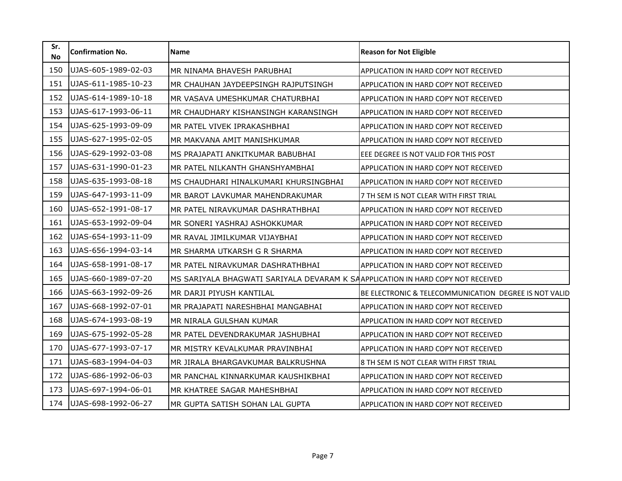| Sr.<br><b>No</b> | <b>Confirmation No.</b> | <b>Name</b>                                                                     | <b>Reason for Not Eligible</b>                        |
|------------------|-------------------------|---------------------------------------------------------------------------------|-------------------------------------------------------|
| 150              | UJAS-605-1989-02-03     | MR NINAMA BHAVESH PARUBHAI                                                      | APPLICATION IN HARD COPY NOT RECEIVED                 |
| 151              | UJAS-611-1985-10-23     | MR CHAUHAN JAYDEEPSINGH RAJPUTSINGH                                             | APPLICATION IN HARD COPY NOT RECEIVED                 |
| 152              | UJAS-614-1989-10-18     | MR VASAVA UMESHKUMAR CHATURBHAI                                                 | APPLICATION IN HARD COPY NOT RECEIVED                 |
| 153              | UJAS-617-1993-06-11     | MR CHAUDHARY KISHANSINGH KARANSINGH                                             | <b>APPLICATION IN HARD COPY NOT RECEIVED</b>          |
| 154              | UJAS-625-1993-09-09     | MR PATEL VIVEK IPRAKASHBHAI                                                     | APPLICATION IN HARD COPY NOT RECEIVED                 |
| 155              | UJAS-627-1995-02-05     | MR MAKVANA AMIT MANISHKUMAR                                                     | APPLICATION IN HARD COPY NOT RECEIVED                 |
| 156              | UJAS-629-1992-03-08     | MS PRAJAPATI ANKITKUMAR BABUBHAI                                                | EEE DEGREE IS NOT VALID FOR THIS POST                 |
| 157              | UJAS-631-1990-01-23     | MR PATEL NILKANTH GHANSHYAMBHAI                                                 | APPLICATION IN HARD COPY NOT RECEIVED                 |
| 158              | UJAS-635-1993-08-18     | MS CHAUDHARI HINALKUMARI KHURSINGBHAI                                           | <b>APPLICATION IN HARD COPY NOT RECEIVED</b>          |
| 159              | UJAS-647-1993-11-09     | MR BAROT LAVKUMAR MAHENDRAKUMAR                                                 | 7 TH SEM IS NOT CLEAR WITH FIRST TRIAL                |
| 160              | UJAS-652-1991-08-17     | MR PATEL NIRAVKUMAR DASHRATHBHAI                                                | APPLICATION IN HARD COPY NOT RECEIVED                 |
| 161              | UJAS-653-1992-09-04     | MR SONERI YASHRAJ ASHOKKUMAR                                                    | APPLICATION IN HARD COPY NOT RECEIVED                 |
| 162              | UJAS-654-1993-11-09     | MR RAVAL JIMILKUMAR VIJAYBHAI                                                   | APPLICATION IN HARD COPY NOT RECEIVED                 |
| 163              | UJAS-656-1994-03-14     | MR SHARMA UTKARSH G R SHARMA                                                    | APPLICATION IN HARD COPY NOT RECEIVED                 |
| 164              | UJAS-658-1991-08-17     | MR PATEL NIRAVKUMAR DASHRATHBHAI                                                | APPLICATION IN HARD COPY NOT RECEIVED                 |
| 165              | UJAS-660-1989-07-20     | MS SARIYALA BHAGWATI SARIYALA DEVARAM K SAAPPLICATION IN HARD COPY NOT RECEIVED |                                                       |
| 166              | UJAS-663-1992-09-26     | MR DARJI PIYUSH KANTILAL                                                        | BE ELECTRONIC & TELECOMMUNICATION DEGREE IS NOT VALID |
| 167              | UJAS-668-1992-07-01     | MR PRAJAPATI NARESHBHAI MANGABHAI                                               | <b>APPLICATION IN HARD COPY NOT RECEIVED</b>          |
| 168              | UJAS-674-1993-08-19     | MR NIRALA GULSHAN KUMAR                                                         | APPLICATION IN HARD COPY NOT RECEIVED                 |
| 169              | UJAS-675-1992-05-28     | MR PATEL DEVENDRAKUMAR JASHUBHAI                                                | APPLICATION IN HARD COPY NOT RECEIVED                 |
| 170              | UJAS-677-1993-07-17     | MR MISTRY KEVALKUMAR PRAVINBHAI                                                 | APPLICATION IN HARD COPY NOT RECEIVED                 |
| 171              | UJAS-683-1994-04-03     | MR JIRALA BHARGAVKUMAR BALKRUSHNA                                               | 8 TH SEM IS NOT CLEAR WITH FIRST TRIAL                |
| 172              | UJAS-686-1992-06-03     | MR PANCHAL KINNARKUMAR KAUSHIKBHAI                                              | APPLICATION IN HARD COPY NOT RECEIVED                 |
| 173              | UJAS-697-1994-06-01     | MR KHATREE SAGAR MAHESHBHAI                                                     | APPLICATION IN HARD COPY NOT RECEIVED                 |
| 174              | UJAS-698-1992-06-27     | MR GUPTA SATISH SOHAN LAL GUPTA                                                 | APPLICATION IN HARD COPY NOT RECEIVED                 |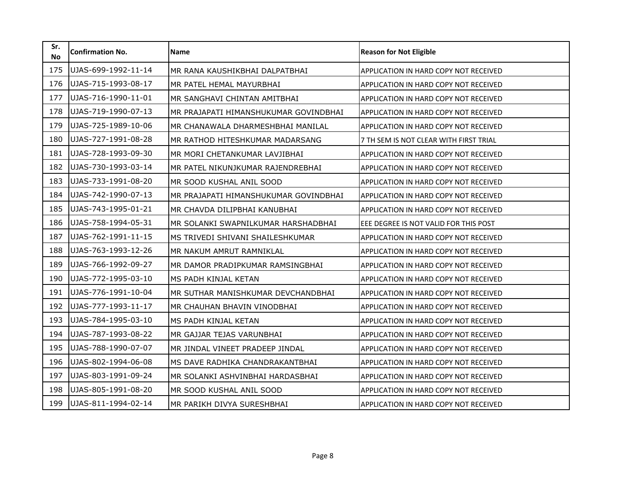| Sr.<br><b>No</b> | <b>Confirmation No.</b> | Name                                  | <b>Reason for Not Eligible</b>               |
|------------------|-------------------------|---------------------------------------|----------------------------------------------|
| 175              | UJAS-699-1992-11-14     | MR RANA KAUSHIKBHAI DALPATBHAI        | APPLICATION IN HARD COPY NOT RECEIVED        |
| 176              | UJAS-715-1993-08-17     | MR PATEL HEMAL MAYURBHAI              | APPLICATION IN HARD COPY NOT RECEIVED        |
| 177              | UJAS-716-1990-11-01     | MR SANGHAVI CHINTAN AMITBHAI          | APPLICATION IN HARD COPY NOT RECEIVED        |
| 178              | UJAS-719-1990-07-13     | MR PRAJAPATI HIMANSHUKUMAR GOVINDBHAI | APPLICATION IN HARD COPY NOT RECEIVED        |
| 179              | UJAS-725-1989-10-06     | MR CHANAWALA DHARMESHBHAI MANILAL     | APPLICATION IN HARD COPY NOT RECEIVED        |
| 180              | UJAS-727-1991-08-28     | MR RATHOD HITESHKUMAR MADARSANG       | 7 TH SEM IS NOT CLEAR WITH FIRST TRIAL       |
| 181              | UJAS-728-1993-09-30     | MR MORI CHETANKUMAR LAVJIBHAI         | APPLICATION IN HARD COPY NOT RECEIVED        |
| 182              | UJAS-730-1993-03-14     | MR PATEL NIKUNJKUMAR RAJENDREBHAI     | APPLICATION IN HARD COPY NOT RECEIVED        |
| 183              | UJAS-733-1991-08-20     | MR SOOD KUSHAL ANIL SOOD              | <b>APPLICATION IN HARD COPY NOT RECEIVED</b> |
| 184              | UJAS-742-1990-07-13     | MR PRAJAPATI HIMANSHUKUMAR GOVINDBHAI | APPLICATION IN HARD COPY NOT RECEIVED        |
| 185              | UJAS-743-1995-01-21     | MR CHAVDA DILIPBHAI KANUBHAI          | APPLICATION IN HARD COPY NOT RECEIVED        |
| 186              | UJAS-758-1994-05-31     | MR SOLANKI SWAPNILKUMAR HARSHADBHAI   | EEE DEGREE IS NOT VALID FOR THIS POST        |
| 187              | UJAS-762-1991-11-15     | MS TRIVEDI SHIVANI SHAILESHKUMAR      | APPLICATION IN HARD COPY NOT RECEIVED        |
| 188              | UJAS-763-1993-12-26     | MR NAKUM AMRUT RAMNIKLAL              | APPLICATION IN HARD COPY NOT RECEIVED        |
| 189              | UJAS-766-1992-09-27     | MR DAMOR PRADIPKUMAR RAMSINGBHAI      | APPLICATION IN HARD COPY NOT RECEIVED        |
| 190              | UJAS-772-1995-03-10     | MS PADH KINJAL KETAN                  | APPLICATION IN HARD COPY NOT RECEIVED        |
| 191              | UJAS-776-1991-10-04     | MR SUTHAR MANISHKUMAR DEVCHANDBHAI    | APPLICATION IN HARD COPY NOT RECEIVED        |
| 192              | UJAS-777-1993-11-17     | MR CHAUHAN BHAVIN VINODBHAI           | APPLICATION IN HARD COPY NOT RECEIVED        |
| 193              | UJAS-784-1995-03-10     | MS PADH KINJAL KETAN                  | APPLICATION IN HARD COPY NOT RECEIVED        |
| 194              | UJAS-787-1993-08-22     | MR GAJJAR TEJAS VARUNBHAI             | APPLICATION IN HARD COPY NOT RECEIVED        |
| 195              | UJAS-788-1990-07-07     | MR JINDAL VINEET PRADEEP JINDAL       | APPLICATION IN HARD COPY NOT RECEIVED        |
| 196              | UJAS-802-1994-06-08     | MS DAVE RADHIKA CHANDRAKANTBHAI       | APPLICATION IN HARD COPY NOT RECEIVED        |
| 197              | UJAS-803-1991-09-24     | MR SOLANKI ASHVINBHAI HARDASBHAI      | <b>APPLICATION IN HARD COPY NOT RECEIVED</b> |
| 198              | UJAS-805-1991-08-20     | MR SOOD KUSHAL ANIL SOOD              | APPLICATION IN HARD COPY NOT RECEIVED        |
| 199              | UJAS-811-1994-02-14     | MR PARIKH DIVYA SURESHBHAI            | APPLICATION IN HARD COPY NOT RECEIVED        |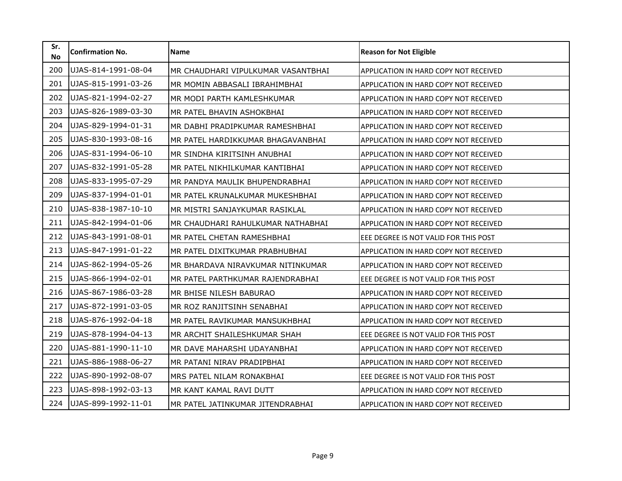| Sr.<br><b>No</b> | <b>Confirmation No.</b> | Name                               | <b>Reason for Not Eligible</b>        |
|------------------|-------------------------|------------------------------------|---------------------------------------|
| 200              | UJAS-814-1991-08-04     | MR CHAUDHARI VIPULKUMAR VASANTBHAI | APPLICATION IN HARD COPY NOT RECEIVED |
| 201              | UJAS-815-1991-03-26     | MR MOMIN ABBASALI IBRAHIMBHAI      | APPLICATION IN HARD COPY NOT RECEIVED |
| 202              | UJAS-821-1994-02-27     | MR MODI PARTH KAMLESHKUMAR         | APPLICATION IN HARD COPY NOT RECEIVED |
| 203              | UJAS-826-1989-03-30     | MR PATEL BHAVIN ASHOKBHAI          | APPLICATION IN HARD COPY NOT RECEIVED |
| 204              | UJAS-829-1994-01-31     | MR DABHI PRADIPKUMAR RAMESHBHAI    | APPLICATION IN HARD COPY NOT RECEIVED |
| 205              | UJAS-830-1993-08-16     | MR PATEL HARDIKKUMAR BHAGAVANBHAI  | APPLICATION IN HARD COPY NOT RECEIVED |
| 206              | UJAS-831-1994-06-10     | MR SINDHA KIRITSINH ANUBHAI        | APPLICATION IN HARD COPY NOT RECEIVED |
| 207              | UJAS-832-1991-05-28     | MR PATEL NIKHILKUMAR KANTIBHAI     | APPLICATION IN HARD COPY NOT RECEIVED |
| 208              | UJAS-833-1995-07-29     | MR PANDYA MAULIK BHUPENDRABHAI     | APPLICATION IN HARD COPY NOT RECEIVED |
| 209              | UJAS-837-1994-01-01     | MR PATEL KRUNALKUMAR MUKESHBHAI    | APPLICATION IN HARD COPY NOT RECEIVED |
| 210              | UJAS-838-1987-10-10     | MR MISTRI SANJAYKUMAR RASIKLAL     | APPLICATION IN HARD COPY NOT RECEIVED |
| 211              | UJAS-842-1994-01-06     | MR CHAUDHARI RAHULKUMAR NATHABHAI  | APPLICATION IN HARD COPY NOT RECEIVED |
| 212              | UJAS-843-1991-08-01     | MR PATEL CHETAN RAMESHBHAI         | EEE DEGREE IS NOT VALID FOR THIS POST |
| 213              | UJAS-847-1991-01-22     | MR PATEL DIXITKUMAR PRABHUBHAI     | APPLICATION IN HARD COPY NOT RECEIVED |
| 214              | UJAS-862-1994-05-26     | MR BHARDAVA NIRAVKUMAR NITINKUMAR  | APPLICATION IN HARD COPY NOT RECEIVED |
| 215              | UJAS-866-1994-02-01     | MR PATEL PARTHKUMAR RAJENDRABHAI   | EEE DEGREE IS NOT VALID FOR THIS POST |
| 216              | UJAS-867-1986-03-28     | MR BHISE NILESH BABURAO            | APPLICATION IN HARD COPY NOT RECEIVED |
| 217              | UJAS-872-1991-03-05     | MR ROZ RANJITSINH SENABHAI         | APPLICATION IN HARD COPY NOT RECEIVED |
| 218              | UJAS-876-1992-04-18     | MR PATEL RAVIKUMAR MANSUKHBHAI     | APPLICATION IN HARD COPY NOT RECEIVED |
| 219              | UJAS-878-1994-04-13     | MR ARCHIT SHAILESHKUMAR SHAH       | EEE DEGREE IS NOT VALID FOR THIS POST |
| 220              | UJAS-881-1990-11-10     | MR DAVE MAHARSHI UDAYANBHAI        | APPLICATION IN HARD COPY NOT RECEIVED |
| 221              | UJAS-886-1988-06-27     | MR PATANI NIRAV PRADIPBHAI         | APPLICATION IN HARD COPY NOT RECEIVED |
| 222              | UJAS-890-1992-08-07     | MRS PATEL NILAM RONAKBHAI          | EEE DEGREE IS NOT VALID FOR THIS POST |
| 223              | UJAS-898-1992-03-13     | MR KANT KAMAL RAVI DUTT            | APPLICATION IN HARD COPY NOT RECEIVED |
| 224              | UJAS-899-1992-11-01     | MR PATEL JATINKUMAR JITENDRABHAI   | APPLICATION IN HARD COPY NOT RECEIVED |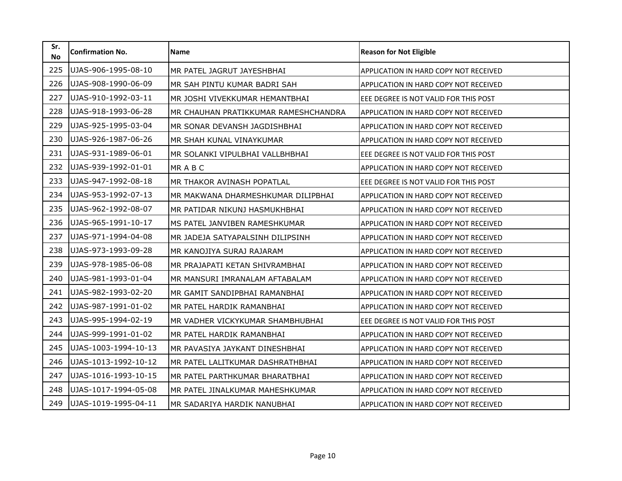| Sr.<br><b>No</b> | <b>Confirmation No.</b> | <b>Name</b>                          | <b>Reason for Not Eligible</b>               |
|------------------|-------------------------|--------------------------------------|----------------------------------------------|
| 225              | UJAS-906-1995-08-10     | MR PATEL JAGRUT JAYESHBHAI           | APPLICATION IN HARD COPY NOT RECEIVED        |
| 226              | UJAS-908-1990-06-09     | MR SAH PINTU KUMAR BADRI SAH         | APPLICATION IN HARD COPY NOT RECEIVED        |
| 227              | UJAS-910-1992-03-11     | MR JOSHI VIVEKKUMAR HEMANTBHAI       | EEE DEGREE IS NOT VALID FOR THIS POST        |
| 228              | UJAS-918-1993-06-28     | MR CHAUHAN PRATIKKUMAR RAMESHCHANDRA | <b>APPLICATION IN HARD COPY NOT RECEIVED</b> |
| 229              | UJAS-925-1995-03-04     | MR SONAR DEVANSH JAGDISHBHAI         | APPLICATION IN HARD COPY NOT RECEIVED        |
| 230              | UJAS-926-1987-06-26     | MR SHAH KUNAL VINAYKUMAR             | APPLICATION IN HARD COPY NOT RECEIVED        |
| 231              | UJAS-931-1989-06-01     | MR SOLANKI VIPULBHAI VALLBHBHAI      | EEE DEGREE IS NOT VALID FOR THIS POST        |
| 232              | UJAS-939-1992-01-01     | MRABC                                | APPLICATION IN HARD COPY NOT RECEIVED        |
| 233              | UJAS-947-1992-08-18     | MR THAKOR AVINASH POPATLAL           | EEE DEGREE IS NOT VALID FOR THIS POST        |
| 234              | UJAS-953-1992-07-13     | MR MAKWANA DHARMESHKUMAR DILIPBHAI   | APPLICATION IN HARD COPY NOT RECEIVED        |
| 235              | UJAS-962-1992-08-07     | MR PATIDAR NIKUNJ HASMUKHBHAI        | APPLICATION IN HARD COPY NOT RECEIVED        |
| 236              | UJAS-965-1991-10-17     | MS PATEL JANVIBEN RAMESHKUMAR        | APPLICATION IN HARD COPY NOT RECEIVED        |
| 237              | UJAS-971-1994-04-08     | MR JADEJA SATYAPALSINH DILIPSINH     | APPLICATION IN HARD COPY NOT RECEIVED        |
| 238              | UJAS-973-1993-09-28     | MR KANOJIYA SURAJ RAJARAM            | APPLICATION IN HARD COPY NOT RECEIVED        |
| 239              | UJAS-978-1985-06-08     | MR PRAJAPATI KETAN SHIVRAMBHAI       | APPLICATION IN HARD COPY NOT RECEIVED        |
| 240              | UJAS-981-1993-01-04     | MR MANSURI IMRANALAM AFTABALAM       | APPLICATION IN HARD COPY NOT RECEIVED        |
| 241              | UJAS-982-1993-02-20     | MR GAMIT SANDIPBHAI RAMANBHAI        | APPLICATION IN HARD COPY NOT RECEIVED        |
| 242              | UJAS-987-1991-01-02     | MR PATEL HARDIK RAMANBHAI            | APPLICATION IN HARD COPY NOT RECEIVED        |
| 243              | UJAS-995-1994-02-19     | MR VADHER VICKYKUMAR SHAMBHUBHAI     | EEE DEGREE IS NOT VALID FOR THIS POST        |
| 244              | UJAS-999-1991-01-02     | MR PATEL HARDIK RAMANBHAI            | APPLICATION IN HARD COPY NOT RECEIVED        |
| 245              | UJAS-1003-1994-10-13    | MR PAVASIYA JAYKANT DINESHBHAI       | APPLICATION IN HARD COPY NOT RECEIVED        |
| 246              | UJAS-1013-1992-10-12    | MR PATEL LALITKUMAR DASHRATHBHAI     | APPLICATION IN HARD COPY NOT RECEIVED        |
| 247              | UJAS-1016-1993-10-15    | MR PATEL PARTHKUMAR BHARATBHAI       | <b>APPLICATION IN HARD COPY NOT RECEIVED</b> |
| 248              | UJAS-1017-1994-05-08    | MR PATEL JINALKUMAR MAHESHKUMAR      | APPLICATION IN HARD COPY NOT RECEIVED        |
| 249              | UJAS-1019-1995-04-11    | MR SADARIYA HARDIK NANUBHAI          | APPLICATION IN HARD COPY NOT RECEIVED        |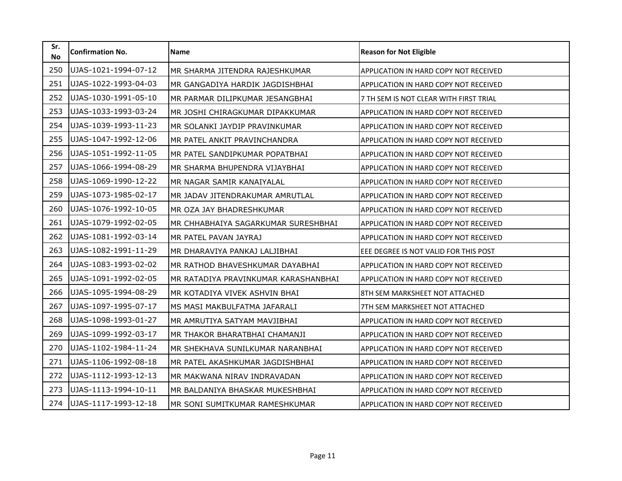| Sr.<br><b>No</b> | <b>Confirmation No.</b> | <b>Name</b>                          | <b>Reason for Not Eligible</b>               |
|------------------|-------------------------|--------------------------------------|----------------------------------------------|
| 250              | UJAS-1021-1994-07-12    | MR SHARMA JITENDRA RAJESHKUMAR       | APPLICATION IN HARD COPY NOT RECEIVED        |
| 251              | UJAS-1022-1993-04-03    | MR GANGADIYA HARDIK JAGDISHBHAI      | APPLICATION IN HARD COPY NOT RECEIVED        |
| 252              | UJAS-1030-1991-05-10    | MR PARMAR DILIPKUMAR JESANGBHAI      | 7 TH SEM IS NOT CLEAR WITH FIRST TRIAL       |
| 253              | UJAS-1033-1993-03-24    | MR JOSHI CHIRAGKUMAR DIPAKKUMAR      | APPLICATION IN HARD COPY NOT RECEIVED        |
| 254              | UJAS-1039-1993-11-23    | MR SOLANKI JAYDIP PRAVINKUMAR        | APPLICATION IN HARD COPY NOT RECEIVED        |
| 255              | UJAS-1047-1992-12-06    | MR PATEL ANKIT PRAVINCHANDRA         | APPLICATION IN HARD COPY NOT RECEIVED        |
| 256              | UJAS-1051-1992-11-05    | MR PATEL SANDIPKUMAR POPATBHAI       | APPLICATION IN HARD COPY NOT RECEIVED        |
| 257              | UJAS-1066-1994-08-29    | MR SHARMA BHUPENDRA VIJAYBHAI        | APPLICATION IN HARD COPY NOT RECEIVED        |
| 258              | UJAS-1069-1990-12-22    | MR NAGAR SAMIR KANAIYALAL            | APPLICATION IN HARD COPY NOT RECEIVED        |
| 259              | UJAS-1073-1985-02-17    | MR JADAV JITENDRAKUMAR AMRUTLAL      | APPLICATION IN HARD COPY NOT RECEIVED        |
| 260              | UJAS-1076-1992-10-05    | MR OZA JAY BHADRESHKUMAR             | APPLICATION IN HARD COPY NOT RECEIVED        |
| 261              | UJAS-1079-1992-02-05    | MR CHHABHAIYA SAGARKUMAR SURESHBHAI  | APPLICATION IN HARD COPY NOT RECEIVED        |
| 262              | UJAS-1081-1992-03-14    | MR PATEL PAVAN JAYRAJ                | APPLICATION IN HARD COPY NOT RECEIVED        |
| 263              | UJAS-1082-1991-11-29    | MR DHARAVIYA PANKAJ LALJIBHAI        | EEE DEGREE IS NOT VALID FOR THIS POST        |
| 264              | UJAS-1083-1993-02-02    | MR RATHOD BHAVESHKUMAR DAYABHAI      | <b>APPLICATION IN HARD COPY NOT RECEIVED</b> |
| 265              | UJAS-1091-1992-02-05    | MR RATADIYA PRAVINKUMAR KARASHANBHAI | APPLICATION IN HARD COPY NOT RECEIVED        |
| 266              | UJAS-1095-1994-08-29    | MR KOTADIYA VIVEK ASHVIN BHAI        | 8TH SEM MARKSHEET NOT ATTACHED               |
| 267              | UJAS-1097-1995-07-17    | MS MASI MAKBULFATMA JAFARALI         | 7TH SEM MARKSHEET NOT ATTACHED               |
| 268              | UJAS-1098-1993-01-27    | MR AMRUTIYA SATYAM MAVJIBHAI         | APPLICATION IN HARD COPY NOT RECEIVED        |
| 269              | UJAS-1099-1992-03-17    | MR THAKOR BHARATBHAI CHAMANJI        | APPLICATION IN HARD COPY NOT RECEIVED        |
| 270              | UJAS-1102-1984-11-24    | MR SHEKHAVA SUNILKUMAR NARANBHAI     | <b>APPLICATION IN HARD COPY NOT RECEIVED</b> |
| 271              | UJAS-1106-1992-08-18    | MR PATEL AKASHKUMAR JAGDISHBHAI      | APPLICATION IN HARD COPY NOT RECEIVED        |
| 272              | UJAS-1112-1993-12-13    | MR MAKWANA NIRAV INDRAVADAN          | <b>APPLICATION IN HARD COPY NOT RECEIVED</b> |
| 273              | UJAS-1113-1994-10-11    | MR BALDANIYA BHASKAR MUKESHBHAI      | APPLICATION IN HARD COPY NOT RECEIVED        |
| 274              | UJAS-1117-1993-12-18    | MR SONI SUMITKUMAR RAMESHKUMAR       | APPLICATION IN HARD COPY NOT RECEIVED        |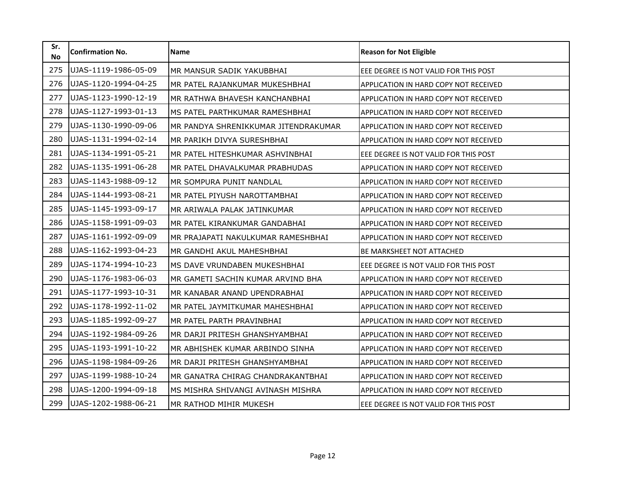| Sr.<br><b>No</b> | <b>Confirmation No.</b> | <b>Name</b>                          | <b>Reason for Not Eligible</b>               |
|------------------|-------------------------|--------------------------------------|----------------------------------------------|
| 275              | UJAS-1119-1986-05-09    | MR MANSUR SADIK YAKUBBHAI            | EEE DEGREE IS NOT VALID FOR THIS POST        |
| 276              | UJAS-1120-1994-04-25    | MR PATEL RAJANKUMAR MUKESHBHAI       | APPLICATION IN HARD COPY NOT RECEIVED        |
| 277              | UJAS-1123-1990-12-19    | MR RATHWA BHAVESH KANCHANBHAI        | APPLICATION IN HARD COPY NOT RECEIVED        |
| 278              | UJAS-1127-1993-01-13    | MS PATEL PARTHKUMAR RAMESHBHAI       | APPLICATION IN HARD COPY NOT RECEIVED        |
| 279              | UJAS-1130-1990-09-06    | MR PANDYA SHRENIKKUMAR JITENDRAKUMAR | APPLICATION IN HARD COPY NOT RECEIVED        |
| 280              | UJAS-1131-1994-02-14    | MR PARIKH DIVYA SURESHBHAI           | APPLICATION IN HARD COPY NOT RECEIVED        |
| 281              | UJAS-1134-1991-05-21    | MR PATEL HITESHKUMAR ASHVINBHAI      | EEE DEGREE IS NOT VALID FOR THIS POST        |
| 282              | UJAS-1135-1991-06-28    | MR PATEL DHAVALKUMAR PRABHUDAS       | APPLICATION IN HARD COPY NOT RECEIVED        |
| 283              | UJAS-1143-1988-09-12    | MR SOMPURA PUNIT NANDLAL             | APPLICATION IN HARD COPY NOT RECEIVED        |
| 284              | UJAS-1144-1993-08-21    | MR PATEL PIYUSH NAROTTAMBHAI         | APPLICATION IN HARD COPY NOT RECEIVED        |
| 285              | UJAS-1145-1993-09-17    | MR ARIWALA PALAK JATINKUMAR          | APPLICATION IN HARD COPY NOT RECEIVED        |
| 286              | UJAS-1158-1991-09-03    | MR PATEL KIRANKUMAR GANDABHAI        | APPLICATION IN HARD COPY NOT RECEIVED        |
| 287              | UJAS-1161-1992-09-09    | MR PRAJAPATI NAKULKUMAR RAMESHBHAI   | APPLICATION IN HARD COPY NOT RECEIVED        |
| 288              | UJAS-1162-1993-04-23    | MR GANDHI AKUL MAHESHBHAI            | <b>BE MARKSHEET NOT ATTACHED</b>             |
| 289              | UJAS-1174-1994-10-23    | MS DAVE VRUNDABEN MUKESHBHAI         | EEE DEGREE IS NOT VALID FOR THIS POST        |
| 290              | UJAS-1176-1983-06-03    | MR GAMETI SACHIN KUMAR ARVIND BHA    | APPLICATION IN HARD COPY NOT RECEIVED        |
| 291              | UJAS-1177-1993-10-31    | MR KANABAR ANAND UPENDRABHAI         | APPLICATION IN HARD COPY NOT RECEIVED        |
| 292              | UJAS-1178-1992-11-02    | MR PATEL JAYMITKUMAR MAHESHBHAI      | APPLICATION IN HARD COPY NOT RECEIVED        |
| 293              | UJAS-1185-1992-09-27    | MR PATEL PARTH PRAVINBHAI            | APPLICATION IN HARD COPY NOT RECEIVED        |
| 294              | UJAS-1192-1984-09-26    | MR DARJI PRITESH GHANSHYAMBHAI       | APPLICATION IN HARD COPY NOT RECEIVED        |
| 295              | UJAS-1193-1991-10-22    | MR ABHISHEK KUMAR ARBINDO SINHA      | <b>APPLICATION IN HARD COPY NOT RECEIVED</b> |
| 296              | UJAS-1198-1984-09-26    | MR DARJI PRITESH GHANSHYAMBHAI       | APPLICATION IN HARD COPY NOT RECEIVED        |
| 297              | UJAS-1199-1988-10-24    | MR GANATRA CHIRAG CHANDRAKANTBHAI    | <b>APPLICATION IN HARD COPY NOT RECEIVED</b> |
| 298              | UJAS-1200-1994-09-18    | MS MISHRA SHIVANGI AVINASH MISHRA    | APPLICATION IN HARD COPY NOT RECEIVED        |
| 299              | UJAS-1202-1988-06-21    | MR RATHOD MIHIR MUKESH               | EEE DEGREE IS NOT VALID FOR THIS POST        |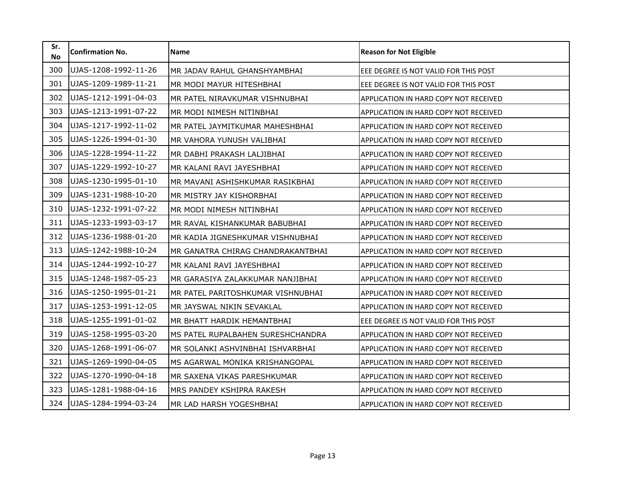| Sr.<br><b>No</b> | <b>Confirmation No.</b> | <b>Name</b>                       | <b>Reason for Not Eligible</b>        |
|------------------|-------------------------|-----------------------------------|---------------------------------------|
| 300              | UJAS-1208-1992-11-26    | MR JADAV RAHUL GHANSHYAMBHAI      | EEE DEGREE IS NOT VALID FOR THIS POST |
| 301              | UJAS-1209-1989-11-21    | MR MODI MAYUR HITESHBHAI          | EEE DEGREE IS NOT VALID FOR THIS POST |
| 302              | UJAS-1212-1991-04-03    | MR PATEL NIRAVKUMAR VISHNUBHAI    | APPLICATION IN HARD COPY NOT RECEIVED |
| 303              | UJAS-1213-1991-07-22    | MR MODI NIMESH NITINBHAI          | APPLICATION IN HARD COPY NOT RECEIVED |
| 304              | UJAS-1217-1992-11-02    | MR PATEL JAYMITKUMAR MAHESHBHAI   | APPLICATION IN HARD COPY NOT RECEIVED |
| 305              | UJAS-1226-1994-01-30    | MR VAHORA YUNUSH VALIBHAI         | APPLICATION IN HARD COPY NOT RECEIVED |
| 306              | UJAS-1228-1994-11-22    | MR DABHI PRAKASH LALJIBHAI        | APPLICATION IN HARD COPY NOT RECEIVED |
| 307              | UJAS-1229-1992-10-27    | MR KALANI RAVI JAYESHBHAI         | APPLICATION IN HARD COPY NOT RECEIVED |
| 308              | UJAS-1230-1995-01-10    | MR MAVANI ASHISHKUMAR RASIKBHAI   | APPLICATION IN HARD COPY NOT RECEIVED |
| 309              | UJAS-1231-1988-10-20    | MR MISTRY JAY KISHORBHAI          | APPLICATION IN HARD COPY NOT RECEIVED |
| 310              | UJAS-1232-1991-07-22    | MR MODI NIMESH NITINBHAI          | APPLICATION IN HARD COPY NOT RECEIVED |
| 311              | UJAS-1233-1993-03-17    | MR RAVAL KISHANKUMAR BABUBHAI     | APPLICATION IN HARD COPY NOT RECEIVED |
| 312              | UJAS-1236-1988-01-20    | MR KADIA JIGNESHKUMAR VISHNUBHAI  | APPLICATION IN HARD COPY NOT RECEIVED |
| 313              | UJAS-1242-1988-10-24    | MR GANATRA CHIRAG CHANDRAKANTBHAI | APPLICATION IN HARD COPY NOT RECEIVED |
| 314              | UJAS-1244-1992-10-27    | MR KALANI RAVI JAYESHBHAI         | APPLICATION IN HARD COPY NOT RECEIVED |
| 315              | UJAS-1248-1987-05-23    | MR GARASIYA ZALAKKUMAR NANJIBHAI  | APPLICATION IN HARD COPY NOT RECEIVED |
| 316              | UJAS-1250-1995-01-21    | MR PATEL PARITOSHKUMAR VISHNUBHAI | APPLICATION IN HARD COPY NOT RECEIVED |
| 317              | UJAS-1253-1991-12-05    | MR JAYSWAL NIKIN SEVAKLAL         | APPLICATION IN HARD COPY NOT RECEIVED |
| 318              | UJAS-1255-1991-01-02    | MR BHATT HARDIK HEMANTBHAI        | EEE DEGREE IS NOT VALID FOR THIS POST |
| 319              | UJAS-1258-1995-03-20    | MS PATEL RUPALBAHEN SURESHCHANDRA | APPLICATION IN HARD COPY NOT RECEIVED |
| 320              | UJAS-1268-1991-06-07    | MR SOLANKI ASHVINBHAI ISHVARBHAI  | APPLICATION IN HARD COPY NOT RECEIVED |
| 321              | UJAS-1269-1990-04-05    | MS AGARWAL MONIKA KRISHANGOPAL    | APPLICATION IN HARD COPY NOT RECEIVED |
| 322              | UJAS-1270-1990-04-18    | MR SAXENA VIKAS PARESHKUMAR       | APPLICATION IN HARD COPY NOT RECEIVED |
| 323              | UJAS-1281-1988-04-16    | MRS PANDEY KSHIPRA RAKESH         | APPLICATION IN HARD COPY NOT RECEIVED |
| 324              | UJAS-1284-1994-03-24    | MR LAD HARSH YOGESHBHAI           | APPLICATION IN HARD COPY NOT RECEIVED |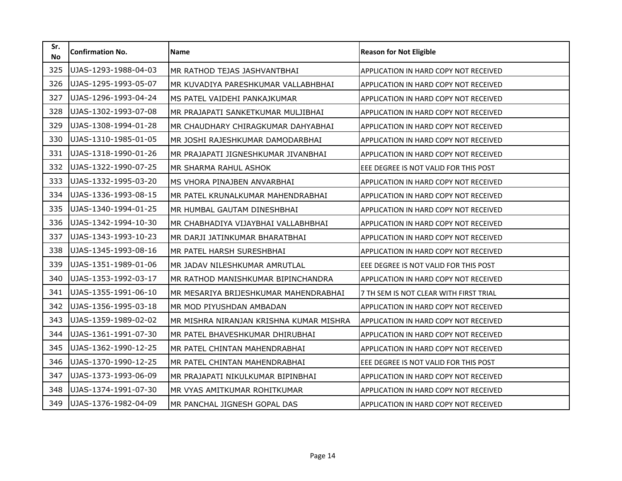| Sr.<br><b>No</b> | <b>Confirmation No.</b> | Name                                    | <b>Reason for Not Eligible</b>         |
|------------------|-------------------------|-----------------------------------------|----------------------------------------|
| 325              | UJAS-1293-1988-04-03    | MR RATHOD TEJAS JASHVANTBHAI            | APPLICATION IN HARD COPY NOT RECEIVED  |
| 326              | UJAS-1295-1993-05-07    | MR KUVADIYA PARESHKUMAR VALLABHBHAI     | APPLICATION IN HARD COPY NOT RECEIVED  |
| 327              | UJAS-1296-1993-04-24    | MS PATEL VAIDEHI PANKAJKUMAR            | APPLICATION IN HARD COPY NOT RECEIVED  |
| 328              | UJAS-1302-1993-07-08    | MR PRAJAPATI SANKETKUMAR MULJIBHAI      | APPLICATION IN HARD COPY NOT RECEIVED  |
| 329              | UJAS-1308-1994-01-28    | MR CHAUDHARY CHIRAGKUMAR DAHYABHAI      | APPLICATION IN HARD COPY NOT RECEIVED  |
| 330              | UJAS-1310-1985-01-05    | MR JOSHI RAJESHKUMAR DAMODARBHAI        | APPLICATION IN HARD COPY NOT RECEIVED  |
| 331              | UJAS-1318-1990-01-26    | MR PRAJAPATI JIGNESHKUMAR JIVANBHAI     | APPLICATION IN HARD COPY NOT RECEIVED  |
| 332              | UJAS-1322-1990-07-25    | MR SHARMA RAHUL ASHOK                   | EEE DEGREE IS NOT VALID FOR THIS POST  |
| 333              | UJAS-1332-1995-03-20    | MS VHORA PINAJBEN ANVARBHAI             | APPLICATION IN HARD COPY NOT RECEIVED  |
| 334              | UJAS-1336-1993-08-15    | MR PATEL KRUNALKUMAR MAHENDRABHAI       | APPLICATION IN HARD COPY NOT RECEIVED  |
| 335              | UJAS-1340-1994-01-25    | MR HUMBAL GAUTAM DINESHBHAI             | APPLICATION IN HARD COPY NOT RECEIVED  |
| 336              | UJAS-1342-1994-10-30    | MR CHABHADIYA VIJAYBHAI VALLABHBHAI     | APPLICATION IN HARD COPY NOT RECEIVED  |
| 337              | UJAS-1343-1993-10-23    | MR DARJI JATINKUMAR BHARATBHAI          | APPLICATION IN HARD COPY NOT RECEIVED  |
| 338              | UJAS-1345-1993-08-16    | MR PATEL HARSH SURESHBHAI               | APPLICATION IN HARD COPY NOT RECEIVED  |
| 339              | UJAS-1351-1989-01-06    | MR JADAV NILESHKUMAR AMRUTLAL           | EEE DEGREE IS NOT VALID FOR THIS POST  |
| 340              | UJAS-1353-1992-03-17    | MR RATHOD MANISHKUMAR BIPINCHANDRA      | APPLICATION IN HARD COPY NOT RECEIVED  |
| 341              | UJAS-1355-1991-06-10    | MR MESARIYA BRIJESHKUMAR MAHENDRABHAI   | 7 TH SEM IS NOT CLEAR WITH FIRST TRIAL |
| 342              | UJAS-1356-1995-03-18    | MR MOD PIYUSHDAN AMBADAN                | APPLICATION IN HARD COPY NOT RECEIVED  |
| 343              | UJAS-1359-1989-02-02    | MR MISHRA NIRANJAN KRISHNA KUMAR MISHRA | APPLICATION IN HARD COPY NOT RECEIVED  |
| 344              | UJAS-1361-1991-07-30    | MR PATEL BHAVESHKUMAR DHIRUBHAI         | APPLICATION IN HARD COPY NOT RECEIVED  |
| 345              | UJAS-1362-1990-12-25    | MR PATEL CHINTAN MAHENDRABHAI           | APPLICATION IN HARD COPY NOT RECEIVED  |
| 346              | UJAS-1370-1990-12-25    | MR PATEL CHINTAN MAHENDRABHAI           | EEE DEGREE IS NOT VALID FOR THIS POST  |
| 347              | UJAS-1373-1993-06-09    | MR PRAJAPATI NIKULKUMAR BIPINBHAI       | APPLICATION IN HARD COPY NOT RECEIVED  |
| 348              | UJAS-1374-1991-07-30    | MR VYAS AMITKUMAR ROHITKUMAR            | APPLICATION IN HARD COPY NOT RECEIVED  |
| 349              | UJAS-1376-1982-04-09    | MR PANCHAL JIGNESH GOPAL DAS            | APPLICATION IN HARD COPY NOT RECEIVED  |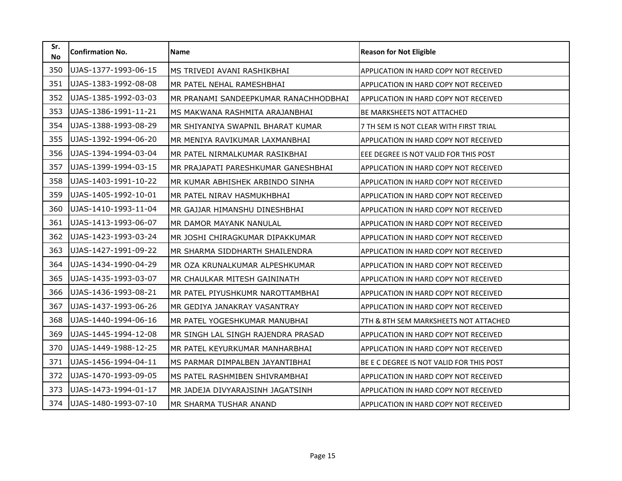| Sr.<br><b>No</b> | <b>Confirmation No.</b> | Name                                  | <b>Reason for Not Eligible</b>           |
|------------------|-------------------------|---------------------------------------|------------------------------------------|
| 350              | UJAS-1377-1993-06-15    | MS TRIVEDI AVANI RASHIKBHAI           | APPLICATION IN HARD COPY NOT RECEIVED    |
| 351              | UJAS-1383-1992-08-08    | MR PATEL NEHAL RAMESHBHAI             | APPLICATION IN HARD COPY NOT RECEIVED    |
| 352              | UJAS-1385-1992-03-03    | MR PRANAMI SANDEEPKUMAR RANACHHODBHAI | APPLICATION IN HARD COPY NOT RECEIVED    |
| 353              | UJAS-1386-1991-11-21    | MS MAKWANA RASHMITA ARAJANBHAI        | BE MARKSHEETS NOT ATTACHED               |
| 354              | UJAS-1388-1993-08-29    | MR SHIYANIYA SWAPNIL BHARAT KUMAR     | 7 TH SEM IS NOT CLEAR WITH FIRST TRIAL   |
| 355              | UJAS-1392-1994-06-20    | MR MENIYA RAVIKUMAR LAXMANBHAI        | APPLICATION IN HARD COPY NOT RECEIVED    |
| 356              | UJAS-1394-1994-03-04    | MR PATEL NIRMALKUMAR RASIKBHAI        | EEE DEGREE IS NOT VALID FOR THIS POST    |
| 357              | UJAS-1399-1994-03-15    | MR PRAJAPATI PARESHKUMAR GANESHBHAI   | APPLICATION IN HARD COPY NOT RECEIVED    |
| 358              | UJAS-1403-1991-10-22    | MR KUMAR ABHISHEK ARBINDO SINHA       | APPLICATION IN HARD COPY NOT RECEIVED    |
| 359              | UJAS-1405-1992-10-01    | MR PATEL NIRAV HASMUKHBHAI            | APPLICATION IN HARD COPY NOT RECEIVED    |
| 360              | UJAS-1410-1993-11-04    | MR GAJJAR HIMANSHU DINESHBHAI         | APPLICATION IN HARD COPY NOT RECEIVED    |
| 361              | UJAS-1413-1993-06-07    | MR DAMOR MAYANK NANULAL               | APPLICATION IN HARD COPY NOT RECEIVED    |
| 362              | UJAS-1423-1993-03-24    | MR JOSHI CHIRAGKUMAR DIPAKKUMAR       | APPLICATION IN HARD COPY NOT RECEIVED    |
| 363              | UJAS-1427-1991-09-22    | MR SHARMA SIDDHARTH SHAILENDRA        | APPLICATION IN HARD COPY NOT RECEIVED    |
| 364              | UJAS-1434-1990-04-29    | MR OZA KRUNALKUMAR ALPESHKUMAR        | APPLICATION IN HARD COPY NOT RECEIVED    |
| 365              | UJAS-1435-1993-03-07    | MR CHAULKAR MITESH GAININATH          | APPLICATION IN HARD COPY NOT RECEIVED    |
| 366              | UJAS-1436-1993-08-21    | MR PATEL PIYUSHKUMR NAROTTAMBHAI      | APPLICATION IN HARD COPY NOT RECEIVED    |
| 367              | UJAS-1437-1993-06-26    | MR GEDIYA JANAKRAY VASANTRAY          | APPLICATION IN HARD COPY NOT RECEIVED    |
| 368              | UJAS-1440-1994-06-16    | MR PATEL YOGESHKUMAR MANUBHAI         | 7TH & 8TH SEM MARKSHEETS NOT ATTACHED    |
| 369              | UJAS-1445-1994-12-08    | MR SINGH LAL SINGH RAJENDRA PRASAD    | APPLICATION IN HARD COPY NOT RECEIVED    |
| 370              | UJAS-1449-1988-12-25    | MR PATEL KEYURKUMAR MANHARBHAI        | APPLICATION IN HARD COPY NOT RECEIVED    |
| 371              | UJAS-1456-1994-04-11    | MS PARMAR DIMPALBEN JAYANTIBHAI       | BE E C DEGREE IS NOT VALID FOR THIS POST |
| 372              | UJAS-1470-1993-09-05    | MS PATEL RASHMIBEN SHIVRAMBHAI        | APPLICATION IN HARD COPY NOT RECEIVED    |
| 373              | UJAS-1473-1994-01-17    | MR JADEJA DIVYARAJSINH JAGATSINH      | APPLICATION IN HARD COPY NOT RECEIVED    |
| 374              | UJAS-1480-1993-07-10    | MR SHARMA TUSHAR ANAND                | APPLICATION IN HARD COPY NOT RECEIVED    |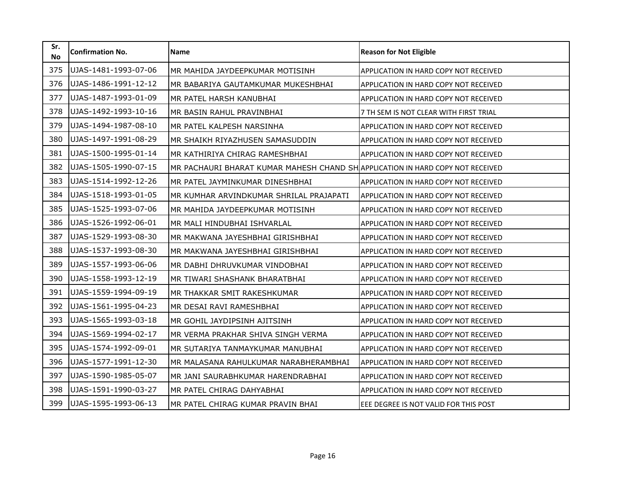| Sr.<br><b>No</b> | <b>Confirmation No.</b> | Name                                                                          | <b>Reason for Not Eligible</b>         |
|------------------|-------------------------|-------------------------------------------------------------------------------|----------------------------------------|
| 375              | UJAS-1481-1993-07-06    | MR MAHIDA JAYDEEPKUMAR MOTISINH                                               | APPLICATION IN HARD COPY NOT RECEIVED  |
| 376              | UJAS-1486-1991-12-12    | MR BABARIYA GAUTAMKUMAR MUKESHBHAI                                            | APPLICATION IN HARD COPY NOT RECEIVED  |
| 377              | UJAS-1487-1993-01-09    | MR PATEL HARSH KANUBHAI                                                       | APPLICATION IN HARD COPY NOT RECEIVED  |
| 378              | UJAS-1492-1993-10-16    | MR BASIN RAHUL PRAVINBHAI                                                     | 7 TH SEM IS NOT CLEAR WITH FIRST TRIAL |
| 379              | UJAS-1494-1987-08-10    | MR PATEL KALPESH NARSINHA                                                     | APPLICATION IN HARD COPY NOT RECEIVED  |
| 380              | UJAS-1497-1991-08-29    | MR SHAIKH RIYAZHUSEN SAMASUDDIN                                               | APPLICATION IN HARD COPY NOT RECEIVED  |
| 381              | UJAS-1500-1995-01-14    | MR KATHIRIYA CHIRAG RAMESHBHAI                                                | APPLICATION IN HARD COPY NOT RECEIVED  |
| 382              | UJAS-1505-1990-07-15    | MR PACHAURI BHARAT KUMAR MAHESH CHAND SHAPPLICATION IN HARD COPY NOT RECEIVED |                                        |
| 383              | UJAS-1514-1992-12-26    | MR PATEL JAYMINKUMAR DINESHBHAI                                               | APPLICATION IN HARD COPY NOT RECEIVED  |
| 384              | UJAS-1518-1993-01-05    | MR KUMHAR ARVINDKUMAR SHRILAL PRAJAPATI                                       | APPLICATION IN HARD COPY NOT RECEIVED  |
| 385              | UJAS-1525-1993-07-06    | MR MAHIDA JAYDEEPKUMAR MOTISINH                                               | APPLICATION IN HARD COPY NOT RECEIVED  |
| 386              | UJAS-1526-1992-06-01    | MR MALI HINDUBHAI ISHVARLAL                                                   | APPLICATION IN HARD COPY NOT RECEIVED  |
| 387              | UJAS-1529-1993-08-30    | MR MAKWANA JAYESHBHAI GIRISHBHAI                                              | APPLICATION IN HARD COPY NOT RECEIVED  |
| 388              | UJAS-1537-1993-08-30    | MR MAKWANA JAYESHBHAI GIRISHBHAI                                              | APPLICATION IN HARD COPY NOT RECEIVED  |
| 389              | UJAS-1557-1993-06-06    | MR DABHI DHRUVKUMAR VINDOBHAI                                                 | APPLICATION IN HARD COPY NOT RECEIVED  |
| 390              | UJAS-1558-1993-12-19    | MR TIWARI SHASHANK BHARATBHAI                                                 | APPLICATION IN HARD COPY NOT RECEIVED  |
| 391              | UJAS-1559-1994-09-19    | MR THAKKAR SMIT RAKESHKUMAR                                                   | APPLICATION IN HARD COPY NOT RECEIVED  |
| 392              | UJAS-1561-1995-04-23    | MR DESAI RAVI RAMESHBHAI                                                      | APPLICATION IN HARD COPY NOT RECEIVED  |
| 393              | UJAS-1565-1993-03-18    | MR GOHIL JAYDIPSINH AJITSINH                                                  | APPLICATION IN HARD COPY NOT RECEIVED  |
| 394              | UJAS-1569-1994-02-17    | MR VERMA PRAKHAR SHIVA SINGH VERMA                                            | APPLICATION IN HARD COPY NOT RECEIVED  |
| 395              | UJAS-1574-1992-09-01    | MR SUTARIYA TANMAYKUMAR MANUBHAI                                              | APPLICATION IN HARD COPY NOT RECEIVED  |
| 396              | UJAS-1577-1991-12-30    | MR MALASANA RAHULKUMAR NARABHERAMBHAI                                         | APPLICATION IN HARD COPY NOT RECEIVED  |
| 397              | UJAS-1590-1985-05-07    | MR JANI SAURABHKUMAR HARENDRABHAI                                             | APPLICATION IN HARD COPY NOT RECEIVED  |
| 398              | UJAS-1591-1990-03-27    | MR PATEL CHIRAG DAHYABHAI                                                     | APPLICATION IN HARD COPY NOT RECEIVED  |
| 399              | UJAS-1595-1993-06-13    | MR PATEL CHIRAG KUMAR PRAVIN BHAI                                             | EEE DEGREE IS NOT VALID FOR THIS POST  |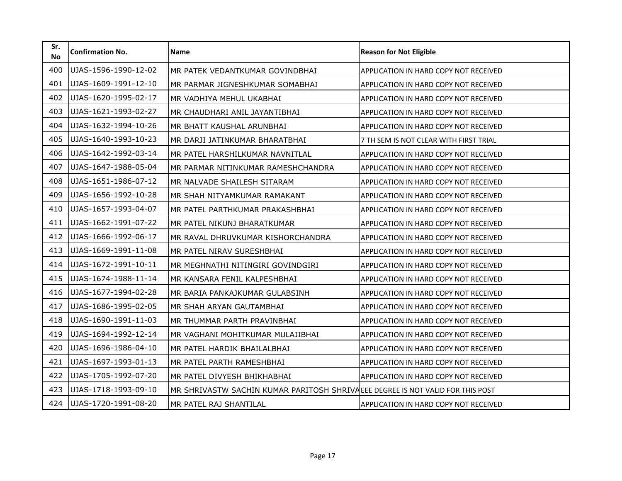| Sr.<br><b>No</b> | <b>Confirmation No.</b> | <b>Name</b>                                                                    | <b>Reason for Not Eligible</b>               |
|------------------|-------------------------|--------------------------------------------------------------------------------|----------------------------------------------|
| 400              | UJAS-1596-1990-12-02    | MR PATEK VEDANTKUMAR GOVINDBHAI                                                | APPLICATION IN HARD COPY NOT RECEIVED        |
| 401              | UJAS-1609-1991-12-10    | MR PARMAR JIGNESHKUMAR SOMABHAI                                                | <b>APPLICATION IN HARD COPY NOT RECEIVED</b> |
| 402              | UJAS-1620-1995-02-17    | MR VADHIYA MEHUL UKABHAI                                                       | APPLICATION IN HARD COPY NOT RECEIVED        |
| 403              | UJAS-1621-1993-02-27    | MR CHAUDHARI ANIL JAYANTIBHAI                                                  | APPLICATION IN HARD COPY NOT RECEIVED        |
| 404              | UJAS-1632-1994-10-26    | MR BHATT KAUSHAL ARUNBHAI                                                      | APPLICATION IN HARD COPY NOT RECEIVED        |
| 405              | UJAS-1640-1993-10-23    | MR DARJI JATINKUMAR BHARATBHAI                                                 | 7 TH SEM IS NOT CLEAR WITH FIRST TRIAL       |
| 406              | UJAS-1642-1992-03-14    | MR PATEL HARSHILKUMAR NAVNITLAL                                                | APPLICATION IN HARD COPY NOT RECEIVED        |
| 407              | UJAS-1647-1988-05-04    | MR PARMAR NITINKUMAR RAMESHCHANDRA                                             | APPLICATION IN HARD COPY NOT RECEIVED        |
| 408              | UJAS-1651-1986-07-12    | MR NALVADE SHAILESH SITARAM                                                    | APPLICATION IN HARD COPY NOT RECEIVED        |
| 409              | UJAS-1656-1992-10-28    | MR SHAH NITYAMKUMAR RAMAKANT                                                   | APPLICATION IN HARD COPY NOT RECEIVED        |
| 410              | UJAS-1657-1993-04-07    | MR PATEL PARTHKUMAR PRAKASHBHAI                                                | APPLICATION IN HARD COPY NOT RECEIVED        |
| 411              | UJAS-1662-1991-07-22    | MR PATEL NIKUNJ BHARATKUMAR                                                    | APPLICATION IN HARD COPY NOT RECEIVED        |
| 412              | UJAS-1666-1992-06-17    | MR RAVAL DHRUVKUMAR KISHORCHANDRA                                              | APPLICATION IN HARD COPY NOT RECEIVED        |
| 413              | UJAS-1669-1991-11-08    | MR PATEL NIRAV SURESHBHAI                                                      | APPLICATION IN HARD COPY NOT RECEIVED        |
| 414              | UJAS-1672-1991-10-11    | MR MEGHNATHI NITINGIRI GOVINDGIRI                                              | APPLICATION IN HARD COPY NOT RECEIVED        |
| 415              | UJAS-1674-1988-11-14    | MR KANSARA FENIL KALPESHBHAI                                                   | <b>APPLICATION IN HARD COPY NOT RECEIVED</b> |
| 416              | UJAS-1677-1994-02-28    | MR BARIA PANKAJKUMAR GULABSINH                                                 | APPLICATION IN HARD COPY NOT RECEIVED        |
| 417              | UJAS-1686-1995-02-05    | MR SHAH ARYAN GAUTAMBHAI                                                       | APPLICATION IN HARD COPY NOT RECEIVED        |
| 418              | UJAS-1690-1991-11-03    | MR THUMMAR PARTH PRAVINBHAI                                                    | APPLICATION IN HARD COPY NOT RECEIVED        |
| 419              | UJAS-1694-1992-12-14    | MR VAGHANI MOHITKUMAR MULAJIBHAI                                               | APPLICATION IN HARD COPY NOT RECEIVED        |
| 420              | UJAS-1696-1986-04-10    | MR PATEL HARDIK BHAILALBHAI                                                    | <b>APPLICATION IN HARD COPY NOT RECEIVED</b> |
| 421              | UJAS-1697-1993-01-13    | MR PATEL PARTH RAMESHBHAI                                                      | APPLICATION IN HARD COPY NOT RECEIVED        |
| 422              | UJAS-1705-1992-07-20    | MR PATEL DIVYESH BHIKHABHAI                                                    | <b>APPLICATION IN HARD COPY NOT RECEIVED</b> |
| 423              | UJAS-1718-1993-09-10    | MR SHRIVASTW SACHIN KUMAR PARITOSH SHRIVAEEE DEGREE IS NOT VALID FOR THIS POST |                                              |
| 424              | UJAS-1720-1991-08-20    | MR PATEL RAJ SHANTILAL                                                         | APPLICATION IN HARD COPY NOT RECEIVED        |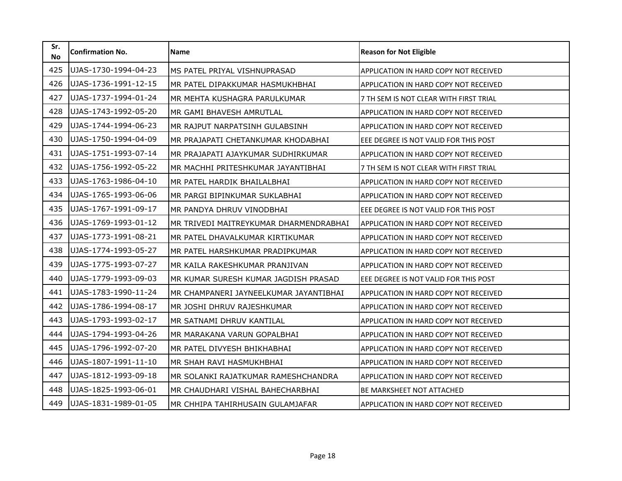| Sr.<br><b>No</b> | <b>Confirmation No.</b> | <b>Name</b>                            | <b>Reason for Not Eligible</b>               |
|------------------|-------------------------|----------------------------------------|----------------------------------------------|
| 425              | UJAS-1730-1994-04-23    | MS PATEL PRIYAL VISHNUPRASAD           | APPLICATION IN HARD COPY NOT RECEIVED        |
| 426              | UJAS-1736-1991-12-15    | MR PATEL DIPAKKUMAR HASMUKHBHAI        | APPLICATION IN HARD COPY NOT RECEIVED        |
| 427              | UJAS-1737-1994-01-24    | MR MEHTA KUSHAGRA PARULKUMAR           | 7 TH SEM IS NOT CLEAR WITH FIRST TRIAL       |
| 428              | UJAS-1743-1992-05-20    | MR GAMI BHAVESH AMRUTLAL               | APPLICATION IN HARD COPY NOT RECEIVED        |
| 429              | UJAS-1744-1994-06-23    | MR RAJPUT NARPATSINH GULABSINH         | APPLICATION IN HARD COPY NOT RECEIVED        |
| 430              | UJAS-1750-1994-04-09    | MR PRAJAPATI CHETANKUMAR KHODABHAI     | EEE DEGREE IS NOT VALID FOR THIS POST        |
| 431              | UJAS-1751-1993-07-14    | MR PRAJAPATI AJAYKUMAR SUDHIRKUMAR     | <b>APPLICATION IN HARD COPY NOT RECEIVED</b> |
| 432              | UJAS-1756-1992-05-22    | MR MACHHI PRITESHKUMAR JAYANTIBHAI     | 7 TH SEM IS NOT CLEAR WITH FIRST TRIAL       |
| 433              | UJAS-1763-1986-04-10    | MR PATEL HARDIK BHAILALBHAI            | APPLICATION IN HARD COPY NOT RECEIVED        |
| 434              | UJAS-1765-1993-06-06    | MR PARGI BIPINKUMAR SUKLABHAI          | APPLICATION IN HARD COPY NOT RECEIVED        |
| 435              | UJAS-1767-1991-09-17    | MR PANDYA DHRUV VINODBHAI              | EEE DEGREE IS NOT VALID FOR THIS POST        |
| 436              | UJAS-1769-1993-01-12    | MR TRIVEDI MAITREYKUMAR DHARMENDRABHAI | APPLICATION IN HARD COPY NOT RECEIVED        |
| 437              | UJAS-1773-1991-08-21    | MR PATEL DHAVALKUMAR KIRTIKUMAR        | APPLICATION IN HARD COPY NOT RECEIVED        |
| 438              | UJAS-1774-1993-05-27    | MR PATEL HARSHKUMAR PRADIPKUMAR        | APPLICATION IN HARD COPY NOT RECEIVED        |
| 439              | UJAS-1775-1993-07-27    | MR KAILA RAKESHKUMAR PRANJIVAN         | APPLICATION IN HARD COPY NOT RECEIVED        |
| 440              | UJAS-1779-1993-09-03    | MR KUMAR SURESH KUMAR JAGDISH PRASAD   | EEE DEGREE IS NOT VALID FOR THIS POST        |
| 441              | UJAS-1783-1990-11-24    | MR CHAMPANERI JAYNEELKUMAR JAYANTIBHAI | APPLICATION IN HARD COPY NOT RECEIVED        |
| 442              | UJAS-1786-1994-08-17    | MR JOSHI DHRUV RAJESHKUMAR             | APPLICATION IN HARD COPY NOT RECEIVED        |
| 443              | UJAS-1793-1993-02-17    | MR SATNAMI DHRUV KANTILAL              | APPLICATION IN HARD COPY NOT RECEIVED        |
| 444              | UJAS-1794-1993-04-26    | MR MARAKANA VARUN GOPALBHAI            | APPLICATION IN HARD COPY NOT RECEIVED        |
| 445              | UJAS-1796-1992-07-20    | MR PATEL DIVYESH BHIKHABHAI            | <b>APPLICATION IN HARD COPY NOT RECEIVED</b> |
| 446              | UJAS-1807-1991-11-10    | MR SHAH RAVI HASMUKHBHAI               | <b>APPLICATION IN HARD COPY NOT RECEIVED</b> |
| 447              | UJAS-1812-1993-09-18    | MR SOLANKI RAJATKUMAR RAMESHCHANDRA    | <b>APPLICATION IN HARD COPY NOT RECEIVED</b> |
| 448              | UJAS-1825-1993-06-01    | MR CHAUDHARI VISHAL BAHECHARBHAI       | BE MARKSHEET NOT ATTACHED                    |
| 449              | UJAS-1831-1989-01-05    | MR CHHIPA TAHIRHUSAIN GULAMJAFAR       | APPLICATION IN HARD COPY NOT RECEIVED        |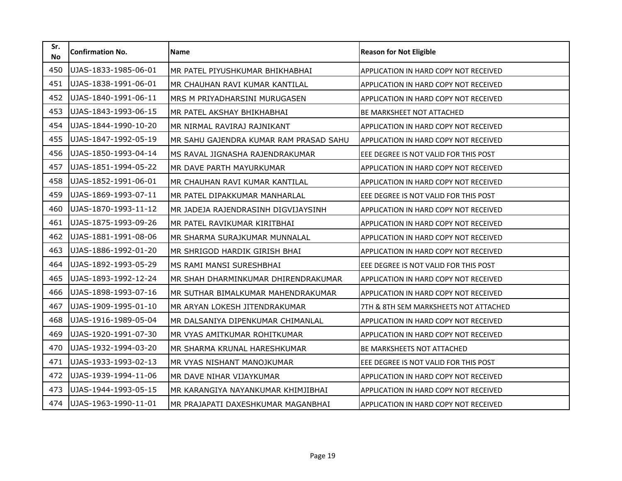| Sr.<br><b>No</b> | <b>Confirmation No.</b> | <b>Name</b>                            | <b>Reason for Not Eligible</b>               |
|------------------|-------------------------|----------------------------------------|----------------------------------------------|
| 450              | UJAS-1833-1985-06-01    | MR PATEL PIYUSHKUMAR BHIKHABHAI        | APPLICATION IN HARD COPY NOT RECEIVED        |
| 451              | UJAS-1838-1991-06-01    | MR CHAUHAN RAVI KUMAR KANTILAL         | APPLICATION IN HARD COPY NOT RECEIVED        |
| 452              | UJAS-1840-1991-06-11    | MRS M PRIYADHARSINI MURUGASEN          | APPLICATION IN HARD COPY NOT RECEIVED        |
| 453              | UJAS-1843-1993-06-15    | MR PATEL AKSHAY BHIKHABHAI             | <b>BE MARKSHEET NOT ATTACHED</b>             |
| 454              | UJAS-1844-1990-10-20    | MR NIRMAL RAVIRAJ RAJNIKANT            | <b>APPLICATION IN HARD COPY NOT RECEIVED</b> |
| 455              | UJAS-1847-1992-05-19    | MR SAHU GAJENDRA KUMAR RAM PRASAD SAHU | <b>APPLICATION IN HARD COPY NOT RECEIVED</b> |
| 456              | UJAS-1850-1993-04-14    | MS RAVAL JIGNASHA RAJENDRAKUMAR        | EEE DEGREE IS NOT VALID FOR THIS POST        |
| 457              | UJAS-1851-1994-05-22    | MR DAVE PARTH MAYURKUMAR               | APPLICATION IN HARD COPY NOT RECEIVED        |
| 458              | UJAS-1852-1991-06-01    | MR CHAUHAN RAVI KUMAR KANTILAL         | APPLICATION IN HARD COPY NOT RECEIVED        |
| 459              | UJAS-1869-1993-07-11    | MR PATEL DIPAKKUMAR MANHARLAL          | EEE DEGREE IS NOT VALID FOR THIS POST        |
| 460              | UJAS-1870-1993-11-12    | MR JADEJA RAJENDRASINH DIGVIJAYSINH    | APPLICATION IN HARD COPY NOT RECEIVED        |
| 461              | UJAS-1875-1993-09-26    | MR PATEL RAVIKUMAR KIRITBHAI           | APPLICATION IN HARD COPY NOT RECEIVED        |
| 462              | UJAS-1881-1991-08-06    | MR SHARMA SURAJKUMAR MUNNALAL          | APPLICATION IN HARD COPY NOT RECEIVED        |
| 463              | UJAS-1886-1992-01-20    | MR SHRIGOD HARDIK GIRISH BHAI          | APPLICATION IN HARD COPY NOT RECEIVED        |
| 464              | UJAS-1892-1993-05-29    | MS RAMI MANSI SURESHBHAI               | EEE DEGREE IS NOT VALID FOR THIS POST        |
| 465              | UJAS-1893-1992-12-24    | MR SHAH DHARMINKUMAR DHIRENDRAKUMAR    | APPLICATION IN HARD COPY NOT RECEIVED        |
| 466              | UJAS-1898-1993-07-16    | MR SUTHAR BIMALKUMAR MAHENDRAKUMAR     | APPLICATION IN HARD COPY NOT RECEIVED        |
| 467              | UJAS-1909-1995-01-10    | MR ARYAN LOKESH JITENDRAKUMAR          | 7TH & 8TH SEM MARKSHEETS NOT ATTACHED        |
| 468              | UJAS-1916-1989-05-04    | MR DALSANIYA DIPENKUMAR CHIMANLAL      | APPLICATION IN HARD COPY NOT RECEIVED        |
| 469              | UJAS-1920-1991-07-30    | MR VYAS AMITKUMAR ROHITKUMAR           | APPLICATION IN HARD COPY NOT RECEIVED        |
| 470              | UJAS-1932-1994-03-20    | MR SHARMA KRUNAL HARESHKUMAR           | BE MARKSHEETS NOT ATTACHED                   |
| 471              | UJAS-1933-1993-02-13    | MR VYAS NISHANT MANOJKUMAR             | EEE DEGREE IS NOT VALID FOR THIS POST        |
| 472              | UJAS-1939-1994-11-06    | MR DAVE NIHAR VIJAYKUMAR               | <b>APPLICATION IN HARD COPY NOT RECEIVED</b> |
| 473              | UJAS-1944-1993-05-15    | MR KARANGIYA NAYANKUMAR KHIMJIBHAI     | APPLICATION IN HARD COPY NOT RECEIVED        |
| 474              | UJAS-1963-1990-11-01    | MR PRAJAPATI DAXESHKUMAR MAGANBHAI     | APPLICATION IN HARD COPY NOT RECEIVED        |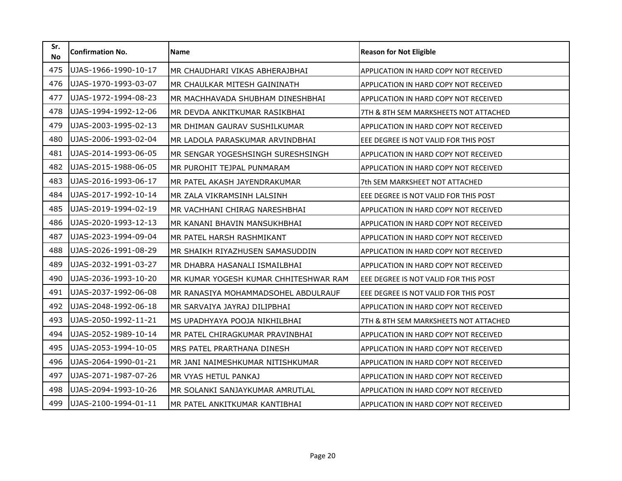| Sr.<br><b>No</b> | <b>Confirmation No.</b> | <b>Name</b>                           | <b>Reason for Not Eligible</b>               |
|------------------|-------------------------|---------------------------------------|----------------------------------------------|
| 475              | UJAS-1966-1990-10-17    | MR CHAUDHARI VIKAS ABHERAJBHAI        | APPLICATION IN HARD COPY NOT RECEIVED        |
| 476              | UJAS-1970-1993-03-07    | MR CHAULKAR MITESH GAININATH          | APPLICATION IN HARD COPY NOT RECEIVED        |
| 477              | UJAS-1972-1994-08-23    | MR MACHHAVADA SHUBHAM DINESHBHAI      | APPLICATION IN HARD COPY NOT RECEIVED        |
| 478              | UJAS-1994-1992-12-06    | MR DEVDA ANKITKUMAR RASIKBHAI         | 7TH & 8TH SEM MARKSHEETS NOT ATTACHED        |
| 479              | UJAS-2003-1995-02-13    | MR DHIMAN GAURAV SUSHILKUMAR          | APPLICATION IN HARD COPY NOT RECEIVED        |
| 480              | UJAS-2006-1993-02-04    | MR LADOLA PARASKUMAR ARVINDBHAI       | EEE DEGREE IS NOT VALID FOR THIS POST        |
| 481              | UJAS-2014-1993-06-05    | MR SENGAR YOGESHSINGH SURESHSINGH     | APPLICATION IN HARD COPY NOT RECEIVED        |
| 482              | UJAS-2015-1988-06-05    | MR PUROHIT TEJPAL PUNMARAM            | APPLICATION IN HARD COPY NOT RECEIVED        |
| 483              | UJAS-2016-1993-06-17    | MR PATEL AKASH JAYENDRAKUMAR          | 7th SEM MARKSHEET NOT ATTACHED               |
| 484              | UJAS-2017-1992-10-14    | MR ZALA VIKRAMSINH LALSINH            | EEE DEGREE IS NOT VALID FOR THIS POST        |
| 485              | UJAS-2019-1994-02-19    | MR VACHHANI CHIRAG NARESHBHAI         | APPLICATION IN HARD COPY NOT RECEIVED        |
| 486              | UJAS-2020-1993-12-13    | MR KANANI BHAVIN MANSUKHBHAI          | APPLICATION IN HARD COPY NOT RECEIVED        |
| 487              | UJAS-2023-1994-09-04    | MR PATEL HARSH RASHMIKANT             | APPLICATION IN HARD COPY NOT RECEIVED        |
| 488              | UJAS-2026-1991-08-29    | MR SHAIKH RIYAZHUSEN SAMASUDDIN       | APPLICATION IN HARD COPY NOT RECEIVED        |
| 489              | UJAS-2032-1991-03-27    | MR DHABRA HASANALI ISMAILBHAI         | <b>APPLICATION IN HARD COPY NOT RECEIVED</b> |
| 490              | UJAS-2036-1993-10-20    | MR KUMAR YOGESH KUMAR CHHITESHWAR RAM | EEE DEGREE IS NOT VALID FOR THIS POST        |
| 491              | UJAS-2037-1992-06-08    | MR RANASIYA MOHAMMADSOHEL ABDULRAUF   | EEE DEGREE IS NOT VALID FOR THIS POST        |
| 492              | UJAS-2048-1992-06-18    | MR SARVAIYA JAYRAJ DILIPBHAI          | APPLICATION IN HARD COPY NOT RECEIVED        |
| 493              | UJAS-2050-1992-11-21    | MS UPADHYAYA POOJA NIKHILBHAI         | 7TH & 8TH SEM MARKSHEETS NOT ATTACHED        |
| 494              | UJAS-2052-1989-10-14    | MR PATEL CHIRAGKUMAR PRAVINBHAI       | APPLICATION IN HARD COPY NOT RECEIVED        |
| 495              | UJAS-2053-1994-10-05    | MRS PATEL PRARTHANA DINESH            | APPLICATION IN HARD COPY NOT RECEIVED        |
| 496              | UJAS-2064-1990-01-21    | MR JANI NAIMESHKUMAR NITISHKUMAR      | APPLICATION IN HARD COPY NOT RECEIVED        |
| 497              | UJAS-2071-1987-07-26    | MR VYAS HETUL PANKAJ                  | <b>APPLICATION IN HARD COPY NOT RECEIVED</b> |
| 498              | UJAS-2094-1993-10-26    | MR SOLANKI SANJAYKUMAR AMRUTLAL       | APPLICATION IN HARD COPY NOT RECEIVED        |
| 499              | UJAS-2100-1994-01-11    | MR PATEL ANKITKUMAR KANTIBHAI         | APPLICATION IN HARD COPY NOT RECEIVED        |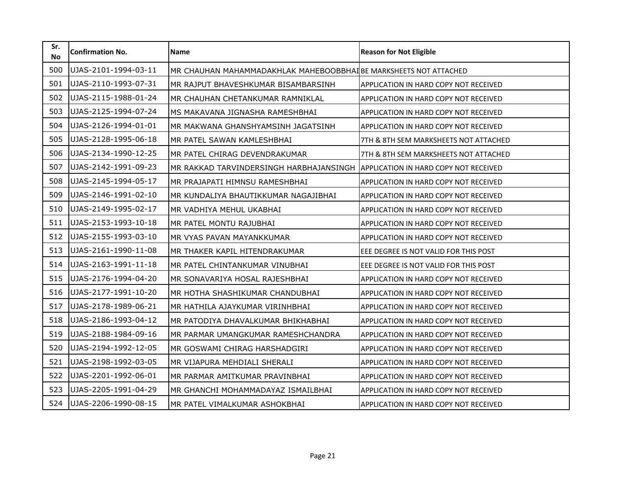| Sr.<br><b>No</b> | <b>Confirmation No.</b> | <b>Name</b>                                                                   | <b>Reason for Not Eligible</b>        |
|------------------|-------------------------|-------------------------------------------------------------------------------|---------------------------------------|
| 500              | UJAS-2101-1994-03-11    | MR CHAUHAN MAHAMMADAKHLAK MAHEBOOBBHAI BE MARKSHEETS NOT ATTACHED             |                                       |
| 501              | UJAS-2110-1993-07-31    | MR RAJPUT BHAVESHKUMAR BISAMBARSINH                                           | APPLICATION IN HARD COPY NOT RECEIVED |
| 502              | UJAS-2115-1988-01-24    | MR CHAUHAN CHETANKUMAR RAMNIKLAL                                              | APPLICATION IN HARD COPY NOT RECEIVED |
| 503              | UJAS-2125-1994-07-24    | MS MAKAVANA JIGNASHA RAMESHBHAI                                               | APPLICATION IN HARD COPY NOT RECEIVED |
| 504              | UJAS-2126-1994-01-01    | MR MAKWANA GHANSHYAMSINH JAGATSINH                                            | APPLICATION IN HARD COPY NOT RECEIVED |
| 505              | UJAS-2128-1995-06-18    | MR PATEL SAWAN KAMLESHBHAI                                                    | 7TH & 8TH SEM MARKSHEETS NOT ATTACHED |
| 506              | UJAS-2134-1990-12-25    | MR PATEL CHIRAG DEVENDRAKUMAR                                                 | 7TH & 8TH SEM MARKSHEETS NOT ATTACHED |
| 507              | UJAS-2142-1991-09-23    | MR RAKKAD TARVINDERSINGH HARBHAJANSINGH APPLICATION IN HARD COPY NOT RECEIVED |                                       |
| 508              | UJAS-2145-1994-05-17    | MR PRAJAPATI HIMNSU RAMESHBHAI                                                | APPLICATION IN HARD COPY NOT RECEIVED |
| 509              | UJAS-2146-1991-02-10    | MR KUNDALIYA BHAUTIKKUMAR NAGAJIBHAI                                          | APPLICATION IN HARD COPY NOT RECEIVED |
| 510              | UJAS-2149-1995-02-17    | MR VADHIYA MEHUL UKABHAI                                                      | APPLICATION IN HARD COPY NOT RECEIVED |
| 511              | UJAS-2153-1993-10-18    | MR PATEL MONTU RAJUBHAI                                                       | APPLICATION IN HARD COPY NOT RECEIVED |
| 512              | UJAS-2155-1993-03-10    | MR VYAS PAVAN MAYANKKUMAR                                                     | APPLICATION IN HARD COPY NOT RECEIVED |
| 513              | UJAS-2161-1990-11-08    | MR THAKER KAPIL HITENDRAKUMAR                                                 | EEE DEGREE IS NOT VALID FOR THIS POST |
| 514              | UJAS-2163-1991-11-18    | MR PATEL CHINTANKUMAR VINUBHAI                                                | EEE DEGREE IS NOT VALID FOR THIS POST |
| 515              | UJAS-2176-1994-04-20    | MR SONAVARIYA HOSAL RAJESHBHAI                                                | APPLICATION IN HARD COPY NOT RECEIVED |
| 516              | UJAS-2177-1991-10-20    | MR HOTHA SHASHIKUMAR CHANDUBHAI                                               | APPLICATION IN HARD COPY NOT RECEIVED |
| 517              | UJAS-2178-1989-06-21    | MR HATHILA AJAYKUMAR VIRINHBHAI                                               | APPLICATION IN HARD COPY NOT RECEIVED |
| 518              | UJAS-2186-1993-04-12    | MR PATODIYA DHAVALKUMAR BHIKHABHAI                                            | APPLICATION IN HARD COPY NOT RECEIVED |
| 519              | UJAS-2188-1984-09-16    | MR PARMAR UMANGKUMAR RAMESHCHANDRA                                            | APPLICATION IN HARD COPY NOT RECEIVED |
| 520              | UJAS-2194-1992-12-05    | MR GOSWAMI CHIRAG HARSHADGIRI                                                 | APPLICATION IN HARD COPY NOT RECEIVED |
| 521              | UJAS-2198-1992-03-05    | MR VIJAPURA MEHDIALI SHERALI                                                  | APPLICATION IN HARD COPY NOT RECEIVED |
| 522              | UJAS-2201-1992-06-01    | MR PARMAR AMITKUMAR PRAVINBHAI                                                | APPLICATION IN HARD COPY NOT RECEIVED |
| 523              | UJAS-2205-1991-04-29    | MR GHANCHI MOHAMMADAYAZ ISMAILBHAI                                            | APPLICATION IN HARD COPY NOT RECEIVED |
| 524              | UJAS-2206-1990-08-15    | MR PATEL VIMALKUMAR ASHOKBHAI                                                 | APPLICATION IN HARD COPY NOT RECEIVED |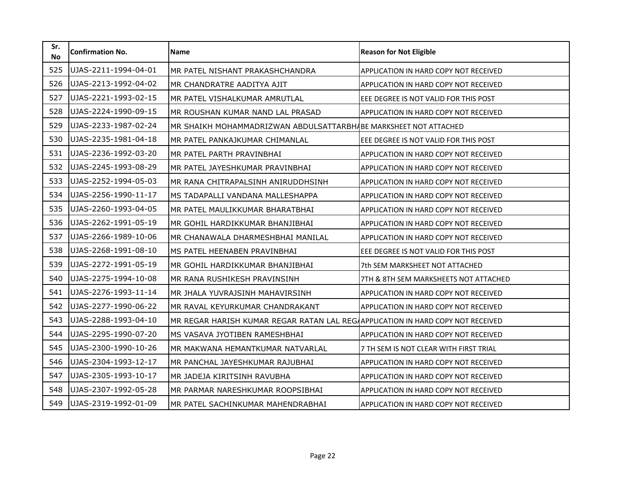| Sr.<br><b>No</b> | <b>Confirmation No.</b> | <b>Name</b>                                                                     | <b>Reason for Not Eligible</b>               |
|------------------|-------------------------|---------------------------------------------------------------------------------|----------------------------------------------|
| 525              | UJAS-2211-1994-04-01    | MR PATEL NISHANT PRAKASHCHANDRA                                                 | APPLICATION IN HARD COPY NOT RECEIVED        |
| 526              | UJAS-2213-1992-04-02    | MR CHANDRATRE AADITYA AJIT                                                      | APPLICATION IN HARD COPY NOT RECEIVED        |
| 527              | UJAS-2221-1993-02-15    | MR PATEL VISHALKUMAR AMRUTLAL                                                   | EEE DEGREE IS NOT VALID FOR THIS POST        |
| 528              | UJAS-2224-1990-09-15    | MR ROUSHAN KUMAR NAND LAL PRASAD                                                | APPLICATION IN HARD COPY NOT RECEIVED        |
| 529              | UJAS-2233-1987-02-24    | MR SHAIKH MOHAMMADRIZWAN ABDULSATTARBHABE MARKSHEET NOT ATTACHED                |                                              |
| 530              | UJAS-2235-1981-04-18    | MR PATEL PANKAJKUMAR CHIMANLAL                                                  | EEE DEGREE IS NOT VALID FOR THIS POST        |
| 531              | UJAS-2236-1992-03-20    | MR PATEL PARTH PRAVINBHAI                                                       | APPLICATION IN HARD COPY NOT RECEIVED        |
| 532              | UJAS-2245-1993-08-29    | MR PATEL JAYESHKUMAR PRAVINBHAI                                                 | APPLICATION IN HARD COPY NOT RECEIVED        |
| 533              | UJAS-2252-1994-05-03    | MR RANA CHITRAPALSINH ANIRUDDHSINH                                              | APPLICATION IN HARD COPY NOT RECEIVED        |
| 534              | UJAS-2256-1990-11-17    | MS TADAPALLI VANDANA MALLESHAPPA                                                | APPLICATION IN HARD COPY NOT RECEIVED        |
| 535              | UJAS-2260-1993-04-05    | MR PATEL MAULIKKUMAR BHARATBHAI                                                 | APPLICATION IN HARD COPY NOT RECEIVED        |
| 536              | UJAS-2262-1991-05-19    | MR GOHIL HARDIKKUMAR BHANJIBHAI                                                 | APPLICATION IN HARD COPY NOT RECEIVED        |
| 537              | UJAS-2266-1989-10-06    | MR CHANAWALA DHARMESHBHAI MANILAL                                               | APPLICATION IN HARD COPY NOT RECEIVED        |
| 538              | UJAS-2268-1991-08-10    | MS PATEL HEENABEN PRAVINBHAI                                                    | EEE DEGREE IS NOT VALID FOR THIS POST        |
| 539              | UJAS-2272-1991-05-19    | MR GOHIL HARDIKKUMAR BHANJIBHAI                                                 | 7th SEM MARKSHEET NOT ATTACHED               |
| 540              | UJAS-2275-1994-10-08    | MR RANA RUSHIKESH PRAVINSINH                                                    | 7TH & 8TH SEM MARKSHEETS NOT ATTACHED        |
| 541              | UJAS-2276-1993-11-14    | MR JHALA YUVRAJSINH MAHAVIRSINH                                                 | APPLICATION IN HARD COPY NOT RECEIVED        |
| 542              | UJAS-2277-1990-06-22    | MR RAVAL KEYURKUMAR CHANDRAKANT                                                 | APPLICATION IN HARD COPY NOT RECEIVED        |
| 543              | UJAS-2288-1993-04-10    | MR REGAR HARISH KUMAR REGAR RATAN LAL REGAAPPLICATION IN HARD COPY NOT RECEIVED |                                              |
| 544              | UJAS-2295-1990-07-20    | MS VASAVA JYOTIBEN RAMESHBHAI                                                   | APPLICATION IN HARD COPY NOT RECEIVED        |
| 545              | UJAS-2300-1990-10-26    | MR MAKWANA HEMANTKUMAR NATVARLAL                                                | 7 TH SEM IS NOT CLEAR WITH FIRST TRIAL       |
| 546              | UJAS-2304-1993-12-17    | MR PANCHAL JAYESHKUMAR RAJUBHAI                                                 | APPLICATION IN HARD COPY NOT RECEIVED        |
| 547              | UJAS-2305-1993-10-17    | MR JADEJA KIRITSINH RAVUBHA                                                     | <b>APPLICATION IN HARD COPY NOT RECEIVED</b> |
| 548              | UJAS-2307-1992-05-28    | MR PARMAR NARESHKUMAR ROOPSIBHAI                                                | APPLICATION IN HARD COPY NOT RECEIVED        |
| 549              | UJAS-2319-1992-01-09    | MR PATEL SACHINKUMAR MAHENDRABHAI                                               | APPLICATION IN HARD COPY NOT RECEIVED        |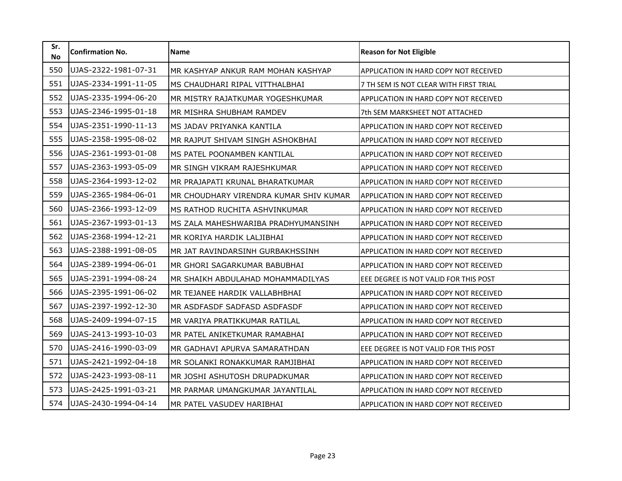| Sr.<br><b>No</b> | <b>Confirmation No.</b> | <b>Name</b>                            | <b>Reason for Not Eligible</b>         |
|------------------|-------------------------|----------------------------------------|----------------------------------------|
| 550              | UJAS-2322-1981-07-31    | MR KASHYAP ANKUR RAM MOHAN KASHYAP     | APPLICATION IN HARD COPY NOT RECEIVED  |
| 551              | UJAS-2334-1991-11-05    | MS CHAUDHARI RIPAL VITTHALBHAI         | 7 TH SEM IS NOT CLEAR WITH FIRST TRIAL |
| 552              | UJAS-2335-1994-06-20    | MR MISTRY RAJATKUMAR YOGESHKUMAR       | APPLICATION IN HARD COPY NOT RECEIVED  |
| 553              | UJAS-2346-1995-01-18    | MR MISHRA SHUBHAM RAMDEV               | 7th SEM MARKSHEET NOT ATTACHED         |
| 554              | UJAS-2351-1990-11-13    | MS JADAV PRIYANKA KANTILA              | APPLICATION IN HARD COPY NOT RECEIVED  |
| 555              | UJAS-2358-1995-08-02    | MR RAJPUT SHIVAM SINGH ASHOKBHAI       | APPLICATION IN HARD COPY NOT RECEIVED  |
| 556              | UJAS-2361-1993-01-08    | MS PATEL POONAMBEN KANTILAL            | APPLICATION IN HARD COPY NOT RECEIVED  |
| 557              | UJAS-2363-1993-05-09    | MR SINGH VIKRAM RAJESHKUMAR            | APPLICATION IN HARD COPY NOT RECEIVED  |
| 558              | UJAS-2364-1993-12-02    | MR PRAJAPATI KRUNAL BHARATKUMAR        | APPLICATION IN HARD COPY NOT RECEIVED  |
| 559              | UJAS-2365-1984-06-01    | MR CHOUDHARY VIRENDRA KUMAR SHIV KUMAR | APPLICATION IN HARD COPY NOT RECEIVED  |
| 560              | UJAS-2366-1993-12-09    | MS RATHOD RUCHITA ASHVINKUMAR          | APPLICATION IN HARD COPY NOT RECEIVED  |
| 561              | UJAS-2367-1993-01-13    | MS ZALA MAHESHWARIBA PRADHYUMANSINH    | APPLICATION IN HARD COPY NOT RECEIVED  |
| 562              | UJAS-2368-1994-12-21    | MR KORIYA HARDIK LALJIBHAI             | APPLICATION IN HARD COPY NOT RECEIVED  |
| 563              | UJAS-2388-1991-08-05    | MR JAT RAVINDARSINH GURBAKHSSINH       | APPLICATION IN HARD COPY NOT RECEIVED  |
| 564              | UJAS-2389-1994-06-01    | MR GHORI SAGARKUMAR BABUBHAI           | APPLICATION IN HARD COPY NOT RECEIVED  |
| 565              | UJAS-2391-1994-08-24    | MR SHAIKH ABDULAHAD MOHAMMADILYAS      | EEE DEGREE IS NOT VALID FOR THIS POST  |
| 566              | UJAS-2395-1991-06-02    | MR TEJANEE HARDIK VALLABHBHAI          | APPLICATION IN HARD COPY NOT RECEIVED  |
| 567              | UJAS-2397-1992-12-30    | MR ASDFASDF SADFASD ASDFASDF           | APPLICATION IN HARD COPY NOT RECEIVED  |
| 568              | UJAS-2409-1994-07-15    | MR VARIYA PRATIKKUMAR RATILAL          | APPLICATION IN HARD COPY NOT RECEIVED  |
| 569              | UJAS-2413-1993-10-03    | MR PATEL ANIKETKUMAR RAMABHAI          | APPLICATION IN HARD COPY NOT RECEIVED  |
| 570              | UJAS-2416-1990-03-09    | MR GADHAVI APURVA SAMARATHDAN          | EEE DEGREE IS NOT VALID FOR THIS POST  |
| 571              | UJAS-2421-1992-04-18    | MR SOLANKI RONAKKUMAR RAMJIBHAI        | APPLICATION IN HARD COPY NOT RECEIVED  |
| 572              | UJAS-2423-1993-08-11    | MR JOSHI ASHUTOSH DRUPADKUMAR          | APPLICATION IN HARD COPY NOT RECEIVED  |
| 573              | UJAS-2425-1991-03-21    | MR PARMAR UMANGKUMAR JAYANTILAL        | APPLICATION IN HARD COPY NOT RECEIVED  |
| 574              | UJAS-2430-1994-04-14    | MR PATEL VASUDEV HARIBHAI              | APPLICATION IN HARD COPY NOT RECEIVED  |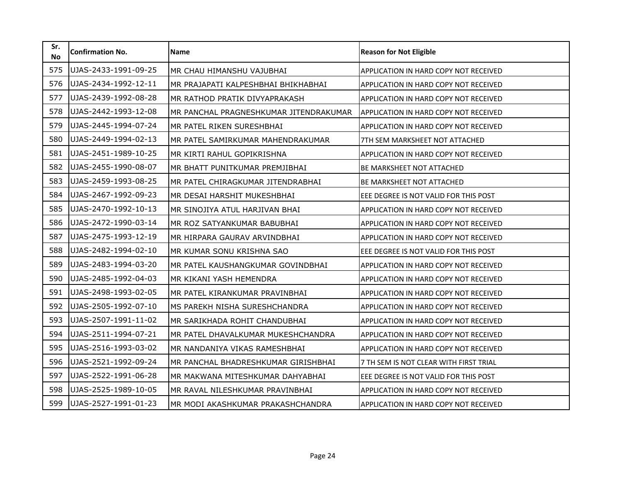| Sr.<br><b>No</b> | <b>Confirmation No.</b> | Name                                   | <b>Reason for Not Eligible</b>         |
|------------------|-------------------------|----------------------------------------|----------------------------------------|
| 575              | UJAS-2433-1991-09-25    | MR CHAU HIMANSHU VAJUBHAI              | APPLICATION IN HARD COPY NOT RECEIVED  |
| 576              | UJAS-2434-1992-12-11    | MR PRAJAPATI KALPESHBHAI BHIKHABHAI    | APPLICATION IN HARD COPY NOT RECEIVED  |
| 577              | UJAS-2439-1992-08-28    | MR RATHOD PRATIK DIVYAPRAKASH          | APPLICATION IN HARD COPY NOT RECEIVED  |
| 578              | UJAS-2442-1993-12-08    | MR PANCHAL PRAGNESHKUMAR JITENDRAKUMAR | APPLICATION IN HARD COPY NOT RECEIVED  |
| 579              | UJAS-2445-1994-07-24    | MR PATEL RIKEN SURESHBHAI              | APPLICATION IN HARD COPY NOT RECEIVED  |
| 580              | UJAS-2449-1994-02-13    | MR PATEL SAMIRKUMAR MAHENDRAKUMAR      | 7TH SEM MARKSHEET NOT ATTACHED         |
| 581              | UJAS-2451-1989-10-25    | MR KIRTI RAHUL GOPIKRISHNA             | APPLICATION IN HARD COPY NOT RECEIVED  |
| 582              | UJAS-2455-1990-08-07    | MR BHATT PUNITKUMAR PREMJIBHAI         | <b>BE MARKSHEET NOT ATTACHED</b>       |
| 583              | UJAS-2459-1993-08-25    | MR PATEL CHIRAGKUMAR JITENDRABHAI      | BE MARKSHEET NOT ATTACHED              |
| 584              | UJAS-2467-1992-09-23    | MR DESAI HARSHIT MUKESHBHAI            | EEE DEGREE IS NOT VALID FOR THIS POST  |
| 585              | UJAS-2470-1992-10-13    | MR SINOJIYA ATUL HARJIVAN BHAI         | APPLICATION IN HARD COPY NOT RECEIVED  |
| 586              | UJAS-2472-1990-03-14    | MR ROZ SATYANKUMAR BABUBHAI            | APPLICATION IN HARD COPY NOT RECEIVED  |
| 587              | UJAS-2475-1993-12-19    | MR HIRPARA GAURAV ARVINDBHAI           | APPLICATION IN HARD COPY NOT RECEIVED  |
| 588              | UJAS-2482-1994-02-10    | MR KUMAR SONU KRISHNA SAO              | EEE DEGREE IS NOT VALID FOR THIS POST  |
| 589              | UJAS-2483-1994-03-20    | MR PATEL KAUSHANGKUMAR GOVINDBHAI      | APPLICATION IN HARD COPY NOT RECEIVED  |
| 590              | UJAS-2485-1992-04-03    | MR KIKANI YASH HEMENDRA                | APPLICATION IN HARD COPY NOT RECEIVED  |
| 591              | UJAS-2498-1993-02-05    | MR PATEL KIRANKUMAR PRAVINBHAI         | APPLICATION IN HARD COPY NOT RECEIVED  |
| 592              | UJAS-2505-1992-07-10    | MS PAREKH NISHA SURESHCHANDRA          | APPLICATION IN HARD COPY NOT RECEIVED  |
| 593              | UJAS-2507-1991-11-02    | MR SARIKHADA ROHIT CHANDUBHAI          | APPLICATION IN HARD COPY NOT RECEIVED  |
| 594              | UJAS-2511-1994-07-21    | MR PATEL DHAVALKUMAR MUKESHCHANDRA     | APPLICATION IN HARD COPY NOT RECEIVED  |
| 595              | UJAS-2516-1993-03-02    | MR NANDANIYA VIKAS RAMESHBHAI          | APPLICATION IN HARD COPY NOT RECEIVED  |
| 596              | UJAS-2521-1992-09-24    | MR PANCHAL BHADRESHKUMAR GIRISHBHAI    | 7 TH SEM IS NOT CLEAR WITH FIRST TRIAL |
| 597              | UJAS-2522-1991-06-28    | MR MAKWANA MITESHKUMAR DAHYABHAI       | EEE DEGREE IS NOT VALID FOR THIS POST  |
| 598              | UJAS-2525-1989-10-05    | MR RAVAL NILESHKUMAR PRAVINBHAI        | APPLICATION IN HARD COPY NOT RECEIVED  |
| 599              | UJAS-2527-1991-01-23    | MR MODI AKASHKUMAR PRAKASHCHANDRA      | APPLICATION IN HARD COPY NOT RECEIVED  |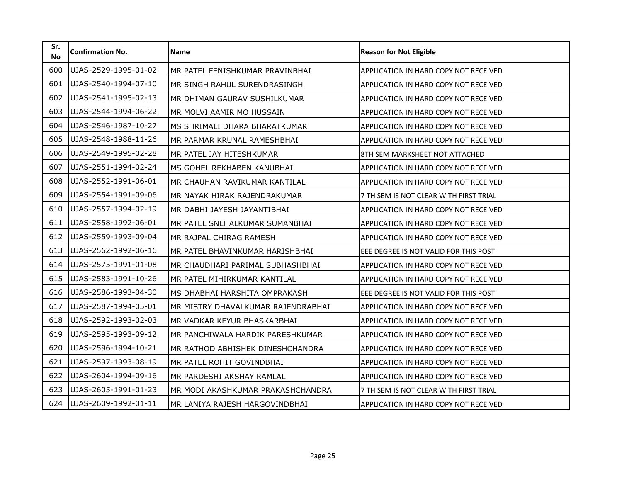| Sr.<br><b>No</b> | <b>Confirmation No.</b> | <b>Name</b>                        | <b>Reason for Not Eligible</b>               |
|------------------|-------------------------|------------------------------------|----------------------------------------------|
| 600              | UJAS-2529-1995-01-02    | MR PATEL FENISHKUMAR PRAVINBHAI    | APPLICATION IN HARD COPY NOT RECEIVED        |
| 601              | UJAS-2540-1994-07-10    | MR SINGH RAHUL SURENDRASINGH       | APPLICATION IN HARD COPY NOT RECEIVED        |
| 602              | UJAS-2541-1995-02-13    | MR DHIMAN GAURAV SUSHILKUMAR       | APPLICATION IN HARD COPY NOT RECEIVED        |
| 603              | UJAS-2544-1994-06-22    | MR MOLVI AAMIR MO HUSSAIN          | APPLICATION IN HARD COPY NOT RECEIVED        |
| 604              | UJAS-2546-1987-10-27    | MS SHRIMALI DHARA BHARATKUMAR      | APPLICATION IN HARD COPY NOT RECEIVED        |
| 605              | UJAS-2548-1988-11-26    | MR PARMAR KRUNAL RAMESHBHAI        | APPLICATION IN HARD COPY NOT RECEIVED        |
| 606              | UJAS-2549-1995-02-28    | MR PATEL JAY HITESHKUMAR           | 8TH SEM MARKSHEET NOT ATTACHED               |
| 607              | UJAS-2551-1994-02-24    | MS GOHEL REKHABEN KANUBHAI         | APPLICATION IN HARD COPY NOT RECEIVED        |
| 608              | UJAS-2552-1991-06-01    | MR CHAUHAN RAVIKUMAR KANTILAL      | APPLICATION IN HARD COPY NOT RECEIVED        |
| 609              | UJAS-2554-1991-09-06    | MR NAYAK HIRAK RAJENDRAKUMAR       | 7 TH SEM IS NOT CLEAR WITH FIRST TRIAL       |
| 610              | UJAS-2557-1994-02-19    | MR DABHI JAYESH JAYANTIBHAI        | APPLICATION IN HARD COPY NOT RECEIVED        |
| 611              | UJAS-2558-1992-06-01    | MR PATEL SNEHALKUMAR SUMANBHAI     | APPLICATION IN HARD COPY NOT RECEIVED        |
| 612              | UJAS-2559-1993-09-04    | MR RAJPAL CHIRAG RAMESH            | APPLICATION IN HARD COPY NOT RECEIVED        |
| 613              | UJAS-2562-1992-06-16    | MR PATEL BHAVINKUMAR HARISHBHAI    | EEE DEGREE IS NOT VALID FOR THIS POST        |
| 614              | UJAS-2575-1991-01-08    | MR CHAUDHARI PARIMAL SUBHASHBHAI   | APPLICATION IN HARD COPY NOT RECEIVED        |
| 615              | UJAS-2583-1991-10-26    | MR PATEL MIHIRKUMAR KANTILAL       | <b>APPLICATION IN HARD COPY NOT RECEIVED</b> |
| 616              | UJAS-2586-1993-04-30    | MS DHABHAI HARSHITA OMPRAKASH      | EEE DEGREE IS NOT VALID FOR THIS POST        |
| 617              | UJAS-2587-1994-05-01    | MR MISTRY DHAVALKUMAR RAJENDRABHAI | APPLICATION IN HARD COPY NOT RECEIVED        |
| 618              | UJAS-2592-1993-02-03    | MR VADKAR KEYUR BHASKARBHAI        | APPLICATION IN HARD COPY NOT RECEIVED        |
| 619              | UJAS-2595-1993-09-12    | MR PANCHIWALA HARDIK PARESHKUMAR   | APPLICATION IN HARD COPY NOT RECEIVED        |
| 620              | UJAS-2596-1994-10-21    | MR RATHOD ABHISHEK DINESHCHANDRA   | <b>APPLICATION IN HARD COPY NOT RECEIVED</b> |
| 621              | UJAS-2597-1993-08-19    | MR PATEL ROHIT GOVINDBHAI          | APPLICATION IN HARD COPY NOT RECEIVED        |
| 622              | UJAS-2604-1994-09-16    | MR PARDESHI AKSHAY RAMLAL          | <b>APPLICATION IN HARD COPY NOT RECEIVED</b> |
| 623              | UJAS-2605-1991-01-23    | MR MODI AKASHKUMAR PRAKASHCHANDRA  | 7 TH SEM IS NOT CLEAR WITH FIRST TRIAL       |
| 624              | UJAS-2609-1992-01-11    | MR LANIYA RAJESH HARGOVINDBHAI     | APPLICATION IN HARD COPY NOT RECEIVED        |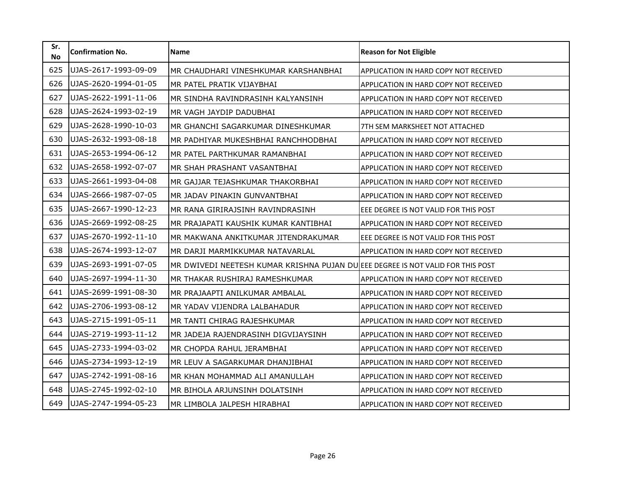| Sr.<br><b>No</b> | <b>Confirmation No.</b> | <b>Name</b>                                                                     | <b>Reason for Not Eligible</b>               |
|------------------|-------------------------|---------------------------------------------------------------------------------|----------------------------------------------|
| 625              | UJAS-2617-1993-09-09    | MR CHAUDHARI VINESHKUMAR KARSHANBHAI                                            | APPLICATION IN HARD COPY NOT RECEIVED        |
| 626              | UJAS-2620-1994-01-05    | MR PATEL PRATIK VIJAYBHAI                                                       | APPLICATION IN HARD COPY NOT RECEIVED        |
| 627              | UJAS-2622-1991-11-06    | MR SINDHA RAVINDRASINH KALYANSINH                                               | APPLICATION IN HARD COPY NOT RECEIVED        |
| 628              | UJAS-2624-1993-02-19    | MR VAGH JAYDIP DADUBHAI                                                         | APPLICATION IN HARD COPY NOT RECEIVED        |
| 629              | UJAS-2628-1990-10-03    | MR GHANCHI SAGARKUMAR DINESHKUMAR                                               | 7TH SEM MARKSHEET NOT ATTACHED               |
| 630              | UJAS-2632-1993-08-18    | MR PADHIYAR MUKESHBHAI RANCHHODBHAI                                             | APPLICATION IN HARD COPY NOT RECEIVED        |
| 631              | UJAS-2653-1994-06-12    | MR PATEL PARTHKUMAR RAMANBHAI                                                   | <b>APPLICATION IN HARD COPY NOT RECEIVED</b> |
| 632              | UJAS-2658-1992-07-07    | MR SHAH PRASHANT VASANTBHAI                                                     | APPLICATION IN HARD COPY NOT RECEIVED        |
| 633              | UJAS-2661-1993-04-08    | MR GAJJAR TEJASHKUMAR THAKORBHAI                                                | APPLICATION IN HARD COPY NOT RECEIVED        |
| 634              | UJAS-2666-1987-07-05    | MR JADAV PINAKIN GUNVANTBHAI                                                    | APPLICATION IN HARD COPY NOT RECEIVED        |
| 635              | UJAS-2667-1990-12-23    | MR RANA GIRIRAJSINH RAVINDRASINH                                                | EEE DEGREE IS NOT VALID FOR THIS POST        |
| 636              | UJAS-2669-1992-08-25    | MR PRAJAPATI KAUSHIK KUMAR KANTIBHAI                                            | APPLICATION IN HARD COPY NOT RECEIVED        |
| 637              | UJAS-2670-1992-11-10    | MR MAKWANA ANKITKUMAR JITENDRAKUMAR                                             | EEE DEGREE IS NOT VALID FOR THIS POST        |
| 638              | UJAS-2674-1993-12-07    | MR DARJI MARMIKKUMAR NATAVARLAL                                                 | APPLICATION IN HARD COPY NOT RECEIVED        |
| 639              | UJAS-2693-1991-07-05    | MR DWIVEDI NEETESH KUMAR KRISHNA PUJAN DU EEE DEGREE IS NOT VALID FOR THIS POST |                                              |
| 640              | UJAS-2697-1994-11-30    | MR THAKAR RUSHIRAJ RAMESHKUMAR                                                  | APPLICATION IN HARD COPY NOT RECEIVED        |
| 641              | UJAS-2699-1991-08-30    | MR PRAJAAPTI ANILKUMAR AMBALAL                                                  | APPLICATION IN HARD COPY NOT RECEIVED        |
| 642              | UJAS-2706-1993-08-12    | MR YADAV VIJENDRA LALBAHADUR                                                    | APPLICATION IN HARD COPY NOT RECEIVED        |
| 643              | UJAS-2715-1991-05-11    | MR TANTI CHIRAG RAJESHKUMAR                                                     | APPLICATION IN HARD COPY NOT RECEIVED        |
| 644              | UJAS-2719-1993-11-12    | MR JADEJA RAJENDRASINH DIGVIJAYSINH                                             | APPLICATION IN HARD COPY NOT RECEIVED        |
| 645              | UJAS-2733-1994-03-02    | MR CHOPDA RAHUL JERAMBHAI                                                       | <b>APPLICATION IN HARD COPY NOT RECEIVED</b> |
| 646              | UJAS-2734-1993-12-19    | MR LEUV A SAGARKUMAR DHANJIBHAI                                                 | APPLICATION IN HARD COPY NOT RECEIVED        |
| 647              | UJAS-2742-1991-08-16    | MR KHAN MOHAMMAD ALI AMANULLAH                                                  | <b>APPLICATION IN HARD COPY NOT RECEIVED</b> |
| 648              | UJAS-2745-1992-02-10    | MR BIHOLA ARJUNSINH DOLATSINH                                                   | APPLICATION IN HARD COPY NOT RECEIVED        |
| 649              | UJAS-2747-1994-05-23    | MR LIMBOLA JALPESH HIRABHAI                                                     | APPLICATION IN HARD COPY NOT RECEIVED        |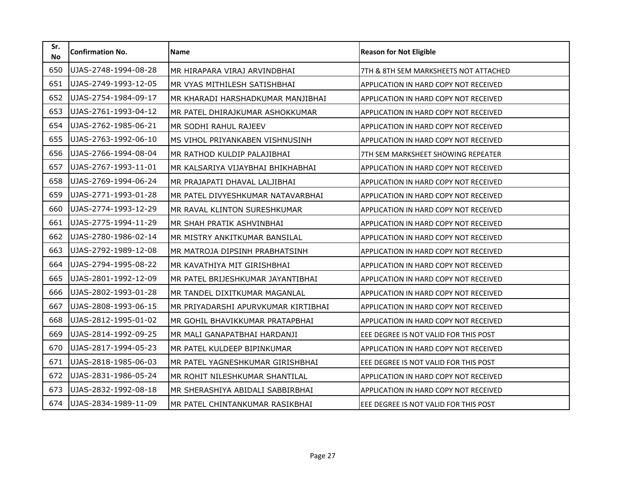| Sr.<br><b>No</b> | <b>Confirmation No.</b> | <b>Name</b>                         | <b>Reason for Not Eligible</b>               |
|------------------|-------------------------|-------------------------------------|----------------------------------------------|
| 650              | UJAS-2748-1994-08-28    | MR HIRAPARA VIRAJ ARVINDBHAI        | 7TH & 8TH SEM MARKSHEETS NOT ATTACHED        |
| 651              | UJAS-2749-1993-12-05    | MR VYAS MITHILESH SATISHBHAI        | APPLICATION IN HARD COPY NOT RECEIVED        |
| 652              | UJAS-2754-1984-09-17    | MR KHARADI HARSHADKUMAR MANJIBHAI   | APPLICATION IN HARD COPY NOT RECEIVED        |
| 653              | UJAS-2761-1993-04-12    | MR PATEL DHIRAJKUMAR ASHOKKUMAR     | APPLICATION IN HARD COPY NOT RECEIVED        |
| 654              | UJAS-2762-1985-06-21    | MR SODHI RAHUL RAJEEV               | APPLICATION IN HARD COPY NOT RECEIVED        |
| 655              | UJAS-2763-1992-06-10    | MS VIHOL PRIYANKABEN VISHNUSINH     | APPLICATION IN HARD COPY NOT RECEIVED        |
| 656              | UJAS-2766-1994-08-04    | MR RATHOD KULDIP PALAJIBHAI         | 7TH SEM MARKSHEET SHOWING REPEATER           |
| 657              | UJAS-2767-1993-11-01    | MR KALSARIYA VIJAYBHAI BHIKHABHAI   | APPLICATION IN HARD COPY NOT RECEIVED        |
| 658              | UJAS-2769-1994-06-24    | MR PRAJAPATI DHAVAL LALJIBHAI       | APPLICATION IN HARD COPY NOT RECEIVED        |
| 659              | UJAS-2771-1993-01-28    | MR PATEL DIVYESHKUMAR NATAVARBHAI   | APPLICATION IN HARD COPY NOT RECEIVED        |
| 660              | UJAS-2774-1993-12-29    | MR RAVAL KLINTON SURESHKUMAR        | APPLICATION IN HARD COPY NOT RECEIVED        |
| 661              | UJAS-2775-1994-11-29    | MR SHAH PRATIK ASHVINBHAI           | APPLICATION IN HARD COPY NOT RECEIVED        |
| 662              | UJAS-2780-1986-02-14    | MR MISTRY ANKITKUMAR BANSILAL       | APPLICATION IN HARD COPY NOT RECEIVED        |
| 663              | UJAS-2792-1989-12-08    | MR MATROJA DIPSINH PRABHATSINH      | APPLICATION IN HARD COPY NOT RECEIVED        |
| 664              | UJAS-2794-1995-08-22    | MR KAVATHIYA MIT GIRISHBHAI         | <b>APPLICATION IN HARD COPY NOT RECEIVED</b> |
| 665              | UJAS-2801-1992-12-09    | MR PATEL BRIJESHKUMAR JAYANTIBHAI   | APPLICATION IN HARD COPY NOT RECEIVED        |
| 666              | UJAS-2802-1993-01-28    | MR TANDEL DIXITKUMAR MAGANLAL       | APPLICATION IN HARD COPY NOT RECEIVED        |
| 667              | UJAS-2808-1993-06-15    | MR PRIYADARSHI APURVKUMAR KIRTIBHAI | APPLICATION IN HARD COPY NOT RECEIVED        |
| 668              | UJAS-2812-1995-01-02    | MR GOHIL BHAVIKKUMAR PRATAPBHAI     | APPLICATION IN HARD COPY NOT RECEIVED        |
| 669              | UJAS-2814-1992-09-25    | MR MALI GANAPATBHAI HARDANJI        | EEE DEGREE IS NOT VALID FOR THIS POST        |
| 670              | UJAS-2817-1994-05-23    | MR PATEL KULDEEP BIPINKUMAR         | APPLICATION IN HARD COPY NOT RECEIVED        |
| 671              | UJAS-2818-1985-06-03    | MR PATEL YAGNESHKUMAR GIRISHBHAI    | EEE DEGREE IS NOT VALID FOR THIS POST        |
| 672              | UJAS-2831-1986-05-24    | MR ROHIT NILESHKUMAR SHANTILAL      | <b>APPLICATION IN HARD COPY NOT RECEIVED</b> |
| 673              | UJAS-2832-1992-08-18    | MR SHERASHIYA ABIDALI SABBIRBHAI    | APPLICATION IN HARD COPY NOT RECEIVED        |
| 674              | UJAS-2834-1989-11-09    | MR PATEL CHINTANKUMAR RASIKBHAI     | EEE DEGREE IS NOT VALID FOR THIS POST        |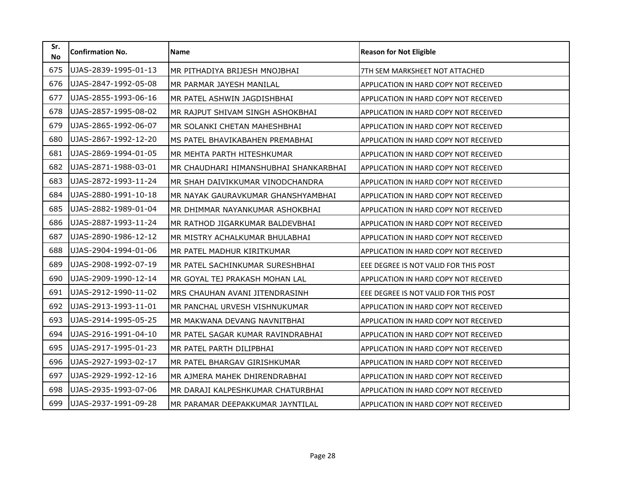| Sr.<br><b>No</b> | <b>Confirmation No.</b> | <b>Name</b>                           | <b>Reason for Not Eligible</b>               |
|------------------|-------------------------|---------------------------------------|----------------------------------------------|
| 675              | UJAS-2839-1995-01-13    | MR PITHADIYA BRIJESH MNOJBHAI         | 7TH SEM MARKSHEET NOT ATTACHED               |
| 676              | UJAS-2847-1992-05-08    | MR PARMAR JAYESH MANILAL              | APPLICATION IN HARD COPY NOT RECEIVED        |
| 677              | UJAS-2855-1993-06-16    | MR PATEL ASHWIN JAGDISHBHAI           | APPLICATION IN HARD COPY NOT RECEIVED        |
| 678              | UJAS-2857-1995-08-02    | MR RAJPUT SHIVAM SINGH ASHOKBHAI      | APPLICATION IN HARD COPY NOT RECEIVED        |
| 679              | UJAS-2865-1992-06-07    | MR SOLANKI CHETAN MAHESHBHAI          | APPLICATION IN HARD COPY NOT RECEIVED        |
| 680              | UJAS-2867-1992-12-20    | MS PATEL BHAVIKABAHEN PREMABHAI       | APPLICATION IN HARD COPY NOT RECEIVED        |
| 681              | UJAS-2869-1994-01-05    | MR MEHTA PARTH HITESHKUMAR            | APPLICATION IN HARD COPY NOT RECEIVED        |
| 682              | UJAS-2871-1988-03-01    | MR CHAUDHARI HIMANSHUBHAI SHANKARBHAI | APPLICATION IN HARD COPY NOT RECEIVED        |
| 683              | UJAS-2872-1993-11-24    | MR SHAH DAIVIKKUMAR VINODCHANDRA      | <b>APPLICATION IN HARD COPY NOT RECEIVED</b> |
| 684              | UJAS-2880-1991-10-18    | MR NAYAK GAURAVKUMAR GHANSHYAMBHAI    | APPLICATION IN HARD COPY NOT RECEIVED        |
| 685              | UJAS-2882-1989-01-04    | MR DHIMMAR NAYANKUMAR ASHOKBHAI       | APPLICATION IN HARD COPY NOT RECEIVED        |
| 686              | UJAS-2887-1993-11-24    | MR RATHOD JIGARKUMAR BALDEVBHAI       | APPLICATION IN HARD COPY NOT RECEIVED        |
| 687              | UJAS-2890-1986-12-12    | MR MISTRY ACHALKUMAR BHULABHAI        | APPLICATION IN HARD COPY NOT RECEIVED        |
| 688              | UJAS-2904-1994-01-06    | MR PATEL MADHUR KIRITKUMAR            | APPLICATION IN HARD COPY NOT RECEIVED        |
| 689              | UJAS-2908-1992-07-19    | MR PATEL SACHINKUMAR SURESHBHAI       | EEE DEGREE IS NOT VALID FOR THIS POST        |
| 690              | UJAS-2909-1990-12-14    | MR GOYAL TEJ PRAKASH MOHAN LAL        | APPLICATION IN HARD COPY NOT RECEIVED        |
| 691              | UJAS-2912-1990-11-02    | MRS CHAUHAN AVANI JITENDRASINH        | EEE DEGREE IS NOT VALID FOR THIS POST        |
| 692              | UJAS-2913-1993-11-01    | MR PANCHAL URVESH VISHNUKUMAR         | APPLICATION IN HARD COPY NOT RECEIVED        |
| 693              | UJAS-2914-1995-05-25    | MR MAKWANA DEVANG NAVNITBHAI          | APPLICATION IN HARD COPY NOT RECEIVED        |
| 694              | UJAS-2916-1991-04-10    | MR PATEL SAGAR KUMAR RAVINDRABHAI     | APPLICATION IN HARD COPY NOT RECEIVED        |
| 695              | UJAS-2917-1995-01-23    | MR PATEL PARTH DILIPBHAI              | <b>APPLICATION IN HARD COPY NOT RECEIVED</b> |
| 696              | UJAS-2927-1993-02-17    | MR PATEL BHARGAV GIRISHKUMAR          | APPLICATION IN HARD COPY NOT RECEIVED        |
| 697              | UJAS-2929-1992-12-16    | MR AJMERA MAHEK DHIRENDRABHAI         | <b>APPLICATION IN HARD COPY NOT RECEIVED</b> |
| 698              | UJAS-2935-1993-07-06    | MR DARAJI KALPESHKUMAR CHATURBHAI     | APPLICATION IN HARD COPY NOT RECEIVED        |
| 699              | UJAS-2937-1991-09-28    | MR PARAMAR DEEPAKKUMAR JAYNTILAL      | APPLICATION IN HARD COPY NOT RECEIVED        |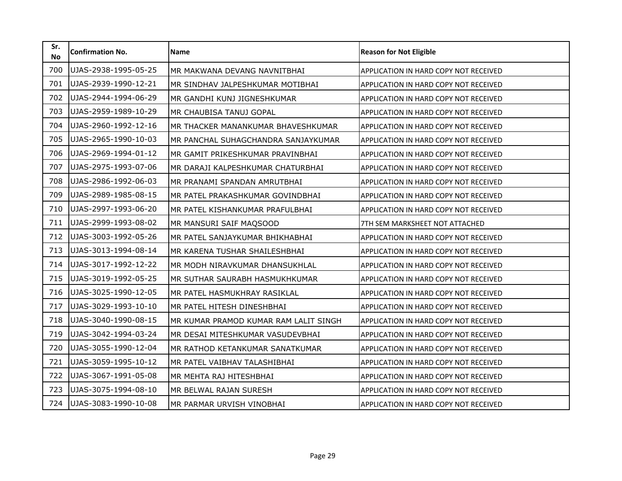| Sr.<br><b>No</b> | <b>Confirmation No.</b> | <b>Name</b>                           | <b>Reason for Not Eligible</b>               |
|------------------|-------------------------|---------------------------------------|----------------------------------------------|
| 700              | UJAS-2938-1995-05-25    | MR MAKWANA DEVANG NAVNITBHAI          | APPLICATION IN HARD COPY NOT RECEIVED        |
| 701              | UJAS-2939-1990-12-21    | MR SINDHAV JALPESHKUMAR MOTIBHAI      | <b>APPLICATION IN HARD COPY NOT RECEIVED</b> |
| 702              | UJAS-2944-1994-06-29    | MR GANDHI KUNJ JIGNESHKUMAR           | APPLICATION IN HARD COPY NOT RECEIVED        |
| 703              | UJAS-2959-1989-10-29    | MR CHAUBISA TANUJ GOPAL               | APPLICATION IN HARD COPY NOT RECEIVED        |
| 704              | UJAS-2960-1992-12-16    | MR THACKER MANANKUMAR BHAVESHKUMAR    | APPLICATION IN HARD COPY NOT RECEIVED        |
| 705              | UJAS-2965-1990-10-03    | MR PANCHAL SUHAGCHANDRA SANJAYKUMAR   | APPLICATION IN HARD COPY NOT RECEIVED        |
| 706              | UJAS-2969-1994-01-12    | MR GAMIT PRIKESHKUMAR PRAVINBHAI      | APPLICATION IN HARD COPY NOT RECEIVED        |
| 707              | UJAS-2975-1993-07-06    | MR DARAJI KALPESHKUMAR CHATURBHAI     | APPLICATION IN HARD COPY NOT RECEIVED        |
| 708              | UJAS-2986-1992-06-03    | MR PRANAMI SPANDAN AMRUTBHAI          | APPLICATION IN HARD COPY NOT RECEIVED        |
| 709              | UJAS-2989-1985-08-15    | MR PATEL PRAKASHKUMAR GOVINDBHAI      | <b>APPLICATION IN HARD COPY NOT RECEIVED</b> |
| 710              | UJAS-2997-1993-06-20    | MR PATEL KISHANKUMAR PRAFULBHAI       | APPLICATION IN HARD COPY NOT RECEIVED        |
| 711              | UJAS-2999-1993-08-02    | MR MANSURI SAIF MAQSOOD               | 7TH SEM MARKSHEET NOT ATTACHED               |
| 712              | UJAS-3003-1992-05-26    | MR PATEL SANJAYKUMAR BHIKHABHAI       | APPLICATION IN HARD COPY NOT RECEIVED        |
| 713              | UJAS-3013-1994-08-14    | MR KARENA TUSHAR SHAILESHBHAI         | APPLICATION IN HARD COPY NOT RECEIVED        |
| 714              | UJAS-3017-1992-12-22    | MR MODH NIRAVKUMAR DHANSUKHLAL        | APPLICATION IN HARD COPY NOT RECEIVED        |
| 715              | UJAS-3019-1992-05-25    | MR SUTHAR SAURABH HASMUKHKUMAR        | <b>APPLICATION IN HARD COPY NOT RECEIVED</b> |
| 716              | UJAS-3025-1990-12-05    | MR PATEL HASMUKHRAY RASIKLAL          | APPLICATION IN HARD COPY NOT RECEIVED        |
| 717              | UJAS-3029-1993-10-10    | MR PATEL HITESH DINESHBHAI            | APPLICATION IN HARD COPY NOT RECEIVED        |
| 718              | UJAS-3040-1990-08-15    | MR KUMAR PRAMOD KUMAR RAM LALIT SINGH | APPLICATION IN HARD COPY NOT RECEIVED        |
| 719              | UJAS-3042-1994-03-24    | MR DESAI MITESHKUMAR VASUDEVBHAI      | APPLICATION IN HARD COPY NOT RECEIVED        |
| 720              | UJAS-3055-1990-12-04    | MR RATHOD KETANKUMAR SANATKUMAR       | APPLICATION IN HARD COPY NOT RECEIVED        |
| 721              | UJAS-3059-1995-10-12    | MR PATEL VAIBHAV TALASHIBHAI          | APPLICATION IN HARD COPY NOT RECEIVED        |
| 722              | UJAS-3067-1991-05-08    | MR MEHTA RAJ HITESHBHAI               | APPLICATION IN HARD COPY NOT RECEIVED        |
| 723              | UJAS-3075-1994-08-10    | MR BELWAL RAJAN SURESH                | APPLICATION IN HARD COPY NOT RECEIVED        |
| 724              | UJAS-3083-1990-10-08    | MR PARMAR URVISH VINOBHAI             | APPLICATION IN HARD COPY NOT RECEIVED        |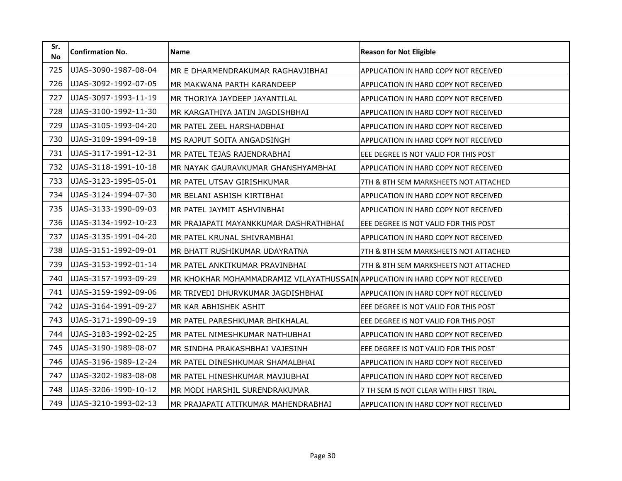| Sr.<br><b>No</b> | <b>Confirmation No.</b> | <b>Name</b>                                                                   | <b>Reason for Not Eligible</b>               |
|------------------|-------------------------|-------------------------------------------------------------------------------|----------------------------------------------|
| 725              | UJAS-3090-1987-08-04    | MR E DHARMENDRAKUMAR RAGHAVJIBHAI                                             | APPLICATION IN HARD COPY NOT RECEIVED        |
| 726              | UJAS-3092-1992-07-05    | MR MAKWANA PARTH KARANDEEP                                                    | APPLICATION IN HARD COPY NOT RECEIVED        |
| 727              | UJAS-3097-1993-11-19    | MR THORIYA JAYDEEP JAYANTILAL                                                 | APPLICATION IN HARD COPY NOT RECEIVED        |
| 728              | UJAS-3100-1992-11-30    | MR KARGATHIYA JATIN JAGDISHBHAI                                               | APPLICATION IN HARD COPY NOT RECEIVED        |
| 729              | UJAS-3105-1993-04-20    | MR PATEL ZEEL HARSHADBHAI                                                     | APPLICATION IN HARD COPY NOT RECEIVED        |
| 730              | UJAS-3109-1994-09-18    | MS RAJPUT SOITA ANGADSINGH                                                    | APPLICATION IN HARD COPY NOT RECEIVED        |
| 731              | UJAS-3117-1991-12-31    | MR PATEL TEJAS RAJENDRABHAI                                                   | EEE DEGREE IS NOT VALID FOR THIS POST        |
| 732              | UJAS-3118-1991-10-18    | MR NAYAK GAURAVKUMAR GHANSHYAMBHAI                                            | APPLICATION IN HARD COPY NOT RECEIVED        |
| 733              | UJAS-3123-1995-05-01    | MR PATEL UTSAV GIRISHKUMAR                                                    | 7TH & 8TH SEM MARKSHEETS NOT ATTACHED        |
| 734              | UJAS-3124-1994-07-30    | MR BELANI ASHISH KIRTIBHAI                                                    | APPLICATION IN HARD COPY NOT RECEIVED        |
| 735              | UJAS-3133-1990-09-03    | MR PATEL JAYMIT ASHVINBHAI                                                    | APPLICATION IN HARD COPY NOT RECEIVED        |
| 736              | UJAS-3134-1992-10-23    | MR PRAJAPATI MAYANKKUMAR DASHRATHBHAI                                         | EEE DEGREE IS NOT VALID FOR THIS POST        |
| 737              | UJAS-3135-1991-04-20    | MR PATEL KRUNAL SHIVRAMBHAI                                                   | APPLICATION IN HARD COPY NOT RECEIVED        |
| 738              | UJAS-3151-1992-09-01    | MR BHATT RUSHIKUMAR UDAYRATNA                                                 | 7TH & 8TH SEM MARKSHEETS NOT ATTACHED        |
| 739              | UJAS-3153-1992-01-14    | MR PATEL ANKITKUMAR PRAVINBHAI                                                | 7TH & 8TH SEM MARKSHEETS NOT ATTACHED        |
| 740              | UJAS-3157-1993-09-29    | MR KHOKHAR MOHAMMADRAMIZ VILAYATHUSSAIN APPLICATION IN HARD COPY NOT RECEIVED |                                              |
| 741              | UJAS-3159-1992-09-06    | MR TRIVEDI DHURVKUMAR JAGDISHBHAI                                             | APPLICATION IN HARD COPY NOT RECEIVED        |
| 742              | UJAS-3164-1991-09-27    | MR KAR ABHISHEK ASHIT                                                         | EEE DEGREE IS NOT VALID FOR THIS POST        |
| 743              | UJAS-3171-1990-09-19    | MR PATEL PARESHKUMAR BHIKHALAL                                                | EEE DEGREE IS NOT VALID FOR THIS POST        |
| 744              | UJAS-3183-1992-02-25    | MR PATEL NIMESHKUMAR NATHUBHAI                                                | APPLICATION IN HARD COPY NOT RECEIVED        |
| 745              | UJAS-3190-1989-08-07    | MR SINDHA PRAKASHBHAI VAJESINH                                                | EEE DEGREE IS NOT VALID FOR THIS POST        |
| 746              | UJAS-3196-1989-12-24    | MR PATEL DINESHKUMAR SHAMALBHAI                                               | APPLICATION IN HARD COPY NOT RECEIVED        |
| 747              | UJAS-3202-1983-08-08    | MR PATEL HINESHKUMAR MAVJUBHAI                                                | <b>APPLICATION IN HARD COPY NOT RECEIVED</b> |
| 748              | UJAS-3206-1990-10-12    | MR MODI HARSHIL SURENDRAKUMAR                                                 | 7 TH SEM IS NOT CLEAR WITH FIRST TRIAL       |
| 749              | UJAS-3210-1993-02-13    | MR PRAJAPATI ATITKUMAR MAHENDRABHAI                                           | APPLICATION IN HARD COPY NOT RECEIVED        |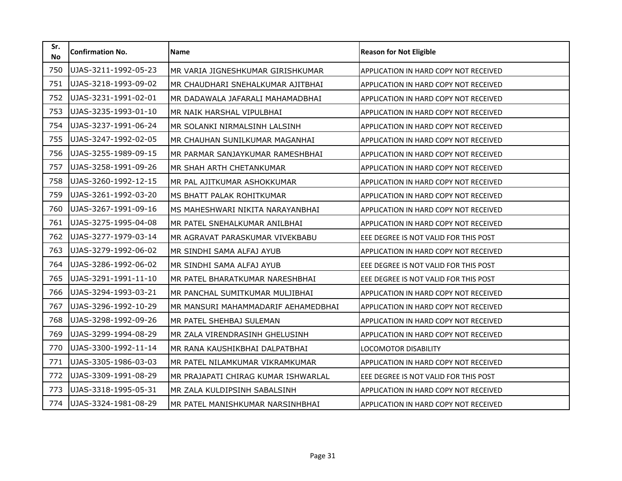| Sr.<br><b>No</b> | <b>Confirmation No.</b> | <b>Name</b>                         | <b>Reason for Not Eligible</b>               |
|------------------|-------------------------|-------------------------------------|----------------------------------------------|
| 750              | UJAS-3211-1992-05-23    | MR VARIA JIGNESHKUMAR GIRISHKUMAR   | APPLICATION IN HARD COPY NOT RECEIVED        |
| 751              | UJAS-3218-1993-09-02    | MR CHAUDHARI SNEHALKUMAR AJITBHAI   | APPLICATION IN HARD COPY NOT RECEIVED        |
| 752              | UJAS-3231-1991-02-01    | MR DADAWALA JAFARALI MAHAMADBHAI    | APPLICATION IN HARD COPY NOT RECEIVED        |
| 753              | UJAS-3235-1993-01-10    | MR NAIK HARSHAL VIPULBHAI           | APPLICATION IN HARD COPY NOT RECEIVED        |
| 754              | UJAS-3237-1991-06-24    | MR SOLANKI NIRMALSINH LALSINH       | APPLICATION IN HARD COPY NOT RECEIVED        |
| 755              | UJAS-3247-1992-02-05    | MR CHAUHAN SUNILKUMAR MAGANHAI      | APPLICATION IN HARD COPY NOT RECEIVED        |
| 756              | UJAS-3255-1989-09-15    | MR PARMAR SANJAYKUMAR RAMESHBHAI    | <b>APPLICATION IN HARD COPY NOT RECEIVED</b> |
| 757              | UJAS-3258-1991-09-26    | MR SHAH ARTH CHETANKUMAR            | APPLICATION IN HARD COPY NOT RECEIVED        |
| 758              | UJAS-3260-1992-12-15    | MR PAL AJITKUMAR ASHOKKUMAR         | APPLICATION IN HARD COPY NOT RECEIVED        |
| 759              | UJAS-3261-1992-03-20    | MS BHATT PALAK ROHITKUMAR           | APPLICATION IN HARD COPY NOT RECEIVED        |
| 760              | UJAS-3267-1991-09-16    | MS MAHESHWARI NIKITA NARAYANBHAI    | APPLICATION IN HARD COPY NOT RECEIVED        |
| 761              | UJAS-3275-1995-04-08    | MR PATEL SNEHALKUMAR ANILBHAI       | APPLICATION IN HARD COPY NOT RECEIVED        |
| 762              | UJAS-3277-1979-03-14    | MR AGRAVAT PARASKUMAR VIVEKBABU     | EEE DEGREE IS NOT VALID FOR THIS POST        |
| 763              | UJAS-3279-1992-06-02    | MR SINDHI SAMA ALFAJ AYUB           | APPLICATION IN HARD COPY NOT RECEIVED        |
| 764              | UJAS-3286-1992-06-02    | MR SINDHI SAMA ALFAJ AYUB           | EEE DEGREE IS NOT VALID FOR THIS POST        |
| 765              | UJAS-3291-1991-11-10    | MR PATEL BHARATKUMAR NARESHBHAI     | EEE DEGREE IS NOT VALID FOR THIS POST        |
| 766              | UJAS-3294-1993-03-21    | MR PANCHAL SUMITKUMAR MULJIBHAI     | APPLICATION IN HARD COPY NOT RECEIVED        |
| 767              | UJAS-3296-1992-10-29    | MR MANSURI MAHAMMADARIF AEHAMEDBHAI | APPLICATION IN HARD COPY NOT RECEIVED        |
| 768              | UJAS-3298-1992-09-26    | MR PATEL SHEHBAJ SULEMAN            | APPLICATION IN HARD COPY NOT RECEIVED        |
| 769              | UJAS-3299-1994-08-29    | MR ZALA VIRENDRASINH GHELUSINH      | APPLICATION IN HARD COPY NOT RECEIVED        |
| 770              | UJAS-3300-1992-11-14    | MR RANA KAUSHIKBHAI DALPATBHAI      | <b>LOCOMOTOR DISABILITY</b>                  |
| 771              | UJAS-3305-1986-03-03    | MR PATEL NILAMKUMAR VIKRAMKUMAR     | <b>APPLICATION IN HARD COPY NOT RECEIVED</b> |
| 772              | UJAS-3309-1991-08-29    | MR PRAJAPATI CHIRAG KUMAR ISHWARLAL | EEE DEGREE IS NOT VALID FOR THIS POST        |
| 773              | UJAS-3318-1995-05-31    | MR ZALA KULDIPSINH SABALSINH        | APPLICATION IN HARD COPY NOT RECEIVED        |
| 774              | UJAS-3324-1981-08-29    | MR PATEL MANISHKUMAR NARSINHBHAI    | APPLICATION IN HARD COPY NOT RECEIVED        |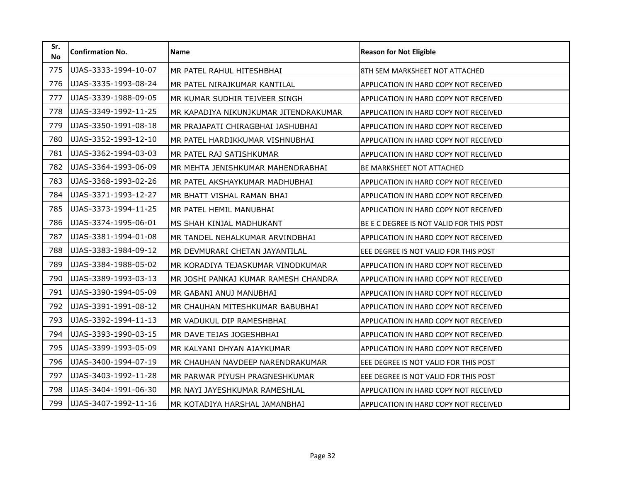| Sr.<br><b>No</b> | <b>Confirmation No.</b> | <b>Name</b>                           | <b>Reason for Not Eligible</b>               |
|------------------|-------------------------|---------------------------------------|----------------------------------------------|
| 775              | UJAS-3333-1994-10-07    | MR PATEL RAHUL HITESHBHAI             | 8TH SEM MARKSHEET NOT ATTACHED               |
| 776              | UJAS-3335-1993-08-24    | MR PATEL NIRAJKUMAR KANTILAL          | <b>APPLICATION IN HARD COPY NOT RECEIVED</b> |
| 777              | UJAS-3339-1988-09-05    | MR KUMAR SUDHIR TEJVEER SINGH         | APPLICATION IN HARD COPY NOT RECEIVED        |
| 778              | UJAS-3349-1992-11-25    | MR KAPADIYA NIKUNJKUMAR JITENDRAKUMAR | APPLICATION IN HARD COPY NOT RECEIVED        |
| 779              | UJAS-3350-1991-08-18    | MR PRAJAPATI CHIRAGBHAI JASHUBHAI     | APPLICATION IN HARD COPY NOT RECEIVED        |
| 780              | UJAS-3352-1993-12-10    | MR PATEL HARDIKKUMAR VISHNUBHAI       | APPLICATION IN HARD COPY NOT RECEIVED        |
| 781              | UJAS-3362-1994-03-03    | MR PATEL RAJ SATISHKUMAR              | APPLICATION IN HARD COPY NOT RECEIVED        |
| 782              | UJAS-3364-1993-06-09    | MR MEHTA JENISHKUMAR MAHENDRABHAI     | <b>BE MARKSHEET NOT ATTACHED</b>             |
| 783              | UJAS-3368-1993-02-26    | MR PATEL AKSHAYKUMAR MADHUBHAI        | APPLICATION IN HARD COPY NOT RECEIVED        |
| 784              | UJAS-3371-1993-12-27    | MR BHATT VISHAL RAMAN BHAI            | APPLICATION IN HARD COPY NOT RECEIVED        |
| 785              | UJAS-3373-1994-11-25    | MR PATEL HEMIL MANUBHAI               | APPLICATION IN HARD COPY NOT RECEIVED        |
| 786              | UJAS-3374-1995-06-01    | MS SHAH KINJAL MADHUKANT              | BE E C DEGREE IS NOT VALID FOR THIS POST     |
| 787              | UJAS-3381-1994-01-08    | MR TANDEL NEHALKUMAR ARVINDBHAI       | APPLICATION IN HARD COPY NOT RECEIVED        |
| 788              | UJAS-3383-1984-09-12    | MR DEVMURARI CHETAN JAYANTILAL        | EEE DEGREE IS NOT VALID FOR THIS POST        |
| 789              | UJAS-3384-1988-05-02    | MR KORADIYA TEJASKUMAR VINODKUMAR     | APPLICATION IN HARD COPY NOT RECEIVED        |
| 790              | UJAS-3389-1993-03-13    | MR JOSHI PANKAJ KUMAR RAMESH CHANDRA  | APPLICATION IN HARD COPY NOT RECEIVED        |
| 791              | UJAS-3390-1994-05-09    | MR GABANI ANUJ MANUBHAI               | APPLICATION IN HARD COPY NOT RECEIVED        |
| 792              | UJAS-3391-1991-08-12    | MR CHAUHAN MITESHKUMAR BABUBHAI       | APPLICATION IN HARD COPY NOT RECEIVED        |
| 793              | UJAS-3392-1994-11-13    | MR VADUKUL DIP RAMESHBHAI             | APPLICATION IN HARD COPY NOT RECEIVED        |
| 794              | UJAS-3393-1990-03-15    | MR DAVE TEJAS JOGESHBHAI              | APPLICATION IN HARD COPY NOT RECEIVED        |
| 795              | UJAS-3399-1993-05-09    | MR KALYANI DHYAN AJAYKUMAR            | APPLICATION IN HARD COPY NOT RECEIVED        |
| 796              | UJAS-3400-1994-07-19    | MR CHAUHAN NAVDEEP NARENDRAKUMAR      | EEE DEGREE IS NOT VALID FOR THIS POST        |
| 797              | UJAS-3403-1992-11-28    | MR PARWAR PIYUSH PRAGNESHKUMAR        | EEE DEGREE IS NOT VALID FOR THIS POST        |
| 798              | UJAS-3404-1991-06-30    | MR NAYI JAYESHKUMAR RAMESHLAL         | APPLICATION IN HARD COPY NOT RECEIVED        |
| 799              | UJAS-3407-1992-11-16    | MR KOTADIYA HARSHAL JAMANBHAI         | APPLICATION IN HARD COPY NOT RECEIVED        |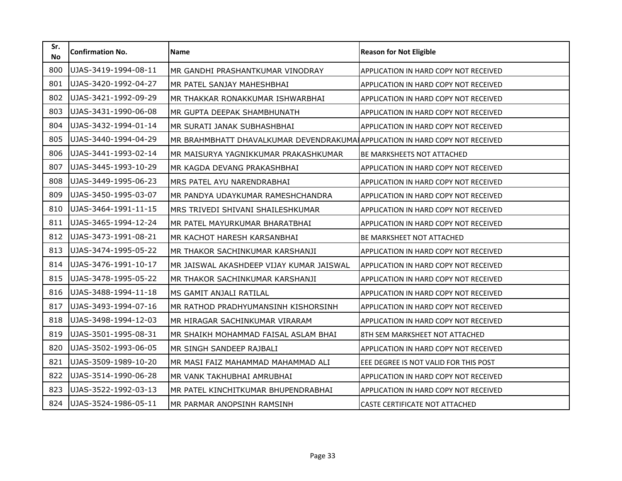| Sr.<br><b>No</b> | <b>Confirmation No.</b> | Name                                                                          | <b>Reason for Not Eligible</b>        |
|------------------|-------------------------|-------------------------------------------------------------------------------|---------------------------------------|
| 800              | UJAS-3419-1994-08-11    | MR GANDHI PRASHANTKUMAR VINODRAY                                              | APPLICATION IN HARD COPY NOT RECEIVED |
| 801              | UJAS-3420-1992-04-27    | MR PATEL SANJAY MAHESHBHAI                                                    | APPLICATION IN HARD COPY NOT RECEIVED |
| 802              | UJAS-3421-1992-09-29    | MR THAKKAR RONAKKUMAR ISHWARBHAI                                              | APPLICATION IN HARD COPY NOT RECEIVED |
| 803              | UJAS-3431-1990-06-08    | MR GUPTA DEEPAK SHAMBHUNATH                                                   | APPLICATION IN HARD COPY NOT RECEIVED |
| 804              | UJAS-3432-1994-01-14    | MR SURATI JANAK SUBHASHBHAI                                                   | APPLICATION IN HARD COPY NOT RECEIVED |
| 805              | UJAS-3440-1994-04-29    | MR BRAHMBHATT DHAVALKUMAR DEVENDRAKUMAI APPLICATION IN HARD COPY NOT RECEIVED |                                       |
| 806              | UJAS-3441-1993-02-14    | MR MAISURYA YAGNIKKUMAR PRAKASHKUMAR                                          | BE MARKSHEETS NOT ATTACHED            |
| 807              | UJAS-3445-1993-10-29    | MR KAGDA DEVANG PRAKASHBHAI                                                   | APPLICATION IN HARD COPY NOT RECEIVED |
| 808              | UJAS-3449-1995-06-23    | MRS PATEL AYU NARENDRABHAI                                                    | APPLICATION IN HARD COPY NOT RECEIVED |
| 809              | UJAS-3450-1995-03-07    | MR PANDYA UDAYKUMAR RAMESHCHANDRA                                             | APPLICATION IN HARD COPY NOT RECEIVED |
| 810              | UJAS-3464-1991-11-15    | MRS TRIVEDI SHIVANI SHAILESHKUMAR                                             | APPLICATION IN HARD COPY NOT RECEIVED |
| 811              | UJAS-3465-1994-12-24    | MR PATEL MAYURKUMAR BHARATBHAI                                                | APPLICATION IN HARD COPY NOT RECEIVED |
| 812              | UJAS-3473-1991-08-21    | MR KACHOT HARESH KARSANBHAI                                                   | <b>BE MARKSHEET NOT ATTACHED</b>      |
| 813              | UJAS-3474-1995-05-22    | MR THAKOR SACHINKUMAR KARSHANJI                                               | APPLICATION IN HARD COPY NOT RECEIVED |
| 814              | UJAS-3476-1991-10-17    | MR JAISWAL AKASHDEEP VIJAY KUMAR JAISWAL                                      | APPLICATION IN HARD COPY NOT RECEIVED |
| 815              | UJAS-3478-1995-05-22    | MR THAKOR SACHINKUMAR KARSHANJI                                               | APPLICATION IN HARD COPY NOT RECEIVED |
| 816              | UJAS-3488-1994-11-18    | MS GAMIT ANJALI RATILAL                                                       | APPLICATION IN HARD COPY NOT RECEIVED |
| 817              | UJAS-3493-1994-07-16    | MR RATHOD PRADHYUMANSINH KISHORSINH                                           | APPLICATION IN HARD COPY NOT RECEIVED |
| 818              | UJAS-3498-1994-12-03    | MR HIRAGAR SACHINKUMAR VIRARAM                                                | APPLICATION IN HARD COPY NOT RECEIVED |
| 819              | UJAS-3501-1995-08-31    | MR SHAIKH MOHAMMAD FAISAL ASLAM BHAI                                          | 8TH SEM MARKSHEET NOT ATTACHED        |
| 820              | UJAS-3502-1993-06-05    | MR SINGH SANDEEP RAJBALI                                                      | APPLICATION IN HARD COPY NOT RECEIVED |
| 821              | UJAS-3509-1989-10-20    | MR MASI FAIZ MAHAMMAD MAHAMMAD ALI                                            | EEE DEGREE IS NOT VALID FOR THIS POST |
| 822              | UJAS-3514-1990-06-28    | MR VANK TAKHUBHAI AMRUBHAI                                                    | APPLICATION IN HARD COPY NOT RECEIVED |
| 823              | UJAS-3522-1992-03-13    | MR PATEL KINCHITKUMAR BHUPENDRABHAI                                           | APPLICATION IN HARD COPY NOT RECEIVED |
| 824              | UJAS-3524-1986-05-11    | MR PARMAR ANOPSINH RAMSINH                                                    | CASTE CERTIFICATE NOT ATTACHED        |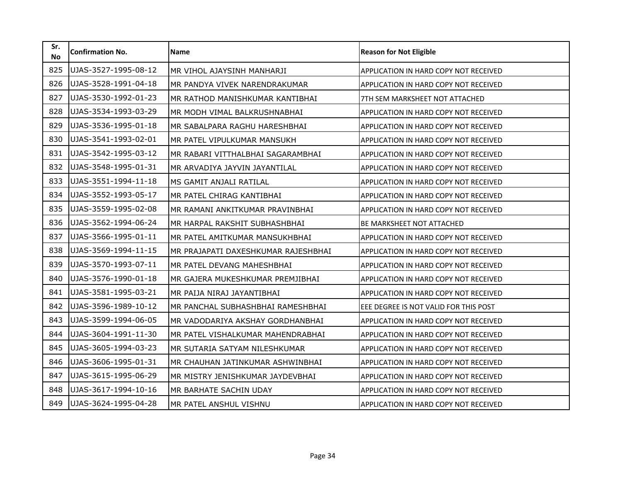| Sr.<br><b>No</b> | <b>Confirmation No.</b> | <b>Name</b>                         | <b>Reason for Not Eligible</b>               |
|------------------|-------------------------|-------------------------------------|----------------------------------------------|
| 825              | UJAS-3527-1995-08-12    | MR VIHOL AJAYSINH MANHARJI          | APPLICATION IN HARD COPY NOT RECEIVED        |
| 826              | UJAS-3528-1991-04-18    | MR PANDYA VIVEK NARENDRAKUMAR       | APPLICATION IN HARD COPY NOT RECEIVED        |
| 827              | UJAS-3530-1992-01-23    | MR RATHOD MANISHKUMAR KANTIBHAI     | 7TH SEM MARKSHEET NOT ATTACHED               |
| 828              | UJAS-3534-1993-03-29    | MR MODH VIMAL BALKRUSHNABHAI        | APPLICATION IN HARD COPY NOT RECEIVED        |
| 829              | UJAS-3536-1995-01-18    | MR SABALPARA RAGHU HARESHBHAI       | APPLICATION IN HARD COPY NOT RECEIVED        |
| 830              | UJAS-3541-1993-02-01    | MR PATEL VIPULKUMAR MANSUKH         | APPLICATION IN HARD COPY NOT RECEIVED        |
| 831              | UJAS-3542-1995-03-12    | MR RABARI VITTHALBHAI SAGARAMBHAI   | APPLICATION IN HARD COPY NOT RECEIVED        |
| 832              | UJAS-3548-1995-01-31    | MR ARVADIYA JAYVIN JAYANTILAL       | APPLICATION IN HARD COPY NOT RECEIVED        |
| 833              | UJAS-3551-1994-11-18    | MS GAMIT ANJALI RATILAL             | APPLICATION IN HARD COPY NOT RECEIVED        |
| 834              | UJAS-3552-1993-05-17    | MR PATEL CHIRAG KANTIBHAI           | APPLICATION IN HARD COPY NOT RECEIVED        |
| 835              | UJAS-3559-1995-02-08    | MR RAMANI ANKITKUMAR PRAVINBHAI     | APPLICATION IN HARD COPY NOT RECEIVED        |
| 836              | UJAS-3562-1994-06-24    | MR HARPAL RAKSHIT SUBHASHBHAI       | <b>BE MARKSHEET NOT ATTACHED</b>             |
| 837              | UJAS-3566-1995-01-11    | MR PATEL AMITKUMAR MANSUKHBHAI      | APPLICATION IN HARD COPY NOT RECEIVED        |
| 838              | UJAS-3569-1994-11-15    | MR PRAJAPATI DAXESHKUMAR RAJESHBHAI | APPLICATION IN HARD COPY NOT RECEIVED        |
| 839              | UJAS-3570-1993-07-11    | MR PATEL DEVANG MAHESHBHAI          | <b>APPLICATION IN HARD COPY NOT RECEIVED</b> |
| 840              | UJAS-3576-1990-01-18    | MR GAJERA MUKESHKUMAR PREMJIBHAI    | APPLICATION IN HARD COPY NOT RECEIVED        |
| 841              | UJAS-3581-1995-03-21    | MR PAIJA NIRAJ JAYANTIBHAI          | APPLICATION IN HARD COPY NOT RECEIVED        |
| 842              | UJAS-3596-1989-10-12    | MR PANCHAL SUBHASHBHAI RAMESHBHAI   | EEE DEGREE IS NOT VALID FOR THIS POST        |
| 843              | UJAS-3599-1994-06-05    | MR VADODARIYA AKSHAY GORDHANBHAI    | APPLICATION IN HARD COPY NOT RECEIVED        |
| 844              | UJAS-3604-1991-11-30    | MR PATEL VISHALKUMAR MAHENDRABHAI   | APPLICATION IN HARD COPY NOT RECEIVED        |
| 845              | UJAS-3605-1994-03-23    | MR SUTARIA SATYAM NILESHKUMAR       | <b>APPLICATION IN HARD COPY NOT RECEIVED</b> |
| 846              | UJAS-3606-1995-01-31    | MR CHAUHAN JATINKUMAR ASHWINBHAI    | APPLICATION IN HARD COPY NOT RECEIVED        |
| 847              | UJAS-3615-1995-06-29    | MR MISTRY JENISHKUMAR JAYDEVBHAI    | <b>APPLICATION IN HARD COPY NOT RECEIVED</b> |
| 848              | UJAS-3617-1994-10-16    | MR BARHATE SACHIN UDAY              | APPLICATION IN HARD COPY NOT RECEIVED        |
| 849              | UJAS-3624-1995-04-28    | MR PATEL ANSHUL VISHNU              | APPLICATION IN HARD COPY NOT RECEIVED        |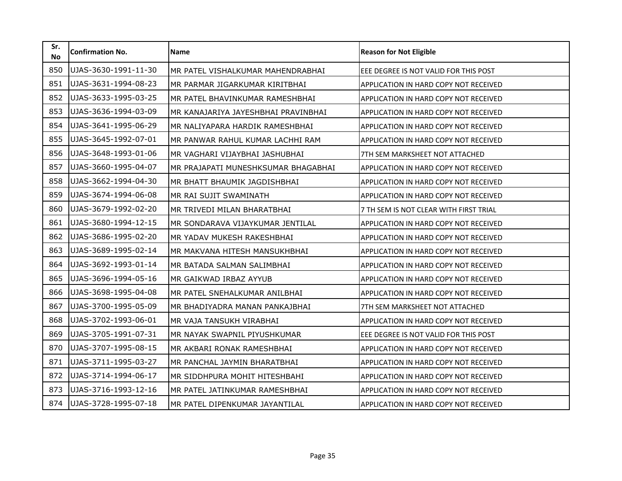| Sr.<br><b>No</b> | <b>Confirmation No.</b> | <b>Name</b>                         | <b>Reason for Not Eligible</b>               |
|------------------|-------------------------|-------------------------------------|----------------------------------------------|
| 850              | UJAS-3630-1991-11-30    | MR PATEL VISHALKUMAR MAHENDRABHAI   | EEE DEGREE IS NOT VALID FOR THIS POST        |
| 851              | UJAS-3631-1994-08-23    | MR PARMAR JIGARKUMAR KIRITBHAI      | APPLICATION IN HARD COPY NOT RECEIVED        |
| 852              | UJAS-3633-1995-03-25    | MR PATEL BHAVINKUMAR RAMESHBHAI     | APPLICATION IN HARD COPY NOT RECEIVED        |
| 853              | UJAS-3636-1994-03-09    | MR KANAJARIYA JAYESHBHAI PRAVINBHAI | APPLICATION IN HARD COPY NOT RECEIVED        |
| 854              | UJAS-3641-1995-06-29    | MR NALIYAPARA HARDIK RAMESHBHAI     | APPLICATION IN HARD COPY NOT RECEIVED        |
| 855              | UJAS-3645-1992-07-01    | MR PANWAR RAHUL KUMAR LACHHI RAM    | APPLICATION IN HARD COPY NOT RECEIVED        |
| 856              | UJAS-3648-1993-01-06    | MR VAGHARI VIJAYBHAI JASHUBHAI      | 7TH SEM MARKSHEET NOT ATTACHED               |
| 857              | UJAS-3660-1995-04-07    | MR PRAJAPATI MUNESHKSUMAR BHAGABHAI | APPLICATION IN HARD COPY NOT RECEIVED        |
| 858              | UJAS-3662-1994-04-30    | MR BHATT BHAUMIK JAGDISHBHAI        | APPLICATION IN HARD COPY NOT RECEIVED        |
| 859              | UJAS-3674-1994-06-08    | MR RAI SUJIT SWAMINATH              | APPLICATION IN HARD COPY NOT RECEIVED        |
| 860              | UJAS-3679-1992-02-20    | MR TRIVEDI MILAN BHARATBHAI         | 7 TH SEM IS NOT CLEAR WITH FIRST TRIAL       |
| 861              | UJAS-3680-1994-12-15    | MR SONDARAVA VIJAYKUMAR JENTILAL    | APPLICATION IN HARD COPY NOT RECEIVED        |
| 862              | UJAS-3686-1995-02-20    | MR YADAV MUKESH RAKESHBHAI          | APPLICATION IN HARD COPY NOT RECEIVED        |
| 863              | UJAS-3689-1995-02-14    | MR MAKVANA HITESH MANSUKHBHAI       | APPLICATION IN HARD COPY NOT RECEIVED        |
| 864              | UJAS-3692-1993-01-14    | MR BATADA SALMAN SALIMBHAI          | APPLICATION IN HARD COPY NOT RECEIVED        |
| 865              | UJAS-3696-1994-05-16    | MR GAIKWAD IRBAZ AYYUB              | <b>APPLICATION IN HARD COPY NOT RECEIVED</b> |
| 866              | UJAS-3698-1995-04-08    | MR PATEL SNEHALKUMAR ANILBHAI       | APPLICATION IN HARD COPY NOT RECEIVED        |
| 867              | UJAS-3700-1995-05-09    | MR BHADIYADRA MANAN PANKAJBHAI      | 7TH SEM MARKSHEET NOT ATTACHED               |
| 868              | UJAS-3702-1993-06-01    | MR VAJA TANSUKH VIRABHAI            | APPLICATION IN HARD COPY NOT RECEIVED        |
| 869              | UJAS-3705-1991-07-31    | MR NAYAK SWAPNIL PIYUSHKUMAR        | EEE DEGREE IS NOT VALID FOR THIS POST        |
| 870              | UJAS-3707-1995-08-15    | MR AKBARI RONAK RAMESHBHAI          | APPLICATION IN HARD COPY NOT RECEIVED        |
| 871              | UJAS-3711-1995-03-27    | MR PANCHAL JAYMIN BHARATBHAI        | APPLICATION IN HARD COPY NOT RECEIVED        |
| 872              | UJAS-3714-1994-06-17    | MR SIDDHPURA MOHIT HITESHBAHI       | <b>APPLICATION IN HARD COPY NOT RECEIVED</b> |
| 873              | UJAS-3716-1993-12-16    | MR PATEL JATINKUMAR RAMESHBHAI      | APPLICATION IN HARD COPY NOT RECEIVED        |
| 874              | UJAS-3728-1995-07-18    | MR PATEL DIPENKUMAR JAYANTILAL      | APPLICATION IN HARD COPY NOT RECEIVED        |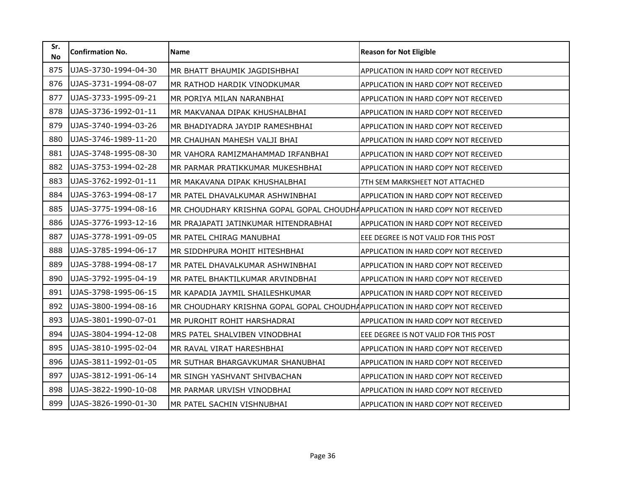| Sr.<br><b>No</b> | <b>Confirmation No.</b> | <b>Name</b>                                                                   | <b>Reason for Not Eligible</b>               |
|------------------|-------------------------|-------------------------------------------------------------------------------|----------------------------------------------|
| 875              | UJAS-3730-1994-04-30    | MR BHATT BHAUMIK JAGDISHBHAI                                                  | APPLICATION IN HARD COPY NOT RECEIVED        |
| 876              | UJAS-3731-1994-08-07    | MR RATHOD HARDIK VINODKUMAR                                                   | APPLICATION IN HARD COPY NOT RECEIVED        |
| 877              | UJAS-3733-1995-09-21    | MR PORIYA MILAN NARANBHAI                                                     | APPLICATION IN HARD COPY NOT RECEIVED        |
| 878              | UJAS-3736-1992-01-11    | MR MAKVANAA DIPAK KHUSHALBHAI                                                 | APPLICATION IN HARD COPY NOT RECEIVED        |
| 879              | UJAS-3740-1994-03-26    | MR BHADIYADRA JAYDIP RAMESHBHAI                                               | APPLICATION IN HARD COPY NOT RECEIVED        |
| 880              | UJAS-3746-1989-11-20    | MR CHAUHAN MAHESH VALJI BHAI                                                  | APPLICATION IN HARD COPY NOT RECEIVED        |
| 881              | UJAS-3748-1995-08-30    | MR VAHORA RAMIZMAHAMMAD IRFANBHAI                                             | APPLICATION IN HARD COPY NOT RECEIVED        |
| 882              | UJAS-3753-1994-02-28    | MR PARMAR PRATIKKUMAR MUKESHBHAI                                              | APPLICATION IN HARD COPY NOT RECEIVED        |
| 883              | UJAS-3762-1992-01-11    | MR MAKAVANA DIPAK KHUSHALBHAI                                                 | 7TH SEM MARKSHEET NOT ATTACHED               |
| 884              | UJAS-3763-1994-08-17    | MR PATEL DHAVALKUMAR ASHWINBHAI                                               | APPLICATION IN HARD COPY NOT RECEIVED        |
| 885              | UJAS-3775-1994-08-16    | MR CHOUDHARY KRISHNA GOPAL GOPAL CHOUDHAAPPLICATION IN HARD COPY NOT RECEIVED |                                              |
| 886              | UJAS-3776-1993-12-16    | MR PRAJAPATI JATINKUMAR HITENDRABHAI                                          | APPLICATION IN HARD COPY NOT RECEIVED        |
| 887              | UJAS-3778-1991-09-05    | MR PATEL CHIRAG MANUBHAI                                                      | EEE DEGREE IS NOT VALID FOR THIS POST        |
| 888              | UJAS-3785-1994-06-17    | MR SIDDHPURA MOHIT HITESHBHAI                                                 | APPLICATION IN HARD COPY NOT RECEIVED        |
| 889              | UJAS-3788-1994-08-17    | MR PATEL DHAVALKUMAR ASHWINBHAI                                               | <b>APPLICATION IN HARD COPY NOT RECEIVED</b> |
| 890              | UJAS-3792-1995-04-19    | MR PATEL BHAKTILKUMAR ARVINDBHAI                                              | APPLICATION IN HARD COPY NOT RECEIVED        |
| 891              | UJAS-3798-1995-06-15    | MR KAPADIA JAYMIL SHAILESHKUMAR                                               | APPLICATION IN HARD COPY NOT RECEIVED        |
| 892              | UJAS-3800-1994-08-16    | MR CHOUDHARY KRISHNA GOPAL GOPAL CHOUDHAAPPLICATION IN HARD COPY NOT RECEIVED |                                              |
| 893              | UJAS-3801-1990-07-01    | MR PUROHIT ROHIT HARSHADRAI                                                   | <b>APPLICATION IN HARD COPY NOT RECEIVED</b> |
| 894              | UJAS-3804-1994-12-08    | MRS PATEL SHALVIBEN VINODBHAI                                                 | EEE DEGREE IS NOT VALID FOR THIS POST        |
| 895              | UJAS-3810-1995-02-04    | MR RAVAL VIRAT HARESHBHAI                                                     | APPLICATION IN HARD COPY NOT RECEIVED        |
| 896              | UJAS-3811-1992-01-05    | MR SUTHAR BHARGAVKUMAR SHANUBHAI                                              | APPLICATION IN HARD COPY NOT RECEIVED        |
| 897              | UJAS-3812-1991-06-14    | MR SINGH YASHVANT SHIVBACHAN                                                  | <b>APPLICATION IN HARD COPY NOT RECEIVED</b> |
| 898              | UJAS-3822-1990-10-08    | MR PARMAR URVISH VINODBHAI                                                    | APPLICATION IN HARD COPY NOT RECEIVED        |
| 899              | UJAS-3826-1990-01-30    | MR PATEL SACHIN VISHNUBHAI                                                    | APPLICATION IN HARD COPY NOT RECEIVED        |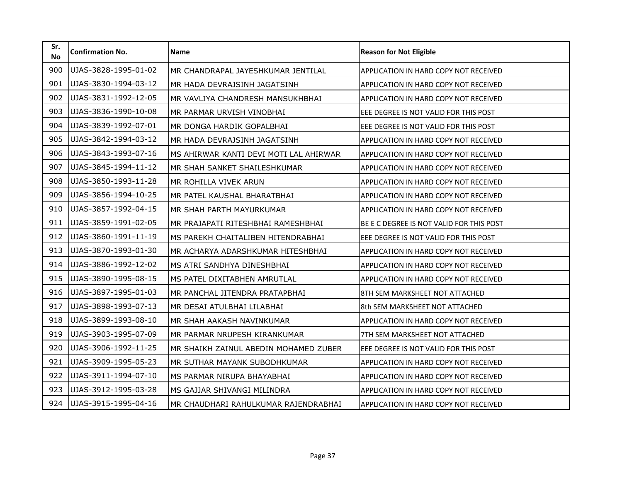| Sr.<br><b>No</b> | <b>Confirmation No.</b> | <b>Name</b>                            | <b>Reason for Not Eligible</b>               |
|------------------|-------------------------|----------------------------------------|----------------------------------------------|
| 900              | UJAS-3828-1995-01-02    | MR CHANDRAPAL JAYESHKUMAR JENTILAL     | APPLICATION IN HARD COPY NOT RECEIVED        |
| 901              | UJAS-3830-1994-03-12    | MR HADA DEVRAJSINH JAGATSINH           | APPLICATION IN HARD COPY NOT RECEIVED        |
| 902              | UJAS-3831-1992-12-05    | MR VAVLIYA CHANDRESH MANSUKHBHAI       | APPLICATION IN HARD COPY NOT RECEIVED        |
| 903              | UJAS-3836-1990-10-08    | MR PARMAR URVISH VINOBHAI              | EEE DEGREE IS NOT VALID FOR THIS POST        |
| 904              | UJAS-3839-1992-07-01    | MR DONGA HARDIK GOPALBHAI              | EEE DEGREE IS NOT VALID FOR THIS POST        |
| 905              | UJAS-3842-1994-03-12    | MR HADA DEVRAJSINH JAGATSINH           | APPLICATION IN HARD COPY NOT RECEIVED        |
| 906              | UJAS-3843-1993-07-16    | MS AHIRWAR KANTI DEVI MOTI LAL AHIRWAR | APPLICATION IN HARD COPY NOT RECEIVED        |
| 907              | UJAS-3845-1994-11-12    | MR SHAH SANKET SHAILESHKUMAR           | APPLICATION IN HARD COPY NOT RECEIVED        |
| 908              | UJAS-3850-1993-11-28    | MR ROHILLA VIVEK ARUN                  | APPLICATION IN HARD COPY NOT RECEIVED        |
| 909              | UJAS-3856-1994-10-25    | MR PATEL KAUSHAL BHARATBHAI            | APPLICATION IN HARD COPY NOT RECEIVED        |
| 910              | UJAS-3857-1992-04-15    | MR SHAH PARTH MAYURKUMAR               | APPLICATION IN HARD COPY NOT RECEIVED        |
| 911              | UJAS-3859-1991-02-05    | MR PRAJAPATI RITESHBHAI RAMESHBHAI     | BE E C DEGREE IS NOT VALID FOR THIS POST     |
| 912              | UJAS-3860-1991-11-19    | MS PAREKH CHAITALIBEN HITENDRABHAI     | EEE DEGREE IS NOT VALID FOR THIS POST        |
| 913              | UJAS-3870-1993-01-30    | MR ACHARYA ADARSHKUMAR HITESHBHAI      | APPLICATION IN HARD COPY NOT RECEIVED        |
| 914              | UJAS-3886-1992-12-02    | MS ATRI SANDHYA DINESHBHAI             | APPLICATION IN HARD COPY NOT RECEIVED        |
| 915              | UJAS-3890-1995-08-15    | MS PATEL DIXITABHEN AMRUTLAL           | APPLICATION IN HARD COPY NOT RECEIVED        |
| 916              | UJAS-3897-1995-01-03    | MR PANCHAL JITENDRA PRATAPBHAI         | 8TH SEM MARKSHEET NOT ATTACHED               |
| 917              | UJAS-3898-1993-07-13    | MR DESAI ATULBHAI LILABHAI             | 8th SEM MARKSHEET NOT ATTACHED               |
| 918              | UJAS-3899-1993-08-10    | MR SHAH AAKASH NAVINKUMAR              | APPLICATION IN HARD COPY NOT RECEIVED        |
| 919              | UJAS-3903-1995-07-09    | MR PARMAR NRUPESH KIRANKUMAR           | 7TH SEM MARKSHEET NOT ATTACHED               |
| 920              | UJAS-3906-1992-11-25    | MR SHAIKH ZAINUL ABEDIN MOHAMED ZUBER  | EEE DEGREE IS NOT VALID FOR THIS POST        |
| 921              | UJAS-3909-1995-05-23    | MR SUTHAR MAYANK SUBODHKUMAR           | APPLICATION IN HARD COPY NOT RECEIVED        |
| 922              | UJAS-3911-1994-07-10    | MS PARMAR NIRUPA BHAYABHAI             | <b>APPLICATION IN HARD COPY NOT RECEIVED</b> |
| 923              | UJAS-3912-1995-03-28    | MS GAJJAR SHIVANGI MILINDRA            | APPLICATION IN HARD COPY NOT RECEIVED        |
| 924              | UJAS-3915-1995-04-16    | MR CHAUDHARI RAHULKUMAR RAJENDRABHAI   | APPLICATION IN HARD COPY NOT RECEIVED        |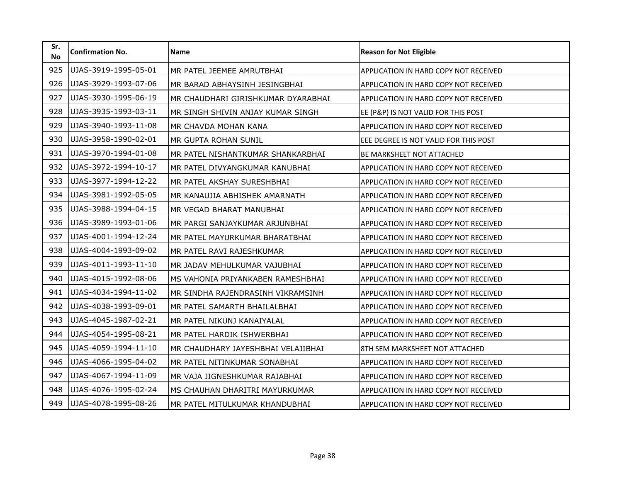| Sr.<br><b>No</b> | <b>Confirmation No.</b> | <b>Name</b>                        | <b>Reason for Not Eligible</b>               |
|------------------|-------------------------|------------------------------------|----------------------------------------------|
| 925              | UJAS-3919-1995-05-01    | MR PATEL JEEMEE AMRUTBHAI          | APPLICATION IN HARD COPY NOT RECEIVED        |
| 926              | UJAS-3929-1993-07-06    | MR BARAD ABHAYSINH JESINGBHAI      | APPLICATION IN HARD COPY NOT RECEIVED        |
| 927              | UJAS-3930-1995-06-19    | MR CHAUDHARI GIRISHKUMAR DYARABHAI | APPLICATION IN HARD COPY NOT RECEIVED        |
| 928              | UJAS-3935-1993-03-11    | MR SINGH SHIVIN ANJAY KUMAR SINGH  | EE (P&P) IS NOT VALID FOR THIS POST          |
| 929              | UJAS-3940-1993-11-08    | MR CHAVDA MOHAN KANA               | APPLICATION IN HARD COPY NOT RECEIVED        |
| 930              | UJAS-3958-1990-02-01    | MR GUPTA ROHAN SUNIL               | EEE DEGREE IS NOT VALID FOR THIS POST        |
| 931              | UJAS-3970-1994-01-08    | MR PATEL NISHANTKUMAR SHANKARBHAI  | <b>BE MARKSHEET NOT ATTACHED</b>             |
| 932              | UJAS-3972-1994-10-17    | MR PATEL DIVYANGKUMAR KANUBHAI     | APPLICATION IN HARD COPY NOT RECEIVED        |
| 933              | UJAS-3977-1994-12-22    | MR PATEL AKSHAY SURESHBHAI         | APPLICATION IN HARD COPY NOT RECEIVED        |
| 934              | UJAS-3981-1992-05-05    | MR KANAUJIA ABHISHEK AMARNATH      | APPLICATION IN HARD COPY NOT RECEIVED        |
| 935              | UJAS-3988-1994-04-15    | MR VEGAD BHARAT MANUBHAI           | APPLICATION IN HARD COPY NOT RECEIVED        |
| 936              | UJAS-3989-1993-01-06    | MR PARGI SANJAYKUMAR ARJUNBHAI     | APPLICATION IN HARD COPY NOT RECEIVED        |
| 937              | UJAS-4001-1994-12-24    | MR PATEL MAYURKUMAR BHARATBHAI     | APPLICATION IN HARD COPY NOT RECEIVED        |
| 938              | UJAS-4004-1993-09-02    | MR PATEL RAVI RAJESHKUMAR          | APPLICATION IN HARD COPY NOT RECEIVED        |
| 939              | UJAS-4011-1993-11-10    | MR JADAV MEHULKUMAR VAJUBHAI       | APPLICATION IN HARD COPY NOT RECEIVED        |
| 940              | UJAS-4015-1992-08-06    | MS VAHONIA PRIYANKABEN RAMESHBHAI  | APPLICATION IN HARD COPY NOT RECEIVED        |
| 941              | UJAS-4034-1994-11-02    | MR SINDHA RAJENDRASINH VIKRAMSINH  | APPLICATION IN HARD COPY NOT RECEIVED        |
| 942              | UJAS-4038-1993-09-01    | MR PATEL SAMARTH BHAILALBHAI       | APPLICATION IN HARD COPY NOT RECEIVED        |
| 943              | UJAS-4045-1987-02-21    | MR PATEL NIKUNJ KANAIYALAL         | APPLICATION IN HARD COPY NOT RECEIVED        |
| 944              | UJAS-4054-1995-08-21    | MR PATEL HARDIK ISHWERBHAI         | APPLICATION IN HARD COPY NOT RECEIVED        |
| 945              | UJAS-4059-1994-11-10    | MR CHAUDHARY JAYESHBHAI VELAJIBHAI | 8TH SEM MARKSHEET NOT ATTACHED               |
| 946              | UJAS-4066-1995-04-02    | MR PATEL NITINKUMAR SONABHAI       | APPLICATION IN HARD COPY NOT RECEIVED        |
| 947              | UJAS-4067-1994-11-09    | MR VAJA JIGNESHKUMAR RAJABHAI      | <b>APPLICATION IN HARD COPY NOT RECEIVED</b> |
| 948              | UJAS-4076-1995-02-24    | MS CHAUHAN DHARITRI MAYURKUMAR     | APPLICATION IN HARD COPY NOT RECEIVED        |
| 949              | UJAS-4078-1995-08-26    | MR PATEL MITULKUMAR KHANDUBHAI     | APPLICATION IN HARD COPY NOT RECEIVED        |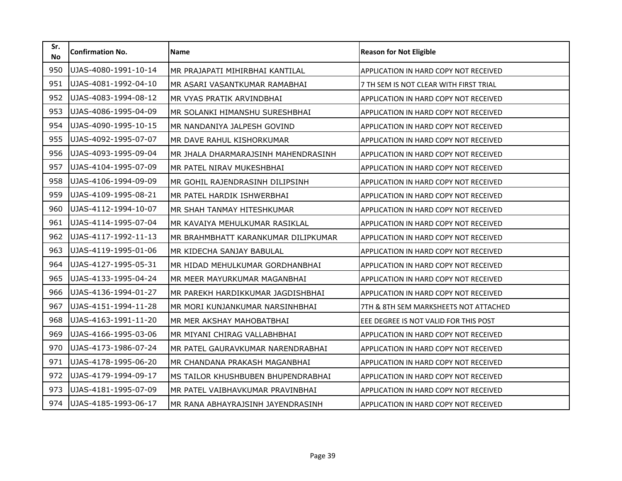| Sr.<br><b>No</b> | <b>Confirmation No.</b> | Name                                | <b>Reason for Not Eligible</b>         |
|------------------|-------------------------|-------------------------------------|----------------------------------------|
| 950              | UJAS-4080-1991-10-14    | MR PRAJAPATI MIHIRBHAI KANTILAL     | APPLICATION IN HARD COPY NOT RECEIVED  |
| 951              | UJAS-4081-1992-04-10    | MR ASARI VASANTKUMAR RAMABHAI       | 7 TH SEM IS NOT CLEAR WITH FIRST TRIAL |
| 952              | UJAS-4083-1994-08-12    | MR VYAS PRATIK ARVINDBHAI           | APPLICATION IN HARD COPY NOT RECEIVED  |
| 953              | UJAS-4086-1995-04-09    | MR SOLANKI HIMANSHU SURESHBHAI      | APPLICATION IN HARD COPY NOT RECEIVED  |
| 954              | UJAS-4090-1995-10-15    | MR NANDANIYA JALPESH GOVIND         | APPLICATION IN HARD COPY NOT RECEIVED  |
| 955              | UJAS-4092-1995-07-07    | MR DAVE RAHUL KISHORKUMAR           | APPLICATION IN HARD COPY NOT RECEIVED  |
| 956              | UJAS-4093-1995-09-04    | MR JHALA DHARMARAJSINH MAHENDRASINH | APPLICATION IN HARD COPY NOT RECEIVED  |
| 957              | UJAS-4104-1995-07-09    | MR PATEL NIRAV MUKESHBHAI           | APPLICATION IN HARD COPY NOT RECEIVED  |
| 958              | UJAS-4106-1994-09-09    | MR GOHIL RAJENDRASINH DILIPSINH     | APPLICATION IN HARD COPY NOT RECEIVED  |
| 959              | UJAS-4109-1995-08-21    | MR PATEL HARDIK ISHWERBHAI          | APPLICATION IN HARD COPY NOT RECEIVED  |
| 960              | UJAS-4112-1994-10-07    | MR SHAH TANMAY HITESHKUMAR          | APPLICATION IN HARD COPY NOT RECEIVED  |
| 961              | UJAS-4114-1995-07-04    | MR KAVAIYA MEHULKUMAR RASIKLAL      | APPLICATION IN HARD COPY NOT RECEIVED  |
| 962              | UJAS-4117-1992-11-13    | MR BRAHMBHATT KARANKUMAR DILIPKUMAR | APPLICATION IN HARD COPY NOT RECEIVED  |
| 963              | UJAS-4119-1995-01-06    | MR KIDECHA SANJAY BABULAL           | APPLICATION IN HARD COPY NOT RECEIVED  |
| 964              | UJAS-4127-1995-05-31    | MR HIDAD MEHULKUMAR GORDHANBHAI     | APPLICATION IN HARD COPY NOT RECEIVED  |
| 965              | UJAS-4133-1995-04-24    | MR MEER MAYURKUMAR MAGANBHAI        | APPLICATION IN HARD COPY NOT RECEIVED  |
| 966              | UJAS-4136-1994-01-27    | MR PAREKH HARDIKKUMAR JAGDISHBHAI   | APPLICATION IN HARD COPY NOT RECEIVED  |
| 967              | UJAS-4151-1994-11-28    | MR MORI KUNJANKUMAR NARSINHBHAI     | 7TH & 8TH SEM MARKSHEETS NOT ATTACHED  |
| 968              | UJAS-4163-1991-11-20    | MR MER AKSHAY MAHOBATBHAI           | EEE DEGREE IS NOT VALID FOR THIS POST  |
| 969              | UJAS-4166-1995-03-06    | MR MIYANI CHIRAG VALLABHBHAI        | APPLICATION IN HARD COPY NOT RECEIVED  |
| 970              | UJAS-4173-1986-07-24    | MR PATEL GAURAVKUMAR NARENDRABHAI   | APPLICATION IN HARD COPY NOT RECEIVED  |
| 971              | UJAS-4178-1995-06-20    | MR CHANDANA PRAKASH MAGANBHAI       | APPLICATION IN HARD COPY NOT RECEIVED  |
| 972              | UJAS-4179-1994-09-17    | MS TAILOR KHUSHBUBEN BHUPENDRABHAI  | APPLICATION IN HARD COPY NOT RECEIVED  |
| 973              | UJAS-4181-1995-07-09    | MR PATEL VAIBHAVKUMAR PRAVINBHAI    | APPLICATION IN HARD COPY NOT RECEIVED  |
| 974              | UJAS-4185-1993-06-17    | MR RANA ABHAYRAJSINH JAYENDRASINH   | APPLICATION IN HARD COPY NOT RECEIVED  |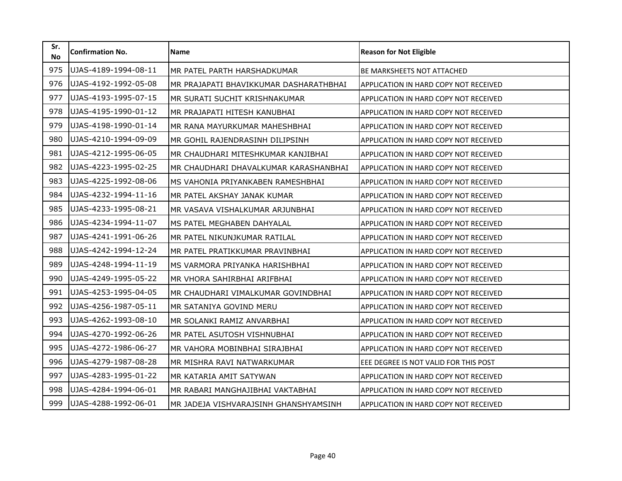| Sr.<br><b>No</b> | <b>Confirmation No.</b> | Name                                   | <b>Reason for Not Eligible</b>        |
|------------------|-------------------------|----------------------------------------|---------------------------------------|
| 975              | UJAS-4189-1994-08-11    | MR PATEL PARTH HARSHADKUMAR            | <b>BE MARKSHEETS NOT ATTACHED</b>     |
| 976              | UJAS-4192-1992-05-08    | MR PRAJAPATI BHAVIKKUMAR DASHARATHBHAI | APPLICATION IN HARD COPY NOT RECEIVED |
| 977              | UJAS-4193-1995-07-15    | MR SURATI SUCHIT KRISHNAKUMAR          | APPLICATION IN HARD COPY NOT RECEIVED |
| 978              | UJAS-4195-1990-01-12    | MR PRAJAPATI HITESH KANUBHAI           | APPLICATION IN HARD COPY NOT RECEIVED |
| 979              | UJAS-4198-1990-01-14    | MR RANA MAYURKUMAR MAHESHBHAI          | APPLICATION IN HARD COPY NOT RECEIVED |
| 980              | UJAS-4210-1994-09-09    | MR GOHIL RAJENDRASINH DILIPSINH        | APPLICATION IN HARD COPY NOT RECEIVED |
| 981              | UJAS-4212-1995-06-05    | MR CHAUDHARI MITESHKUMAR KANJIBHAI     | APPLICATION IN HARD COPY NOT RECEIVED |
| 982              | UJAS-4223-1995-02-25    | MR CHAUDHARI DHAVALKUMAR KARASHANBHAI  | APPLICATION IN HARD COPY NOT RECEIVED |
| 983              | UJAS-4225-1992-08-06    | MS VAHONIA PRIYANKABEN RAMESHBHAI      | APPLICATION IN HARD COPY NOT RECEIVED |
| 984              | UJAS-4232-1994-11-16    | MR PATEL AKSHAY JANAK KUMAR            | APPLICATION IN HARD COPY NOT RECEIVED |
| 985              | UJAS-4233-1995-08-21    | MR VASAVA VISHALKUMAR ARJUNBHAI        | APPLICATION IN HARD COPY NOT RECEIVED |
| 986              | UJAS-4234-1994-11-07    | MS PATEL MEGHABEN DAHYALAL             | APPLICATION IN HARD COPY NOT RECEIVED |
| 987              | UJAS-4241-1991-06-26    | MR PATEL NIKUNJKUMAR RATILAL           | APPLICATION IN HARD COPY NOT RECEIVED |
| 988              | UJAS-4242-1994-12-24    | MR PATEL PRATIKKUMAR PRAVINBHAI        | APPLICATION IN HARD COPY NOT RECEIVED |
| 989              | UJAS-4248-1994-11-19    | MS VARMORA PRIYANKA HARISHBHAI         | APPLICATION IN HARD COPY NOT RECEIVED |
| 990              | UJAS-4249-1995-05-22    | MR VHORA SAHIRBHAI ARIFBHAI            | APPLICATION IN HARD COPY NOT RECEIVED |
| 991              | UJAS-4253-1995-04-05    | MR CHAUDHARI VIMALKUMAR GOVINDBHAI     | APPLICATION IN HARD COPY NOT RECEIVED |
| 992              | UJAS-4256-1987-05-11    | MR SATANIYA GOVIND MERU                | APPLICATION IN HARD COPY NOT RECEIVED |
| 993              | UJAS-4262-1993-08-10    | MR SOLANKI RAMIZ ANVARBHAI             | APPLICATION IN HARD COPY NOT RECEIVED |
| 994              | UJAS-4270-1992-06-26    | MR PATEL ASUTOSH VISHNUBHAI            | APPLICATION IN HARD COPY NOT RECEIVED |
| 995              | UJAS-4272-1986-06-27    | MR VAHORA MOBINBHAI SIRAJBHAI          | APPLICATION IN HARD COPY NOT RECEIVED |
| 996              | UJAS-4279-1987-08-28    | MR MISHRA RAVI NATWARKUMAR             | EEE DEGREE IS NOT VALID FOR THIS POST |
| 997              | UJAS-4283-1995-01-22    | MR KATARIA AMIT SATYWAN                | APPLICATION IN HARD COPY NOT RECEIVED |
| 998              | UJAS-4284-1994-06-01    | MR RABARI MANGHAJIBHAI VAKTABHAI       | APPLICATION IN HARD COPY NOT RECEIVED |
| 999              | UJAS-4288-1992-06-01    | MR JADEJA VISHVARAJSINH GHANSHYAMSINH  | APPLICATION IN HARD COPY NOT RECEIVED |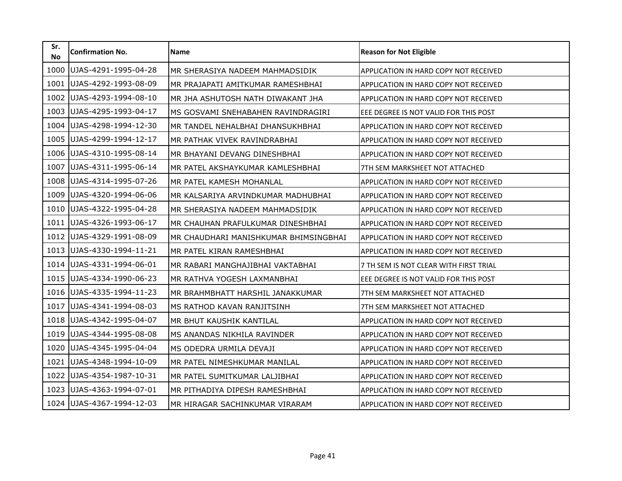| Sr.<br><b>No</b> | <b>Confirmation No.</b> | <b>Name</b>                           | <b>Reason for Not Eligible</b>               |
|------------------|-------------------------|---------------------------------------|----------------------------------------------|
| 1000             | UJAS-4291-1995-04-28    | MR SHERASIYA NADEEM MAHMADSIDIK       | APPLICATION IN HARD COPY NOT RECEIVED        |
| 1001             | UJAS-4292-1993-08-09    | MR PRAJAPATI AMITKUMAR RAMESHBHAI     | APPLICATION IN HARD COPY NOT RECEIVED        |
| 1002             | UJAS-4293-1994-08-10    | MR JHA ASHUTOSH NATH DIWAKANT JHA     | APPLICATION IN HARD COPY NOT RECEIVED        |
| 1003             | UJAS-4295-1993-04-17    | MS GOSVAMI SNEHABAHEN RAVINDRAGIRI    | EEE DEGREE IS NOT VALID FOR THIS POST        |
| 1004             | UJAS-4298-1994-12-30    | MR TANDEL NEHALBHAI DHANSUKHBHAI      | APPLICATION IN HARD COPY NOT RECEIVED        |
| 1005             | UJAS-4299-1994-12-17    | MR PATHAK VIVEK RAVINDRABHAI          | APPLICATION IN HARD COPY NOT RECEIVED        |
| 1006             | UJAS-4310-1995-08-14    | MR BHAYANI DEVANG DINESHBHAI          | <b>APPLICATION IN HARD COPY NOT RECEIVED</b> |
| 1007             | UJAS-4311-1995-06-14    | MR PATEL AKSHAYKUMAR KAMLESHBHAI      | 7TH SEM MARKSHEET NOT ATTACHED               |
| 1008             | UJAS-4314-1995-07-26    | MR PATEL KAMESH MOHANLAL              | APPLICATION IN HARD COPY NOT RECEIVED        |
| 1009             | UJAS-4320-1994-06-06    | MR KALSARIYA ARVINDKUMAR MADHUBHAI    | APPLICATION IN HARD COPY NOT RECEIVED        |
| 1010             | UJAS-4322-1995-04-28    | MR SHERASIYA NADEEM MAHMADSIDIK       | APPLICATION IN HARD COPY NOT RECEIVED        |
| 1011             | UJAS-4326-1993-06-17    | MR CHAUHAN PRAFULKUMAR DINESHBHAI     | APPLICATION IN HARD COPY NOT RECEIVED        |
| 1012             | UJAS-4329-1991-08-09    | MR CHAUDHARI MANISHKUMAR BHIMSINGBHAI | <b>APPLICATION IN HARD COPY NOT RECEIVED</b> |
| 1013             | UJAS-4330-1994-11-21    | MR PATEL KIRAN RAMESHBHAI             | APPLICATION IN HARD COPY NOT RECEIVED        |
| 1014             | UJAS-4331-1994-06-01    | MR RABARI MANGHAJIBHAI VAKTABHAI      | 7 TH SEM IS NOT CLEAR WITH FIRST TRIAL       |
| 1015             | UJAS-4334-1990-06-23    | MR RATHVA YOGESH LAXMANBHAI           | EEE DEGREE IS NOT VALID FOR THIS POST        |
| 1016             | UJAS-4335-1994-11-23    | MR BRAHMBHATT HARSHIL JANAKKUMAR      | 7TH SEM MARKSHEET NOT ATTACHED               |
| 1017             | UJAS-4341-1994-08-03    | MS RATHOD KAVAN RANJITSINH            | 7TH SEM MARKSHEET NOT ATTACHED               |
| 1018             | UJAS-4342-1995-04-07    | MR BHUT KAUSHIK KANTILAL              | APPLICATION IN HARD COPY NOT RECEIVED        |
| 1019             | UJAS-4344-1995-08-08    | MS ANANDAS NIKHILA RAVINDER           | APPLICATION IN HARD COPY NOT RECEIVED        |
| 1020             | UJAS-4345-1995-04-04    | MS ODEDRA URMILA DEVAJI               | <b>APPLICATION IN HARD COPY NOT RECEIVED</b> |
| 1021             | UJAS-4348-1994-10-09    | MR PATEL NIMESHKUMAR MANILAL          | APPLICATION IN HARD COPY NOT RECEIVED        |
| 1022             | UJAS-4354-1987-10-31    | MR PATEL SUMITKUMAR LALJIBHAI         | <b>APPLICATION IN HARD COPY NOT RECEIVED</b> |
| 1023             | UJAS-4363-1994-07-01    | MR PITHADIYA DIPESH RAMESHBHAI        | APPLICATION IN HARD COPY NOT RECEIVED        |
| 1024             | UJAS-4367-1994-12-03    | MR HIRAGAR SACHINKUMAR VIRARAM        | APPLICATION IN HARD COPY NOT RECEIVED        |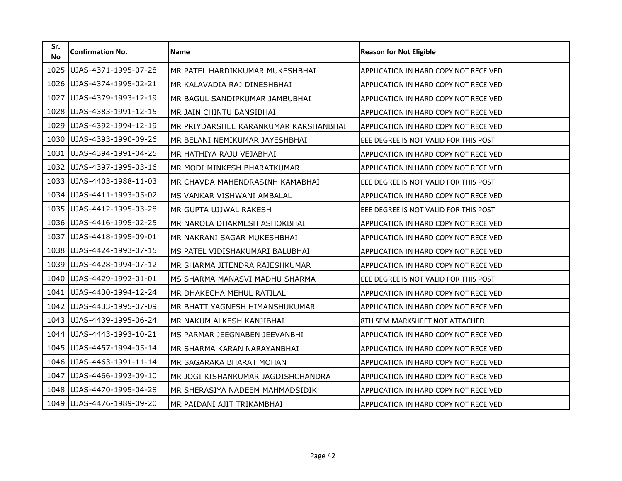| Sr.<br><b>No</b> | <b>Confirmation No.</b> | <b>Name</b>                           | <b>Reason for Not Eligible</b>               |
|------------------|-------------------------|---------------------------------------|----------------------------------------------|
| 1025             | UJAS-4371-1995-07-28    | MR PATEL HARDIKKUMAR MUKESHBHAI       | APPLICATION IN HARD COPY NOT RECEIVED        |
| 1026             | UJAS-4374-1995-02-21    | MR KALAVADIA RAJ DINESHBHAI           | APPLICATION IN HARD COPY NOT RECEIVED        |
| 1027             | UJAS-4379-1993-12-19    | MR BAGUL SANDIPKUMAR JAMBUBHAI        | APPLICATION IN HARD COPY NOT RECEIVED        |
| 1028             | UJAS-4383-1991-12-15    | MR JAIN CHINTU BANSIBHAI              | APPLICATION IN HARD COPY NOT RECEIVED        |
| 1029             | UJAS-4392-1994-12-19    | MR PRIYDARSHEE KARANKUMAR KARSHANBHAI | APPLICATION IN HARD COPY NOT RECEIVED        |
| 1030             | UJAS-4393-1990-09-26    | MR BELANI NEMIKUMAR JAYESHBHAI        | EEE DEGREE IS NOT VALID FOR THIS POST        |
| 1031             | UJAS-4394-1991-04-25    | MR HATHIYA RAJU VEJABHAI              | APPLICATION IN HARD COPY NOT RECEIVED        |
| 1032             | UJAS-4397-1995-03-16    | MR MODI MINKESH BHARATKUMAR           | APPLICATION IN HARD COPY NOT RECEIVED        |
| 1033             | UJAS-4403-1988-11-03    | MR CHAVDA MAHENDRASINH KAMABHAI       | EEE DEGREE IS NOT VALID FOR THIS POST        |
| 1034             | UJAS-4411-1993-05-02    | MS VANKAR VISHWANI AMBALAL            | APPLICATION IN HARD COPY NOT RECEIVED        |
| 1035             | UJAS-4412-1995-03-28    | MR GUPTA UJJWAL RAKESH                | EEE DEGREE IS NOT VALID FOR THIS POST        |
| 1036             | UJAS-4416-1995-02-25    | MR NAROLA DHARMESH ASHOKBHAI          | APPLICATION IN HARD COPY NOT RECEIVED        |
| 1037             | UJAS-4418-1995-09-01    | MR NAKRANI SAGAR MUKESHBHAI           | APPLICATION IN HARD COPY NOT RECEIVED        |
| 1038             | UJAS-4424-1993-07-15    | MS PATEL VIDISHAKUMARI BALUBHAI       | APPLICATION IN HARD COPY NOT RECEIVED        |
| 1039             | UJAS-4428-1994-07-12    | MR SHARMA JITENDRA RAJESHKUMAR        | <b>APPLICATION IN HARD COPY NOT RECEIVED</b> |
| 1040             | UJAS-4429-1992-01-01    | MS SHARMA MANASVI MADHU SHARMA        | EEE DEGREE IS NOT VALID FOR THIS POST        |
| 1041             | UJAS-4430-1994-12-24    | MR DHAKECHA MEHUL RATILAL             | APPLICATION IN HARD COPY NOT RECEIVED        |
| 1042             | UJAS-4433-1995-07-09    | MR BHATT YAGNESH HIMANSHUKUMAR        | APPLICATION IN HARD COPY NOT RECEIVED        |
| 1043             | UJAS-4439-1995-06-24    | MR NAKUM ALKESH KANJIBHAI             | 8TH SEM MARKSHEET NOT ATTACHED               |
| 1044             | UJAS-4443-1993-10-21    | MS PARMAR JEEGNABEN JEEVANBHI         | <b>APPLICATION IN HARD COPY NOT RECEIVED</b> |
| 1045             | UJAS-4457-1994-05-14    | MR SHARMA KARAN NARAYANBHAI           | <b>APPLICATION IN HARD COPY NOT RECEIVED</b> |
| 1046             | UJAS-4463-1991-11-14    | MR SAGARAKA BHARAT MOHAN              | APPLICATION IN HARD COPY NOT RECEIVED        |
| 1047             | UJAS-4466-1993-09-10    | MR JOGI KISHANKUMAR JAGDISHCHANDRA    | <b>APPLICATION IN HARD COPY NOT RECEIVED</b> |
| 1048             | UJAS-4470-1995-04-28    | MR SHERASIYA NADEEM MAHMADSIDIK       | APPLICATION IN HARD COPY NOT RECEIVED        |
| 1049             | UJAS-4476-1989-09-20    | MR PAIDANI AJIT TRIKAMBHAI            | APPLICATION IN HARD COPY NOT RECEIVED        |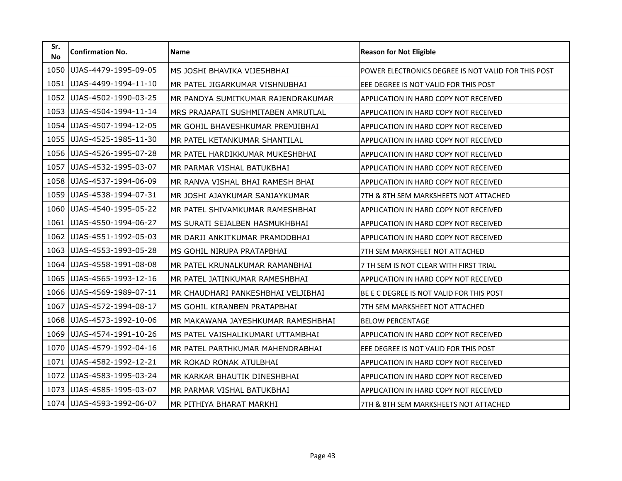| Sr.<br><b>No</b> | <b>Confirmation No.</b> | Name                               | <b>Reason for Not Eligible</b>                      |
|------------------|-------------------------|------------------------------------|-----------------------------------------------------|
| 1050             | UJAS-4479-1995-09-05    | MS JOSHI BHAVIKA VIJESHBHAI        | POWER ELECTRONICS DEGREE IS NOT VALID FOR THIS POST |
| 1051             | UJAS-4499-1994-11-10    | MR PATEL JIGARKUMAR VISHNUBHAI     | EEE DEGREE IS NOT VALID FOR THIS POST               |
| 1052             | UJAS-4502-1990-03-25    | MR PANDYA SUMITKUMAR RAJENDRAKUMAR | APPLICATION IN HARD COPY NOT RECEIVED               |
| 1053             | UJAS-4504-1994-11-14    | MRS PRAJAPATI SUSHMITABEN AMRUTLAL | APPLICATION IN HARD COPY NOT RECEIVED               |
| 1054             | UJAS-4507-1994-12-05    | MR GOHIL BHAVESHKUMAR PREMJIBHAI   | APPLICATION IN HARD COPY NOT RECEIVED               |
| 1055             | UJAS-4525-1985-11-30    | MR PATEL KETANKUMAR SHANTILAL      | APPLICATION IN HARD COPY NOT RECEIVED               |
| 1056             | UJAS-4526-1995-07-28    | MR PATEL HARDIKKUMAR MUKESHBHAI    | APPLICATION IN HARD COPY NOT RECEIVED               |
| 1057             | UJAS-4532-1995-03-07    | MR PARMAR VISHAL BATUKBHAI         | APPLICATION IN HARD COPY NOT RECEIVED               |
| 1058             | UJAS-4537-1994-06-09    | MR RANVA VISHAL BHAI RAMESH BHAI   | APPLICATION IN HARD COPY NOT RECEIVED               |
| 1059             | UJAS-4538-1994-07-31    | MR JOSHI AJAYKUMAR SANJAYKUMAR     | 7TH & 8TH SEM MARKSHEETS NOT ATTACHED               |
| 1060             | UJAS-4540-1995-05-22    | MR PATEL SHIVAMKUMAR RAMESHBHAI    | APPLICATION IN HARD COPY NOT RECEIVED               |
| 1061             | UJAS-4550-1994-06-27    | MS SURATI SEJALBEN HASMUKHBHAI     | APPLICATION IN HARD COPY NOT RECEIVED               |
| 1062             | UJAS-4551-1992-05-03    | MR DARJI ANKITKUMAR PRAMODBHAI     | APPLICATION IN HARD COPY NOT RECEIVED               |
| 1063             | UJAS-4553-1993-05-28    | MS GOHIL NIRUPA PRATAPBHAI         | 7TH SEM MARKSHEET NOT ATTACHED                      |
| 1064             | UJAS-4558-1991-08-08    | MR PATEL KRUNALKUMAR RAMANBHAI     | 7 TH SEM IS NOT CLEAR WITH FIRST TRIAL              |
| 1065             | UJAS-4565-1993-12-16    | MR PATEL JATINKUMAR RAMESHBHAI     | APPLICATION IN HARD COPY NOT RECEIVED               |
| 1066             | UJAS-4569-1989-07-11    | MR CHAUDHARI PANKESHBHAI VELJIBHAI | BE E C DEGREE IS NOT VALID FOR THIS POST            |
| 1067             | UJAS-4572-1994-08-17    | MS GOHIL KIRANBEN PRATAPBHAI       | 7TH SEM MARKSHEET NOT ATTACHED                      |
| 1068             | UJAS-4573-1992-10-06    | MR MAKAWANA JAYESHKUMAR RAMESHBHAI | <b>BELOW PERCENTAGE</b>                             |
| 1069             | UJAS-4574-1991-10-26    | MS PATEL VAISHALIKUMARI UTTAMBHAI  | APPLICATION IN HARD COPY NOT RECEIVED               |
| 1070             | UJAS-4579-1992-04-16    | MR PATEL PARTHKUMAR MAHENDRABHAI   | EEE DEGREE IS NOT VALID FOR THIS POST               |
| 1071             | UJAS-4582-1992-12-21    | MR ROKAD RONAK ATULBHAI            | APPLICATION IN HARD COPY NOT RECEIVED               |
| 1072             | UJAS-4583-1995-03-24    | MR KARKAR BHAUTIK DINESHBHAI       | APPLICATION IN HARD COPY NOT RECEIVED               |
| 1073             | UJAS-4585-1995-03-07    | MR PARMAR VISHAL BATUKBHAI         | APPLICATION IN HARD COPY NOT RECEIVED               |
| 1074             | UJAS-4593-1992-06-07    | MR PITHIYA BHARAT MARKHI           | 7TH & 8TH SEM MARKSHEETS NOT ATTACHED               |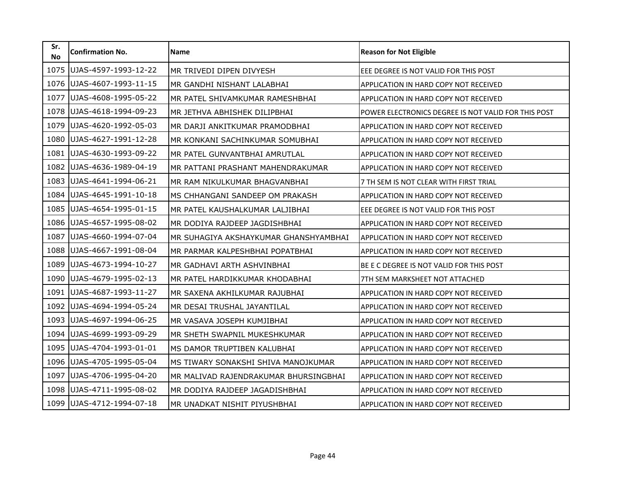| Sr.<br><b>No</b> | <b>Confirmation No.</b> | <b>Name</b>                           | <b>Reason for Not Eligible</b>                      |
|------------------|-------------------------|---------------------------------------|-----------------------------------------------------|
| 1075             | UJAS-4597-1993-12-22    | MR TRIVEDI DIPEN DIVYESH              | EEE DEGREE IS NOT VALID FOR THIS POST               |
| 1076             | UJAS-4607-1993-11-15    | MR GANDHI NISHANT LALABHAI            | APPLICATION IN HARD COPY NOT RECEIVED               |
| 1077             | UJAS-4608-1995-05-22    | MR PATEL SHIVAMKUMAR RAMESHBHAI       | APPLICATION IN HARD COPY NOT RECEIVED               |
| 1078             | UJAS-4618-1994-09-23    | MR JETHVA ABHISHEK DILIPBHAI          | POWER ELECTRONICS DEGREE IS NOT VALID FOR THIS POST |
| 1079             | UJAS-4620-1992-05-03    | MR DARJI ANKITKUMAR PRAMODBHAI        | APPLICATION IN HARD COPY NOT RECEIVED               |
| 1080             | UJAS-4627-1991-12-28    | MR KONKANI SACHINKUMAR SOMUBHAI       | APPLICATION IN HARD COPY NOT RECEIVED               |
| 1081             | UJAS-4630-1993-09-22    | MR PATEL GUNVANTBHAI AMRUTLAL         | APPLICATION IN HARD COPY NOT RECEIVED               |
| 1082             | UJAS-4636-1989-04-19    | MR PATTANI PRASHANT MAHENDRAKUMAR     | APPLICATION IN HARD COPY NOT RECEIVED               |
| 1083             | UJAS-4641-1994-06-21    | MR RAM NIKULKUMAR BHAGVANBHAI         | 7 TH SEM IS NOT CLEAR WITH FIRST TRIAL              |
| 1084             | UJAS-4645-1991-10-18    | MS CHHANGANI SANDEEP OM PRAKASH       | APPLICATION IN HARD COPY NOT RECEIVED               |
| 1085             | UJAS-4654-1995-01-15    | MR PATEL KAUSHALKUMAR LALJIBHAI       | EEE DEGREE IS NOT VALID FOR THIS POST               |
| 1086             | UJAS-4657-1995-08-02    | MR DODIYA RAJDEEP JAGDISHBHAI         | APPLICATION IN HARD COPY NOT RECEIVED               |
| 1087             | UJAS-4660-1994-07-04    | MR SUHAGIYA AKSHAYKUMAR GHANSHYAMBHAI | APPLICATION IN HARD COPY NOT RECEIVED               |
| 1088             | UJAS-4667-1991-08-04    | MR PARMAR KALPESHBHAI POPATBHAI       | APPLICATION IN HARD COPY NOT RECEIVED               |
| 1089             | UJAS-4673-1994-10-27    | MR GADHAVI ARTH ASHVINBHAI            | BE E C DEGREE IS NOT VALID FOR THIS POST            |
| 1090             | UJAS-4679-1995-02-13    | MR PATEL HARDIKKUMAR KHODABHAI        | 7TH SEM MARKSHEET NOT ATTACHED                      |
| 1091             | UJAS-4687-1993-11-27    | MR SAXENA AKHILKUMAR RAJUBHAI         | APPLICATION IN HARD COPY NOT RECEIVED               |
| 1092             | UJAS-4694-1994-05-24    | MR DESAI TRUSHAL JAYANTILAL           | APPLICATION IN HARD COPY NOT RECEIVED               |
| 1093             | UJAS-4697-1994-06-25    | MR VASAVA JOSEPH KUMJIBHAI            | APPLICATION IN HARD COPY NOT RECEIVED               |
| 1094             | UJAS-4699-1993-09-29    | MR SHETH SWAPNIL MUKESHKUMAR          | APPLICATION IN HARD COPY NOT RECEIVED               |
| 1095             | UJAS-4704-1993-01-01    | MS DAMOR TRUPTIBEN KALUBHAI           | APPLICATION IN HARD COPY NOT RECEIVED               |
| 1096             | UJAS-4705-1995-05-04    | MS TIWARY SONAKSHI SHIVA MANOJKUMAR   | APPLICATION IN HARD COPY NOT RECEIVED               |
| 1097             | UJAS-4706-1995-04-20    | MR MALIVAD RAJENDRAKUMAR BHURSINGBHAI | APPLICATION IN HARD COPY NOT RECEIVED               |
| 1098             | UJAS-4711-1995-08-02    | MR DODIYA RAJDEEP JAGADISHBHAI        | APPLICATION IN HARD COPY NOT RECEIVED               |
| 1099             | UJAS-4712-1994-07-18    | MR UNADKAT NISHIT PIYUSHBHAI          | APPLICATION IN HARD COPY NOT RECEIVED               |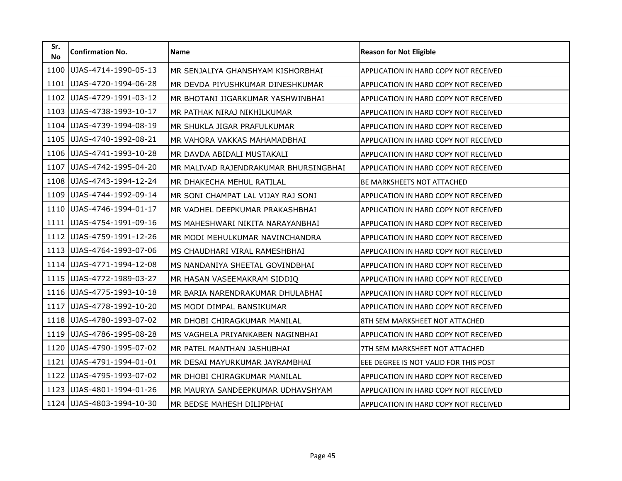| Sr.<br><b>No</b> | <b>Confirmation No.</b> | <b>Name</b>                           | <b>Reason for Not Eligible</b>               |
|------------------|-------------------------|---------------------------------------|----------------------------------------------|
| 1100             | UJAS-4714-1990-05-13    | MR SENJALIYA GHANSHYAM KISHORBHAI     | APPLICATION IN HARD COPY NOT RECEIVED        |
| 1101             | UJAS-4720-1994-06-28    | MR DEVDA PIYUSHKUMAR DINESHKUMAR      | <b>APPLICATION IN HARD COPY NOT RECEIVED</b> |
| 1102             | UJAS-4729-1991-03-12    | MR BHOTANI JIGARKUMAR YASHWINBHAI     | APPLICATION IN HARD COPY NOT RECEIVED        |
| 1103             | UJAS-4738-1993-10-17    | MR PATHAK NIRAJ NIKHILKUMAR           | APPLICATION IN HARD COPY NOT RECEIVED        |
| 1104             | UJAS-4739-1994-08-19    | MR SHUKLA JIGAR PRAFULKUMAR           | APPLICATION IN HARD COPY NOT RECEIVED        |
| 1105             | UJAS-4740-1992-08-21    | MR VAHORA VAKKAS MAHAMADBHAI          | APPLICATION IN HARD COPY NOT RECEIVED        |
| 1106             | UJAS-4741-1993-10-28    | MR DAVDA ABIDALI MUSTAKALI            | <b>APPLICATION IN HARD COPY NOT RECEIVED</b> |
| 1107             | UJAS-4742-1995-04-20    | MR MALIVAD RAJENDRAKUMAR BHURSINGBHAI | APPLICATION IN HARD COPY NOT RECEIVED        |
| 1108             | UJAS-4743-1994-12-24    | MR DHAKECHA MEHUL RATILAL             | <b>BE MARKSHEETS NOT ATTACHED</b>            |
| 1109             | UJAS-4744-1992-09-14    | MR SONI CHAMPAT LAL VIJAY RAJ SONI    | <b>APPLICATION IN HARD COPY NOT RECEIVED</b> |
| 1110             | UJAS-4746-1994-01-17    | MR VADHEL DEEPKUMAR PRAKASHBHAI       | APPLICATION IN HARD COPY NOT RECEIVED        |
| 1111             | UJAS-4754-1991-09-16    | MS MAHESHWARI NIKITA NARAYANBHAI      | APPLICATION IN HARD COPY NOT RECEIVED        |
| 1112             | UJAS-4759-1991-12-26    | MR MODI MEHULKUMAR NAVINCHANDRA       | <b>APPLICATION IN HARD COPY NOT RECEIVED</b> |
| 1113             | UJAS-4764-1993-07-06    | MS CHAUDHARI VIRAL RAMESHBHAI         | APPLICATION IN HARD COPY NOT RECEIVED        |
| 1114             | UJAS-4771-1994-12-08    | MS NANDANIYA SHEETAL GOVINDBHAI       | <b>APPLICATION IN HARD COPY NOT RECEIVED</b> |
| 1115             | UJAS-4772-1989-03-27    | MR HASAN VASEEMAKRAM SIDDIQ           | <b>APPLICATION IN HARD COPY NOT RECEIVED</b> |
| 1116             | UJAS-4775-1993-10-18    | MR BARIA NARENDRAKUMAR DHULABHAI      | APPLICATION IN HARD COPY NOT RECEIVED        |
| 1117             | UJAS-4778-1992-10-20    | MS MODI DIMPAL BANSIKUMAR             | APPLICATION IN HARD COPY NOT RECEIVED        |
| 1118             | UJAS-4780-1993-07-02    | MR DHOBI CHIRAGKUMAR MANILAL          | 8TH SEM MARKSHEET NOT ATTACHED               |
| 1119             | UJAS-4786-1995-08-28    | MS VAGHELA PRIYANKABEN NAGINBHAI      | APPLICATION IN HARD COPY NOT RECEIVED        |
| 1120             | UJAS-4790-1995-07-02    | MR PATEL MANTHAN JASHUBHAI            | 7TH SEM MARKSHEET NOT ATTACHED               |
| 1121             | UJAS-4791-1994-01-01    | MR DESAI MAYURKUMAR JAYRAMBHAI        | EEE DEGREE IS NOT VALID FOR THIS POST        |
| 1122             | UJAS-4795-1993-07-02    | MR DHOBI CHIRAGKUMAR MANILAL          | <b>APPLICATION IN HARD COPY NOT RECEIVED</b> |
| 1123             | UJAS-4801-1994-01-26    | MR MAURYA SANDEEPKUMAR UDHAVSHYAM     | APPLICATION IN HARD COPY NOT RECEIVED        |
| 1124             | UJAS-4803-1994-10-30    | MR BEDSE MAHESH DILIPBHAI             | APPLICATION IN HARD COPY NOT RECEIVED        |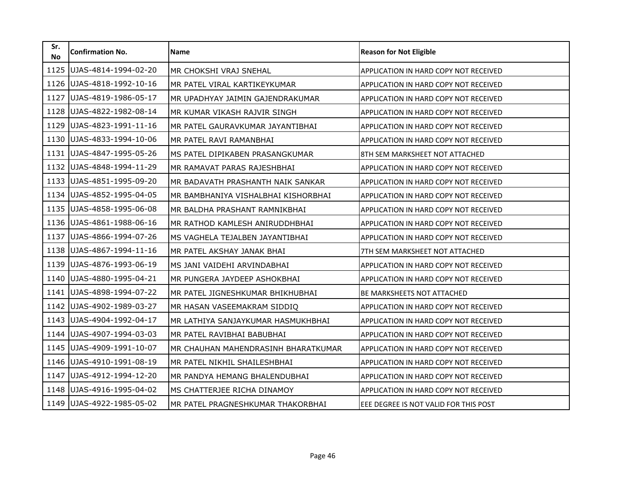| Sr.<br><b>No</b> | <b>Confirmation No.</b> | <b>Name</b>                         | <b>Reason for Not Eligible</b>               |
|------------------|-------------------------|-------------------------------------|----------------------------------------------|
| 1125             | UJAS-4814-1994-02-20    | MR CHOKSHI VRAJ SNEHAL              | APPLICATION IN HARD COPY NOT RECEIVED        |
| 1126             | UJAS-4818-1992-10-16    | MR PATEL VIRAL KARTIKEYKUMAR        | <b>APPLICATION IN HARD COPY NOT RECEIVED</b> |
| 1127             | UJAS-4819-1986-05-17    | MR UPADHYAY JAIMIN GAJENDRAKUMAR    | APPLICATION IN HARD COPY NOT RECEIVED        |
| 1128             | UJAS-4822-1982-08-14    | MR KUMAR VIKASH RAJVIR SINGH        | APPLICATION IN HARD COPY NOT RECEIVED        |
| 1129             | UJAS-4823-1991-11-16    | MR PATEL GAURAVKUMAR JAYANTIBHAI    | APPLICATION IN HARD COPY NOT RECEIVED        |
| 1130             | UJAS-4833-1994-10-06    | MR PATEL RAVI RAMANBHAI             | APPLICATION IN HARD COPY NOT RECEIVED        |
| 1131             | UJAS-4847-1995-05-26    | MS PATEL DIPIKABEN PRASANGKUMAR     | 8TH SEM MARKSHEET NOT ATTACHED               |
| 1132             | UJAS-4848-1994-11-29    | MR RAMAVAT PARAS RAJESHBHAI         | APPLICATION IN HARD COPY NOT RECEIVED        |
| 1133             | UJAS-4851-1995-09-20    | MR BADAVATH PRASHANTH NAIK SANKAR   | APPLICATION IN HARD COPY NOT RECEIVED        |
| 1134             | UJAS-4852-1995-04-05    | MR BAMBHANIYA VISHALBHAI KISHORBHAI | <b>APPLICATION IN HARD COPY NOT RECEIVED</b> |
| 1135             | UJAS-4858-1995-06-08    | MR BALDHA PRASHANT RAMNIKBHAI       | APPLICATION IN HARD COPY NOT RECEIVED        |
| 1136             | UJAS-4861-1988-06-16    | MR RATHOD KAMLESH ANIRUDDHBHAI      | APPLICATION IN HARD COPY NOT RECEIVED        |
| 1137             | UJAS-4866-1994-07-26    | MS VAGHELA TEJALBEN JAYANTIBHAI     | APPLICATION IN HARD COPY NOT RECEIVED        |
| 1138             | UJAS-4867-1994-11-16    | MR PATEL AKSHAY JANAK BHAI          | 7TH SEM MARKSHEET NOT ATTACHED               |
| 1139             | UJAS-4876-1993-06-19    | MS JANI VAIDEHI ARVINDABHAI         | APPLICATION IN HARD COPY NOT RECEIVED        |
| 1140             | UJAS-4880-1995-04-21    | MR PUNGERA JAYDEEP ASHOKBHAI        | <b>APPLICATION IN HARD COPY NOT RECEIVED</b> |
| 1141             | UJAS-4898-1994-07-22    | MR PATEL JIGNESHKUMAR BHIKHUBHAI    | <b>BE MARKSHEETS NOT ATTACHED</b>            |
| 1142             | UJAS-4902-1989-03-27    | MR HASAN VASEEMAKRAM SIDDIQ         | APPLICATION IN HARD COPY NOT RECEIVED        |
| 1143             | UJAS-4904-1992-04-17    | MR LATHIYA SANJAYKUMAR HASMUKHBHAI  | APPLICATION IN HARD COPY NOT RECEIVED        |
| 1144             | UJAS-4907-1994-03-03    | MR PATEL RAVIBHAI BABUBHAI          | APPLICATION IN HARD COPY NOT RECEIVED        |
| 1145             | UJAS-4909-1991-10-07    | MR CHAUHAN MAHENDRASINH BHARATKUMAR | <b>APPLICATION IN HARD COPY NOT RECEIVED</b> |
| 1146             | UJAS-4910-1991-08-19    | MR PATEL NIKHIL SHAILESHBHAI        | APPLICATION IN HARD COPY NOT RECEIVED        |
| 1147             | UJAS-4912-1994-12-20    | MR PANDYA HEMANG BHALENDUBHAI       | <b>APPLICATION IN HARD COPY NOT RECEIVED</b> |
| 1148             | UJAS-4916-1995-04-02    | MS CHATTERJEE RICHA DINAMOY         | APPLICATION IN HARD COPY NOT RECEIVED        |
| 1149             | UJAS-4922-1985-05-02    | MR PATEL PRAGNESHKUMAR THAKORBHAI   | EEE DEGREE IS NOT VALID FOR THIS POST        |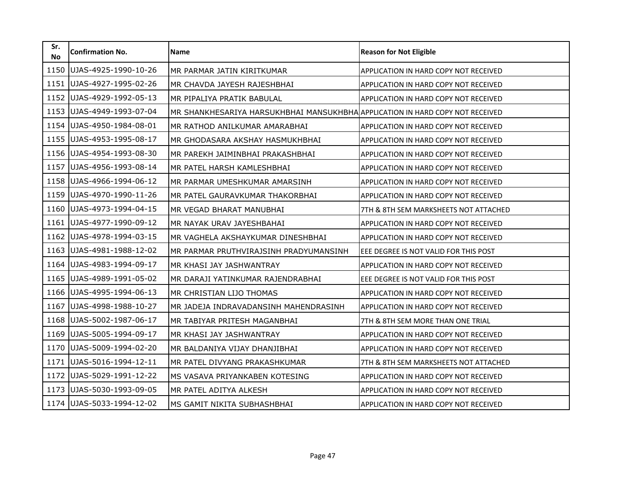| Sr.<br><b>No</b> | <b>Confirmation No.</b> | <b>Name</b>                                                                   | <b>Reason for Not Eligible</b>               |
|------------------|-------------------------|-------------------------------------------------------------------------------|----------------------------------------------|
| 1150             | UJAS-4925-1990-10-26    | MR PARMAR JATIN KIRITKUMAR                                                    | APPLICATION IN HARD COPY NOT RECEIVED        |
| 1151             | UJAS-4927-1995-02-26    | MR CHAVDA JAYESH RAJESHBHAI                                                   | <b>APPLICATION IN HARD COPY NOT RECEIVED</b> |
| 1152             | UJAS-4929-1992-05-13    | MR PIPALIYA PRATIK BABULAL                                                    | APPLICATION IN HARD COPY NOT RECEIVED        |
| 1153             | UJAS-4949-1993-07-04    | MR SHANKHESARIYA HARSUKHBHAI MANSUKHBHA APPLICATION IN HARD COPY NOT RECEIVED |                                              |
| 1154             | UJAS-4950-1984-08-01    | MR RATHOD ANILKUMAR AMARABHAI                                                 | <b>APPLICATION IN HARD COPY NOT RECEIVED</b> |
| 1155             | UJAS-4953-1995-08-17    | MR GHODASARA AKSHAY HASMUKHBHAI                                               | APPLICATION IN HARD COPY NOT RECEIVED        |
| 1156             | UJAS-4954-1993-08-30    | MR PAREKH JAIMINBHAI PRAKASHBHAI                                              | <b>APPLICATION IN HARD COPY NOT RECEIVED</b> |
| 1157             | UJAS-4956-1993-08-14    | MR PATEL HARSH KAMLESHBHAI                                                    | APPLICATION IN HARD COPY NOT RECEIVED        |
| 1158             | UJAS-4966-1994-06-12    | MR PARMAR UMESHKUMAR AMARSINH                                                 | APPLICATION IN HARD COPY NOT RECEIVED        |
| 1159             | UJAS-4970-1990-11-26    | MR PATEL GAURAVKUMAR THAKORBHAI                                               | <b>APPLICATION IN HARD COPY NOT RECEIVED</b> |
| 1160             | UJAS-4973-1994-04-15    | MR VEGAD BHARAT MANUBHAI                                                      | 7TH & 8TH SEM MARKSHEETS NOT ATTACHED        |
| 1161             | UJAS-4977-1990-09-12    | MR NAYAK URAV JAYESHBAHAI                                                     | APPLICATION IN HARD COPY NOT RECEIVED        |
| 1162             | UJAS-4978-1994-03-15    | MR VAGHELA AKSHAYKUMAR DINESHBHAI                                             | APPLICATION IN HARD COPY NOT RECEIVED        |
| 1163             | UJAS-4981-1988-12-02    | MR PARMAR PRUTHVIRAJSINH PRADYUMANSINH                                        | EEE DEGREE IS NOT VALID FOR THIS POST        |
| 1164             | UJAS-4983-1994-09-17    | MR KHASI JAY JASHWANTRAY                                                      | <b>APPLICATION IN HARD COPY NOT RECEIVED</b> |
| 1165             | UJAS-4989-1991-05-02    | MR DARAJI YATINKUMAR RAJENDRABHAI                                             | EEE DEGREE IS NOT VALID FOR THIS POST        |
| 1166             | UJAS-4995-1994-06-13    | MR CHRISTIAN LIJO THOMAS                                                      | APPLICATION IN HARD COPY NOT RECEIVED        |
| 1167             | UJAS-4998-1988-10-27    | MR JADEJA INDRAVADANSINH MAHENDRASINH                                         | APPLICATION IN HARD COPY NOT RECEIVED        |
| 1168             | UJAS-5002-1987-06-17    | MR TABIYAR PRITESH MAGANBHAI                                                  | 7TH & 8TH SEM MORE THAN ONE TRIAL            |
| 1169             | UJAS-5005-1994-09-17    | MR KHASI JAY JASHWANTRAY                                                      | APPLICATION IN HARD COPY NOT RECEIVED        |
| 1170             | UJAS-5009-1994-02-20    | MR BALDANIYA VIJAY DHANJIBHAI                                                 | <b>APPLICATION IN HARD COPY NOT RECEIVED</b> |
| 1171             | UJAS-5016-1994-12-11    | MR PATEL DIVYANG PRAKASHKUMAR                                                 | 7TH & 8TH SEM MARKSHEETS NOT ATTACHED        |
| 1172             | UJAS-5029-1991-12-22    | MS VASAVA PRIYANKABEN KOTESING                                                | APPLICATION IN HARD COPY NOT RECEIVED        |
| 1173             | UJAS-5030-1993-09-05    | MR PATEL ADITYA ALKESH                                                        | APPLICATION IN HARD COPY NOT RECEIVED        |
| 1174             | UJAS-5033-1994-12-02    | MS GAMIT NIKITA SUBHASHBHAI                                                   | APPLICATION IN HARD COPY NOT RECEIVED        |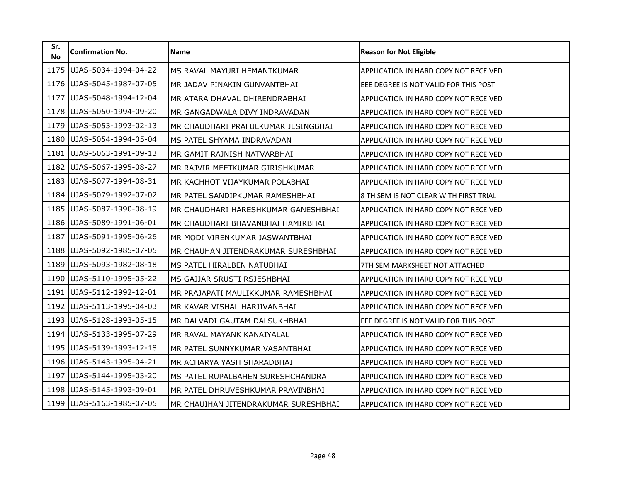| Sr.<br><b>No</b> | <b>Confirmation No.</b> | <b>Name</b>                          | <b>Reason for Not Eligible</b>               |
|------------------|-------------------------|--------------------------------------|----------------------------------------------|
| 1175             | UJAS-5034-1994-04-22    | MS RAVAL MAYURI HEMANTKUMAR          | APPLICATION IN HARD COPY NOT RECEIVED        |
| 1176             | UJAS-5045-1987-07-05    | MR JADAV PINAKIN GUNVANTBHAI         | EEE DEGREE IS NOT VALID FOR THIS POST        |
| 1177             | UJAS-5048-1994-12-04    | MR ATARA DHAVAL DHIRENDRABHAI        | APPLICATION IN HARD COPY NOT RECEIVED        |
| 1178             | UJAS-5050-1994-09-20    | MR GANGADWALA DIVY INDRAVADAN        | APPLICATION IN HARD COPY NOT RECEIVED        |
| 1179             | UJAS-5053-1993-02-13    | MR CHAUDHARI PRAFULKUMAR JESINGBHAI  | APPLICATION IN HARD COPY NOT RECEIVED        |
| 1180             | UJAS-5054-1994-05-04    | MS PATEL SHYAMA INDRAVADAN           | APPLICATION IN HARD COPY NOT RECEIVED        |
| 1181             | UJAS-5063-1991-09-13    | MR GAMIT RAJNISH NATVARBHAI          | APPLICATION IN HARD COPY NOT RECEIVED        |
| 1182             | UJAS-5067-1995-08-27    | MR RAJVIR MEETKUMAR GIRISHKUMAR      | APPLICATION IN HARD COPY NOT RECEIVED        |
| 1183             | UJAS-5077-1994-08-31    | MR KACHHOT VIJAYKUMAR POLABHAI       | APPLICATION IN HARD COPY NOT RECEIVED        |
| 1184             | UJAS-5079-1992-07-02    | MR PATEL SANDIPKUMAR RAMESHBHAI      | 8 TH SEM IS NOT CLEAR WITH FIRST TRIAL       |
| 1185             | UJAS-5087-1990-08-19    | MR CHAUDHARI HARESHKUMAR GANESHBHAI  | APPLICATION IN HARD COPY NOT RECEIVED        |
| 1186             | UJAS-5089-1991-06-01    | MR CHAUDHARI BHAVANBHAI HAMIRBHAI    | APPLICATION IN HARD COPY NOT RECEIVED        |
| 1187             | UJAS-5091-1995-06-26    | MR MODI VIRENKUMAR JASWANTBHAI       | APPLICATION IN HARD COPY NOT RECEIVED        |
| 1188             | UJAS-5092-1985-07-05    | MR CHAUHAN JITENDRAKUMAR SURESHBHAI  | APPLICATION IN HARD COPY NOT RECEIVED        |
| 1189             | UJAS-5093-1982-08-18    | MS PATEL HIRALBEN NATUBHAI           | 7TH SEM MARKSHEET NOT ATTACHED               |
| 1190             | UJAS-5110-1995-05-22    | MS GAJJAR SRUSTI RSJESHBHAI          | APPLICATION IN HARD COPY NOT RECEIVED        |
| 1191             | UJAS-5112-1992-12-01    | MR PRAJAPATI MAULIKKUMAR RAMESHBHAI  | APPLICATION IN HARD COPY NOT RECEIVED        |
| 1192             | UJAS-5113-1995-04-03    | MR KAVAR VISHAL HARJIVANBHAI         | APPLICATION IN HARD COPY NOT RECEIVED        |
| 1193             | UJAS-5128-1993-05-15    | MR DALVADI GAUTAM DALSUKHBHAI        | EEE DEGREE IS NOT VALID FOR THIS POST        |
| 1194             | UJAS-5133-1995-07-29    | MR RAVAL MAYANK KANAIYALAL           | APPLICATION IN HARD COPY NOT RECEIVED        |
| 1195             | UJAS-5139-1993-12-18    | MR PATEL SUNNYKUMAR VASANTBHAI       | <b>APPLICATION IN HARD COPY NOT RECEIVED</b> |
| 1196             | UJAS-5143-1995-04-21    | MR ACHARYA YASH SHARADBHAI           | APPLICATION IN HARD COPY NOT RECEIVED        |
| 1197             | UJAS-5144-1995-03-20    | MS PATEL RUPALBAHEN SURESHCHANDRA    | <b>APPLICATION IN HARD COPY NOT RECEIVED</b> |
| 1198             | UJAS-5145-1993-09-01    | MR PATEL DHRUVESHKUMAR PRAVINBHAI    | APPLICATION IN HARD COPY NOT RECEIVED        |
| 1199             | UJAS-5163-1985-07-05    | MR CHAUIHAN JITENDRAKUMAR SURESHBHAI | APPLICATION IN HARD COPY NOT RECEIVED        |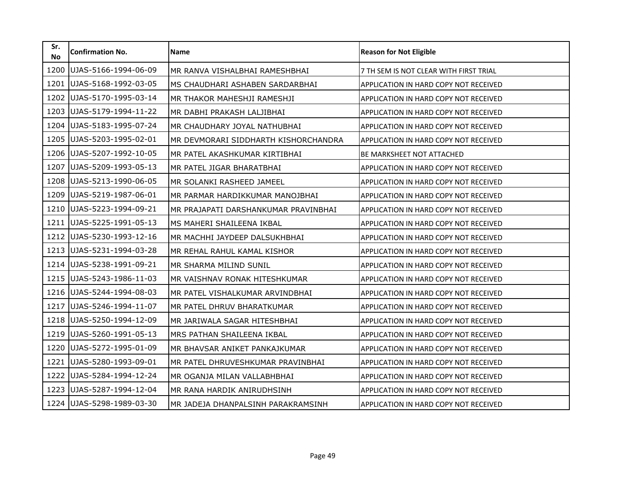| Sr.<br><b>No</b> | <b>Confirmation No.</b> | <b>Name</b>                          | <b>Reason for Not Eligible</b>               |
|------------------|-------------------------|--------------------------------------|----------------------------------------------|
| 1200             | UJAS-5166-1994-06-09    | MR RANVA VISHALBHAI RAMESHBHAI       | 7 TH SEM IS NOT CLEAR WITH FIRST TRIAL       |
| 1201             | UJAS-5168-1992-03-05    | MS CHAUDHARI ASHABEN SARDARBHAI      | APPLICATION IN HARD COPY NOT RECEIVED        |
| 1202             | UJAS-5170-1995-03-14    | MR THAKOR MAHESHJI RAMESHJI          | APPLICATION IN HARD COPY NOT RECEIVED        |
| 1203             | UJAS-5179-1994-11-22    | MR DABHI PRAKASH LALJIBHAI           | APPLICATION IN HARD COPY NOT RECEIVED        |
| 1204             | UJAS-5183-1995-07-24    | MR CHAUDHARY JOYAL NATHUBHAI         | APPLICATION IN HARD COPY NOT RECEIVED        |
| 1205             | UJAS-5203-1995-02-01    | MR DEVMORARI SIDDHARTH KISHORCHANDRA | APPLICATION IN HARD COPY NOT RECEIVED        |
| 1206             | UJAS-5207-1992-10-05    | MR PATEL AKASHKUMAR KIRTIBHAI        | <b>BE MARKSHEET NOT ATTACHED</b>             |
| 1207             | UJAS-5209-1993-05-13    | MR PATEL JIGAR BHARATBHAI            | APPLICATION IN HARD COPY NOT RECEIVED        |
| 1208             | UJAS-5213-1990-06-05    | MR SOLANKI RASHEED JAMEEL            | APPLICATION IN HARD COPY NOT RECEIVED        |
| 1209             | UJAS-5219-1987-06-01    | MR PARMAR HARDIKKUMAR MANOJBHAI      | APPLICATION IN HARD COPY NOT RECEIVED        |
| 1210             | UJAS-5223-1994-09-21    | MR PRAJAPATI DARSHANKUMAR PRAVINBHAI | APPLICATION IN HARD COPY NOT RECEIVED        |
| 1211             | UJAS-5225-1991-05-13    | MS MAHERI SHAILEENA IKBAL            | APPLICATION IN HARD COPY NOT RECEIVED        |
| 1212             | UJAS-5230-1993-12-16    | MR MACHHI JAYDEEP DALSUKHBHAI        | APPLICATION IN HARD COPY NOT RECEIVED        |
| 1213             | UJAS-5231-1994-03-28    | MR REHAL RAHUL KAMAL KISHOR          | APPLICATION IN HARD COPY NOT RECEIVED        |
| 1214             | UJAS-5238-1991-09-21    | MR SHARMA MILIND SUNIL               | <b>APPLICATION IN HARD COPY NOT RECEIVED</b> |
| 1215             | UJAS-5243-1986-11-03    | MR VAISHNAV RONAK HITESHKUMAR        | APPLICATION IN HARD COPY NOT RECEIVED        |
| 1216             | UJAS-5244-1994-08-03    | MR PATEL VISHALKUMAR ARVINDBHAI      | APPLICATION IN HARD COPY NOT RECEIVED        |
| 1217             | UJAS-5246-1994-11-07    | MR PATEL DHRUV BHARATKUMAR           | APPLICATION IN HARD COPY NOT RECEIVED        |
| 1218             | UJAS-5250-1994-12-09    | MR JARIWALA SAGAR HITESHBHAI         | APPLICATION IN HARD COPY NOT RECEIVED        |
| 1219             | UJAS-5260-1991-05-13    | MRS PATHAN SHAILEENA IKBAL           | APPLICATION IN HARD COPY NOT RECEIVED        |
| 1220             | UJAS-5272-1995-01-09    | MR BHAVSAR ANIKET PANKAJKUMAR        | <b>APPLICATION IN HARD COPY NOT RECEIVED</b> |
| 1221             | UJAS-5280-1993-09-01    | MR PATEL DHRUVESHKUMAR PRAVINBHAI    | APPLICATION IN HARD COPY NOT RECEIVED        |
| 1222             | UJAS-5284-1994-12-24    | MR OGANJA MILAN VALLABHBHAI          | APPLICATION IN HARD COPY NOT RECEIVED        |
| 1223             | UJAS-5287-1994-12-04    | MR RANA HARDIK ANIRUDHSINH           | APPLICATION IN HARD COPY NOT RECEIVED        |
| 1224             | UJAS-5298-1989-03-30    | MR JADEJA DHANPALSINH PARAKRAMSINH   | APPLICATION IN HARD COPY NOT RECEIVED        |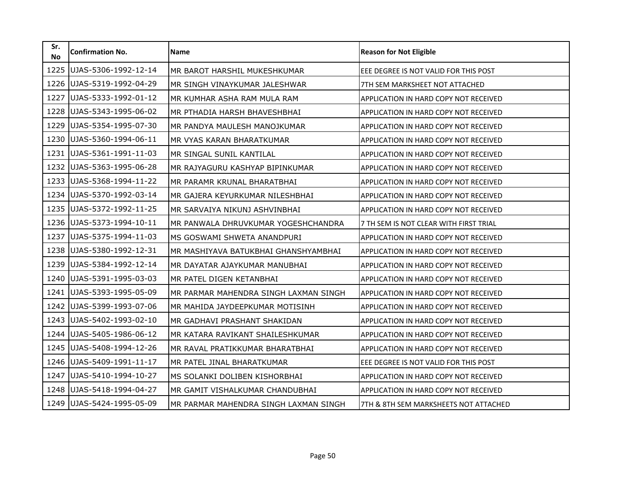| Sr.<br><b>No</b> | <b>Confirmation No.</b> | <b>Name</b>                           | <b>Reason for Not Eligible</b>               |
|------------------|-------------------------|---------------------------------------|----------------------------------------------|
| 1225             | UJAS-5306-1992-12-14    | MR BAROT HARSHIL MUKESHKUMAR          | EEE DEGREE IS NOT VALID FOR THIS POST        |
| 1226             | UJAS-5319-1992-04-29    | MR SINGH VINAYKUMAR JALESHWAR         | 7TH SEM MARKSHEET NOT ATTACHED               |
| 1227             | UJAS-5333-1992-01-12    | MR KUMHAR ASHA RAM MULA RAM           | APPLICATION IN HARD COPY NOT RECEIVED        |
| 1228             | UJAS-5343-1995-06-02    | MR PTHADIA HARSH BHAVESHBHAI          | APPLICATION IN HARD COPY NOT RECEIVED        |
| 1229             | UJAS-5354-1995-07-30    | MR PANDYA MAULESH MANOJKUMAR          | APPLICATION IN HARD COPY NOT RECEIVED        |
| 1230             | UJAS-5360-1994-06-11    | MR VYAS KARAN BHARATKUMAR             | APPLICATION IN HARD COPY NOT RECEIVED        |
| 1231             | UJAS-5361-1991-11-03    | MR SINGAL SUNIL KANTILAL              | <b>APPLICATION IN HARD COPY NOT RECEIVED</b> |
| 1232             | UJAS-5363-1995-06-28    | MR RAJYAGURU KASHYAP BIPINKUMAR       | APPLICATION IN HARD COPY NOT RECEIVED        |
| 1233             | UJAS-5368-1994-11-22    | MR PARAMR KRUNAL BHARATBHAI           | APPLICATION IN HARD COPY NOT RECEIVED        |
| 1234             | UJAS-5370-1992-03-14    | MR GAJERA KEYURKUMAR NILESHBHAI       | APPLICATION IN HARD COPY NOT RECEIVED        |
| 1235             | UJAS-5372-1992-11-25    | MR SARVAIYA NIKUNJ ASHVINBHAI         | APPLICATION IN HARD COPY NOT RECEIVED        |
| 1236             | UJAS-5373-1994-10-11    | MR PANWALA DHRUVKUMAR YOGESHCHANDRA   | 7 TH SEM IS NOT CLEAR WITH FIRST TRIAL       |
| 1237             | UJAS-5375-1994-11-03    | MS GOSWAMI SHWETA ANANDPURI           | APPLICATION IN HARD COPY NOT RECEIVED        |
| 1238             | UJAS-5380-1992-12-31    | MR MASHIYAVA BATUKBHAI GHANSHYAMBHAI  | APPLICATION IN HARD COPY NOT RECEIVED        |
| 1239             | UJAS-5384-1992-12-14    | MR DAYATAR AJAYKUMAR MANUBHAI         | <b>APPLICATION IN HARD COPY NOT RECEIVED</b> |
| 1240             | UJAS-5391-1995-03-03    | MR PATEL DIGEN KETANBHAI              | APPLICATION IN HARD COPY NOT RECEIVED        |
| 1241             | UJAS-5393-1995-05-09    | MR PARMAR MAHENDRA SINGH LAXMAN SINGH | APPLICATION IN HARD COPY NOT RECEIVED        |
| 1242             | UJAS-5399-1993-07-06    | MR MAHIDA JAYDEEPKUMAR MOTISINH       | APPLICATION IN HARD COPY NOT RECEIVED        |
| 1243             | UJAS-5402-1993-02-10    | MR GADHAVI PRASHANT SHAKIDAN          | APPLICATION IN HARD COPY NOT RECEIVED        |
| 1244             | UJAS-5405-1986-06-12    | MR KATARA RAVIKANT SHAILESHKUMAR      | APPLICATION IN HARD COPY NOT RECEIVED        |
| 1245             | UJAS-5408-1994-12-26    | MR RAVAL PRATIKKUMAR BHARATBHAI       | <b>APPLICATION IN HARD COPY NOT RECEIVED</b> |
| 1246             | UJAS-5409-1991-11-17    | MR PATEL JINAL BHARATKUMAR            | EEE DEGREE IS NOT VALID FOR THIS POST        |
| 1247             | UJAS-5410-1994-10-27    | MS SOLANKI DOLIBEN KISHORBHAI         | <b>APPLICATION IN HARD COPY NOT RECEIVED</b> |
| 1248             | UJAS-5418-1994-04-27    | MR GAMIT VISHALKUMAR CHANDUBHAI       | APPLICATION IN HARD COPY NOT RECEIVED        |
| 1249             | UJAS-5424-1995-05-09    | MR PARMAR MAHENDRA SINGH LAXMAN SINGH | 7TH & 8TH SEM MARKSHEETS NOT ATTACHED        |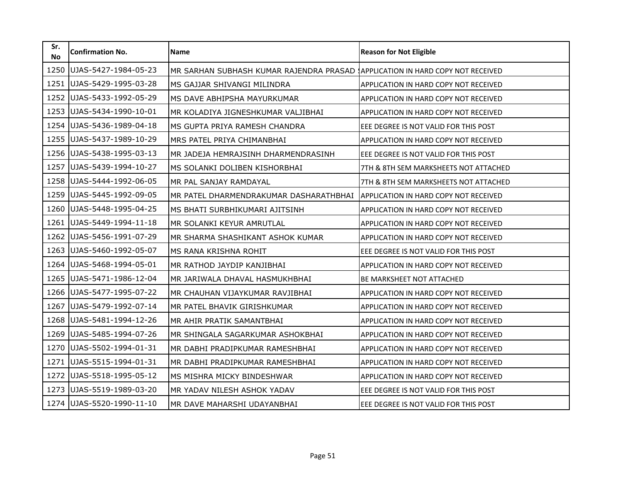| Sr.<br><b>No</b> | <b>Confirmation No.</b> | Name                                    | <b>Reason for Not Eligible</b>        |
|------------------|-------------------------|-----------------------------------------|---------------------------------------|
| 1250             | UJAS-5427-1984-05-23    | MR SARHAN SUBHASH KUMAR RAJENDRA PRASAD | APPLICATION IN HARD COPY NOT RECEIVED |
| 1251             | UJAS-5429-1995-03-28    | MS GAJJAR SHIVANGI MILINDRA             | APPLICATION IN HARD COPY NOT RECEIVED |
| 1252             | UJAS-5433-1992-05-29    | MS DAVE ABHIPSHA MAYURKUMAR             | APPLICATION IN HARD COPY NOT RECEIVED |
| 1253             | UJAS-5434-1990-10-01    | MR KOLADIYA JIGNESHKUMAR VALJIBHAI      | APPLICATION IN HARD COPY NOT RECEIVED |
| 1254             | UJAS-5436-1989-04-18    | MS GUPTA PRIYA RAMESH CHANDRA           | EEE DEGREE IS NOT VALID FOR THIS POST |
| 1255             | UJAS-5437-1989-10-29    | MRS PATEL PRIYA CHIMANBHAI              | APPLICATION IN HARD COPY NOT RECEIVED |
| 1256             | UJAS-5438-1995-03-13    | MR JADEJA HEMRAJSINH DHARMENDRASINH     | EEE DEGREE IS NOT VALID FOR THIS POST |
| 1257             | UJAS-5439-1994-10-27    | MS SOLANKI DOLIBEN KISHORBHAI           | 7TH & 8TH SEM MARKSHEETS NOT ATTACHED |
| 1258             | UJAS-5444-1992-06-05    | MR PAL SANJAY RAMDAYAL                  | 7TH & 8TH SEM MARKSHEETS NOT ATTACHED |
| 1259             | UJAS-5445-1992-09-05    | MR PATEL DHARMENDRAKUMAR DASHARATHBHAI  | APPLICATION IN HARD COPY NOT RECEIVED |
| 1260             | UJAS-5448-1995-04-25    | MS BHATI SURBHIKUMARI AJITSINH          | APPLICATION IN HARD COPY NOT RECEIVED |
| 1261             | UJAS-5449-1994-11-18    | MR SOLANKI KEYUR AMRUTLAL               | APPLICATION IN HARD COPY NOT RECEIVED |
| 1262             | UJAS-5456-1991-07-29    | MR SHARMA SHASHIKANT ASHOK KUMAR        | APPLICATION IN HARD COPY NOT RECEIVED |
| 1263             | UJAS-5460-1992-05-07    | MS RANA KRISHNA ROHIT                   | EEE DEGREE IS NOT VALID FOR THIS POST |
| 1264             | UJAS-5468-1994-05-01    | MR RATHOD JAYDIP KANJIBHAI              | APPLICATION IN HARD COPY NOT RECEIVED |
| 1265             | UJAS-5471-1986-12-04    | MR JARIWALA DHAVAL HASMUKHBHAI          | BE MARKSHEET NOT ATTACHED             |
| 1266             | UJAS-5477-1995-07-22    | MR CHAUHAN VIJAYKUMAR RAVJIBHAI         | APPLICATION IN HARD COPY NOT RECEIVED |
| 1267             | UJAS-5479-1992-07-14    | MR PATEL BHAVIK GIRISHKUMAR             | APPLICATION IN HARD COPY NOT RECEIVED |
| 1268             | UJAS-5481-1994-12-26    | MR AHIR PRATIK SAMANTBHAI               | APPLICATION IN HARD COPY NOT RECEIVED |
| 1269             | UJAS-5485-1994-07-26    | MR SHINGALA SAGARKUMAR ASHOKBHAI        | APPLICATION IN HARD COPY NOT RECEIVED |
| 1270             | UJAS-5502-1994-01-31    | MR DABHI PRADIPKUMAR RAMESHBHAI         | APPLICATION IN HARD COPY NOT RECEIVED |
| 1271             | UJAS-5515-1994-01-31    | MR DABHI PRADIPKUMAR RAMESHBHAI         | APPLICATION IN HARD COPY NOT RECEIVED |
| 1272             | UJAS-5518-1995-05-12    | MS MISHRA MICKY BINDESHWAR              | APPLICATION IN HARD COPY NOT RECEIVED |
| 1273             | UJAS-5519-1989-03-20    | MR YADAV NILESH ASHOK YADAV             | EEE DEGREE IS NOT VALID FOR THIS POST |
| 1274             | UJAS-5520-1990-11-10    | MR DAVE MAHARSHI UDAYANBHAI             | EEE DEGREE IS NOT VALID FOR THIS POST |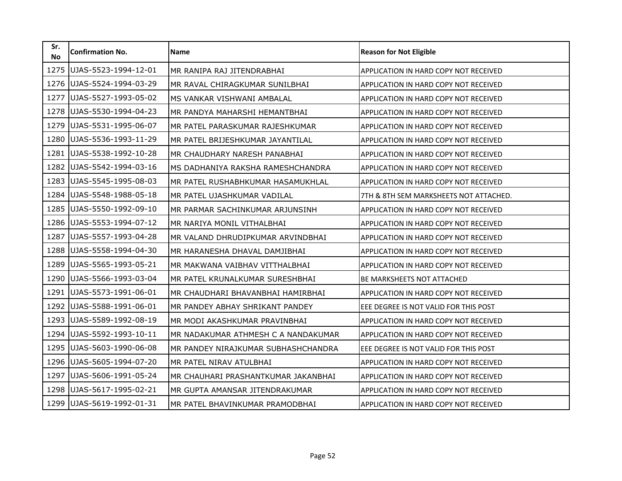| Sr.<br><b>No</b> | <b>Confirmation No.</b> | <b>Name</b>                         | <b>Reason for Not Eligible</b>               |
|------------------|-------------------------|-------------------------------------|----------------------------------------------|
| 1275             | UJAS-5523-1994-12-01    | MR RANIPA RAJ JITENDRABHAI          | APPLICATION IN HARD COPY NOT RECEIVED        |
| 1276             | UJAS-5524-1994-03-29    | MR RAVAL CHIRAGKUMAR SUNILBHAI      | APPLICATION IN HARD COPY NOT RECEIVED        |
| 1277             | UJAS-5527-1993-05-02    | MS VANKAR VISHWANI AMBALAL          | APPLICATION IN HARD COPY NOT RECEIVED        |
| 1278             | UJAS-5530-1994-04-23    | MR PANDYA MAHARSHI HEMANTBHAI       | APPLICATION IN HARD COPY NOT RECEIVED        |
| 1279             | UJAS-5531-1995-06-07    | MR PATEL PARASKUMAR RAJESHKUMAR     | APPLICATION IN HARD COPY NOT RECEIVED        |
| 1280             | UJAS-5536-1993-11-29    | MR PATEL BRIJESHKUMAR JAYANTILAL    | APPLICATION IN HARD COPY NOT RECEIVED        |
| 1281             | UJAS-5538-1992-10-28    | MR CHAUDHARY NARESH PANABHAI        | <b>APPLICATION IN HARD COPY NOT RECEIVED</b> |
| 1282             | UJAS-5542-1994-03-16    | MS DADHANIYA RAKSHA RAMESHCHANDRA   | APPLICATION IN HARD COPY NOT RECEIVED        |
| 1283             | UJAS-5545-1995-08-03    | MR PATEL RUSHABHKUMAR HASAMUKHLAL   | <b>APPLICATION IN HARD COPY NOT RECEIVED</b> |
| 1284             | UJAS-5548-1988-05-18    | MR PATEL UJASHKUMAR VADILAL         | 7TH & 8TH SEM MARKSHEETS NOT ATTACHED.       |
| 1285             | UJAS-5550-1992-09-10    | MR PARMAR SACHINKUMAR ARJUNSINH     | APPLICATION IN HARD COPY NOT RECEIVED        |
| 1286             | UJAS-5553-1994-07-12    | MR NARIYA MONIL VITHALBHAI          | APPLICATION IN HARD COPY NOT RECEIVED        |
| 1287             | UJAS-5557-1993-04-28    | MR VALAND DHRUDIPKUMAR ARVINDBHAI   | APPLICATION IN HARD COPY NOT RECEIVED        |
| 1288             | UJAS-5558-1994-04-30    | MR HARANESHA DHAVAL DAMJIBHAI       | APPLICATION IN HARD COPY NOT RECEIVED        |
| 1289             | UJAS-5565-1993-05-21    | MR MAKWANA VAIBHAV VITTHALBHAI      | APPLICATION IN HARD COPY NOT RECEIVED        |
| 1290             | UJAS-5566-1993-03-04    | MR PATEL KRUNALKUMAR SURESHBHAI     | BE MARKSHEETS NOT ATTACHED                   |
| 1291             | UJAS-5573-1991-06-01    | MR CHAUDHARI BHAVANBHAI HAMIRBHAI   | APPLICATION IN HARD COPY NOT RECEIVED        |
| 1292             | UJAS-5588-1991-06-01    | MR PANDEY ABHAY SHRIKANT PANDEY     | EEE DEGREE IS NOT VALID FOR THIS POST        |
| 1293             | UJAS-5589-1992-08-19    | MR MODI AKASHKUMAR PRAVINBHAI       | APPLICATION IN HARD COPY NOT RECEIVED        |
| 1294             | UJAS-5592-1993-10-11    | MR NADAKUMAR ATHMESH C A NANDAKUMAR | APPLICATION IN HARD COPY NOT RECEIVED        |
| 1295             | UJAS-5603-1990-06-08    | MR PANDEY NIRAJKUMAR SUBHASHCHANDRA | EEE DEGREE IS NOT VALID FOR THIS POST        |
| 1296             | UJAS-5605-1994-07-20    | MR PATEL NIRAV ATULBHAI             | APPLICATION IN HARD COPY NOT RECEIVED        |
| 1297             | UJAS-5606-1991-05-24    | MR CHAUHARI PRASHANTKUMAR JAKANBHAI | <b>APPLICATION IN HARD COPY NOT RECEIVED</b> |
| 1298             | UJAS-5617-1995-02-21    | MR GUPTA AMANSAR JITENDRAKUMAR      | APPLICATION IN HARD COPY NOT RECEIVED        |
| 1299             | UJAS-5619-1992-01-31    | MR PATEL BHAVINKUMAR PRAMODBHAI     | APPLICATION IN HARD COPY NOT RECEIVED        |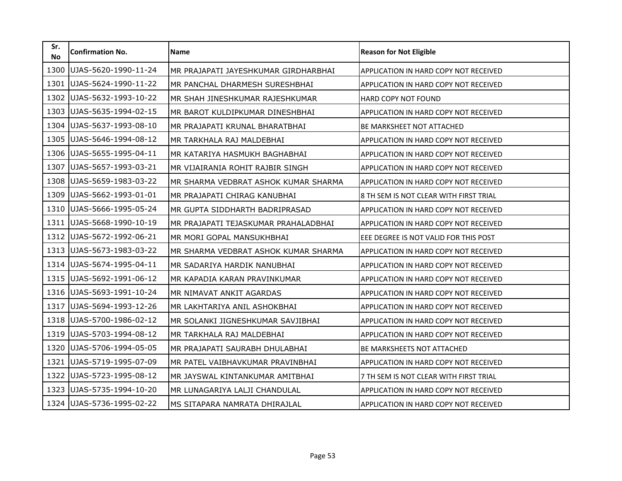| Sr.<br><b>No</b> | <b>Confirmation No.</b> | <b>Name</b>                          | <b>Reason for Not Eligible</b>               |
|------------------|-------------------------|--------------------------------------|----------------------------------------------|
| 1300             | UJAS-5620-1990-11-24    | MR PRAJAPATI JAYESHKUMAR GIRDHARBHAI | APPLICATION IN HARD COPY NOT RECEIVED        |
| 1301             | UJAS-5624-1990-11-22    | MR PANCHAL DHARMESH SURESHBHAI       | APPLICATION IN HARD COPY NOT RECEIVED        |
| 1302             | UJAS-5632-1993-10-22    | MR SHAH JINESHKUMAR RAJESHKUMAR      | HARD COPY NOT FOUND                          |
| 1303             | UJAS-5635-1994-02-15    | MR BAROT KULDIPKUMAR DINESHBHAI      | APPLICATION IN HARD COPY NOT RECEIVED        |
| 1304             | UJAS-5637-1993-08-10    | MR PRAJAPATI KRUNAL BHARATBHAI       | BE MARKSHEET NOT ATTACHED                    |
| 1305             | UJAS-5646-1994-08-12    | MR TARKHALA RAJ MALDEBHAI            | APPLICATION IN HARD COPY NOT RECEIVED        |
| 1306             | UJAS-5655-1995-04-11    | MR KATARIYA HASMUKH BAGHABHAI        | <b>APPLICATION IN HARD COPY NOT RECEIVED</b> |
| 1307             | UJAS-5657-1993-03-21    | MR VIJAIRANIA ROHIT RAJBIR SINGH     | APPLICATION IN HARD COPY NOT RECEIVED        |
| 1308             | UJAS-5659-1983-03-22    | MR SHARMA VEDBRAT ASHOK KUMAR SHARMA | APPLICATION IN HARD COPY NOT RECEIVED        |
| 1309             | UJAS-5662-1993-01-01    | MR PRAJAPATI CHIRAG KANUBHAI         | 8 TH SEM IS NOT CLEAR WITH FIRST TRIAL       |
| 1310             | UJAS-5666-1995-05-24    | MR GUPTA SIDDHARTH BADRIPRASAD       | APPLICATION IN HARD COPY NOT RECEIVED        |
| 1311             | UJAS-5668-1990-10-19    | MR PRAJAPATI TEJASKUMAR PRAHALADBHAI | APPLICATION IN HARD COPY NOT RECEIVED        |
| 1312             | UJAS-5672-1992-06-21    | MR MORI GOPAL MANSUKHBHAI            | EEE DEGREE IS NOT VALID FOR THIS POST        |
| 1313             | UJAS-5673-1983-03-22    | MR SHARMA VEDBRAT ASHOK KUMAR SHARMA | APPLICATION IN HARD COPY NOT RECEIVED        |
| 1314             | UJAS-5674-1995-04-11    | MR SADARIYA HARDIK NANUBHAI          | APPLICATION IN HARD COPY NOT RECEIVED        |
| 1315             | UJAS-5692-1991-06-12    | MR KAPADIA KARAN PRAVINKUMAR         | <b>APPLICATION IN HARD COPY NOT RECEIVED</b> |
| 1316             | UJAS-5693-1991-10-24    | MR NIMAVAT ANKIT AGARDAS             | APPLICATION IN HARD COPY NOT RECEIVED        |
| 1317             | UJAS-5694-1993-12-26    | MR LAKHTARIYA ANIL ASHOKBHAI         | APPLICATION IN HARD COPY NOT RECEIVED        |
| 1318             | UJAS-5700-1986-02-12    | MR SOLANKI JIGNESHKUMAR SAVJIBHAI    | APPLICATION IN HARD COPY NOT RECEIVED        |
| 1319             | UJAS-5703-1994-08-12    | MR TARKHALA RAJ MALDEBHAI            | APPLICATION IN HARD COPY NOT RECEIVED        |
| 1320             | UJAS-5706-1994-05-05    | MR PRAJAPATI SAURABH DHULABHAI       | BE MARKSHEETS NOT ATTACHED                   |
| 1321             | UJAS-5719-1995-07-09    | MR PATEL VAIBHAVKUMAR PRAVINBHAI     | APPLICATION IN HARD COPY NOT RECEIVED        |
| 1322             | UJAS-5723-1995-08-12    | MR JAYSWAL KINTANKUMAR AMITBHAI      | 7 TH SEM IS NOT CLEAR WITH FIRST TRIAL       |
| 1323             | UJAS-5735-1994-10-20    | MR LUNAGARIYA LALJI CHANDULAL        | APPLICATION IN HARD COPY NOT RECEIVED        |
| 1324             | UJAS-5736-1995-02-22    | MS SITAPARA NAMRATA DHIRAJLAL        | APPLICATION IN HARD COPY NOT RECEIVED        |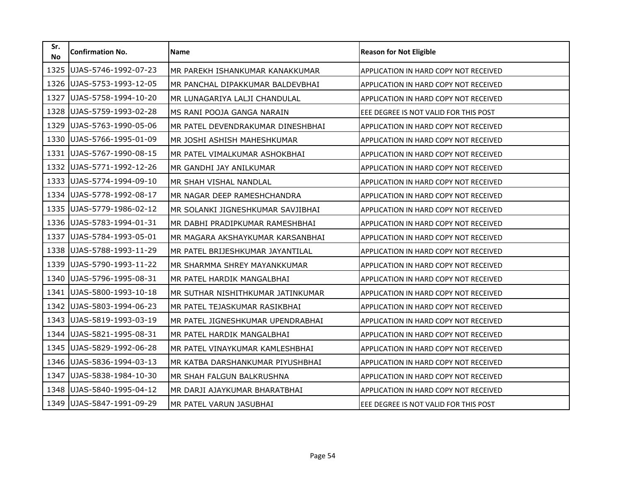| Sr.<br><b>No</b> | <b>Confirmation No.</b> | <b>Name</b>                       | <b>Reason for Not Eligible</b>               |
|------------------|-------------------------|-----------------------------------|----------------------------------------------|
| 1325             | UJAS-5746-1992-07-23    | MR PAREKH ISHANKUMAR KANAKKUMAR   | APPLICATION IN HARD COPY NOT RECEIVED        |
| 1326             | UJAS-5753-1993-12-05    | MR PANCHAL DIPAKKUMAR BALDEVBHAI  | APPLICATION IN HARD COPY NOT RECEIVED        |
| 1327             | UJAS-5758-1994-10-20    | MR LUNAGARIYA LALJI CHANDULAL     | APPLICATION IN HARD COPY NOT RECEIVED        |
| 1328             | UJAS-5759-1993-02-28    | MS RANI POOJA GANGA NARAIN        | EEE DEGREE IS NOT VALID FOR THIS POST        |
| 1329             | UJAS-5763-1990-05-06    | MR PATEL DEVENDRAKUMAR DINESHBHAI | APPLICATION IN HARD COPY NOT RECEIVED        |
| 1330             | UJAS-5766-1995-01-09    | MR JOSHI ASHISH MAHESHKUMAR       | APPLICATION IN HARD COPY NOT RECEIVED        |
| 1331             | UJAS-5767-1990-08-15    | MR PATEL VIMALKUMAR ASHOKBHAI     | APPLICATION IN HARD COPY NOT RECEIVED        |
| 1332             | UJAS-5771-1992-12-26    | MR GANDHI JAY ANILKUMAR           | APPLICATION IN HARD COPY NOT RECEIVED        |
| 1333             | UJAS-5774-1994-09-10    | MR SHAH VISHAL NANDLAL            | APPLICATION IN HARD COPY NOT RECEIVED        |
| 1334             | UJAS-5778-1992-08-17    | MR NAGAR DEEP RAMESHCHANDRA       | APPLICATION IN HARD COPY NOT RECEIVED        |
| 1335             | UJAS-5779-1986-02-12    | MR SOLANKI JIGNESHKUMAR SAVJIBHAI | APPLICATION IN HARD COPY NOT RECEIVED        |
| 1336             | UJAS-5783-1994-01-31    | MR DABHI PRADIPKUMAR RAMESHBHAI   | APPLICATION IN HARD COPY NOT RECEIVED        |
| 1337             | UJAS-5784-1993-05-01    | MR MAGARA AKSHAYKUMAR KARSANBHAI  | APPLICATION IN HARD COPY NOT RECEIVED        |
| 1338             | UJAS-5788-1993-11-29    | MR PATEL BRIJESHKUMAR JAYANTILAL  | APPLICATION IN HARD COPY NOT RECEIVED        |
| 1339             | UJAS-5790-1993-11-22    | MR SHARMMA SHREY MAYANKKUMAR      | <b>APPLICATION IN HARD COPY NOT RECEIVED</b> |
| 1340             | UJAS-5796-1995-08-31    | MR PATEL HARDIK MANGALBHAI        | APPLICATION IN HARD COPY NOT RECEIVED        |
| 1341             | UJAS-5800-1993-10-18    | MR SUTHAR NISHITHKUMAR JATINKUMAR | APPLICATION IN HARD COPY NOT RECEIVED        |
| 1342             | UJAS-5803-1994-06-23    | MR PATEL TEJASKUMAR RASIKBHAI     | APPLICATION IN HARD COPY NOT RECEIVED        |
| 1343             | UJAS-5819-1993-03-19    | MR PATEL JIGNESHKUMAR UPENDRABHAI | APPLICATION IN HARD COPY NOT RECEIVED        |
| 1344             | UJAS-5821-1995-08-31    | MR PATEL HARDIK MANGALBHAI        | APPLICATION IN HARD COPY NOT RECEIVED        |
| 1345             | UJAS-5829-1992-06-28    | MR PATEL VINAYKUMAR KAMLESHBHAI   | <b>APPLICATION IN HARD COPY NOT RECEIVED</b> |
| 1346             | UJAS-5836-1994-03-13    | MR KATBA DARSHANKUMAR PIYUSHBHAI  | APPLICATION IN HARD COPY NOT RECEIVED        |
| 1347             | UJAS-5838-1984-10-30    | MR SHAH FALGUN BALKRUSHNA         | <b>APPLICATION IN HARD COPY NOT RECEIVED</b> |
| 1348             | UJAS-5840-1995-04-12    | MR DARJI AJAYKUMAR BHARATBHAI     | APPLICATION IN HARD COPY NOT RECEIVED        |
| 1349             | UJAS-5847-1991-09-29    | MR PATEL VARUN JASUBHAI           | EEE DEGREE IS NOT VALID FOR THIS POST        |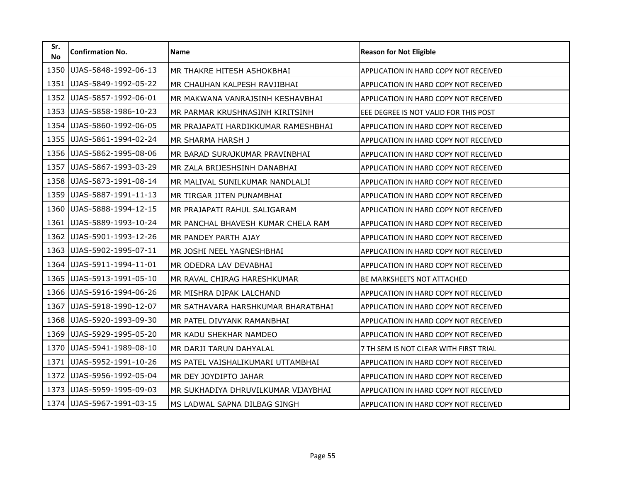| Sr.<br><b>No</b> | <b>Confirmation No.</b> | <b>Name</b>                         | <b>Reason for Not Eligible</b>               |
|------------------|-------------------------|-------------------------------------|----------------------------------------------|
| 1350             | UJAS-5848-1992-06-13    | MR THAKRE HITESH ASHOKBHAI          | APPLICATION IN HARD COPY NOT RECEIVED        |
| 1351             | UJAS-5849-1992-05-22    | MR CHAUHAN KALPESH RAVJIBHAI        | APPLICATION IN HARD COPY NOT RECEIVED        |
| 1352             | UJAS-5857-1992-06-01    | MR MAKWANA VANRAJSINH KESHAVBHAI    | APPLICATION IN HARD COPY NOT RECEIVED        |
| 1353             | UJAS-5858-1986-10-23    | MR PARMAR KRUSHNASINH KIRITSINH     | EEE DEGREE IS NOT VALID FOR THIS POST        |
| 1354             | UJAS-5860-1992-06-05    | MR PRAJAPATI HARDIKKUMAR RAMESHBHAI | APPLICATION IN HARD COPY NOT RECEIVED        |
| 1355             | UJAS-5861-1994-02-24    | MR SHARMA HARSH J                   | APPLICATION IN HARD COPY NOT RECEIVED        |
| 1356             | UJAS-5862-1995-08-06    | MR BARAD SURAJKUMAR PRAVINBHAI      | <b>APPLICATION IN HARD COPY NOT RECEIVED</b> |
| 1357             | UJAS-5867-1993-03-29    | MR ZALA BRIJESHSINH DANABHAI        | APPLICATION IN HARD COPY NOT RECEIVED        |
| 1358             | UJAS-5873-1991-08-14    | MR MALIVAL SUNILKUMAR NANDLALJI     | APPLICATION IN HARD COPY NOT RECEIVED        |
| 1359             | UJAS-5887-1991-11-13    | MR TIRGAR JITEN PUNAMBHAI           | APPLICATION IN HARD COPY NOT RECEIVED        |
| 1360             | UJAS-5888-1994-12-15    | MR PRAJAPATI RAHUL SALIGARAM        | APPLICATION IN HARD COPY NOT RECEIVED        |
| 1361             | UJAS-5889-1993-10-24    | MR PANCHAL BHAVESH KUMAR CHELA RAM  | APPLICATION IN HARD COPY NOT RECEIVED        |
| 1362             | UJAS-5901-1993-12-26    | MR PANDEY PARTH AJAY                | <b>APPLICATION IN HARD COPY NOT RECEIVED</b> |
| 1363             | UJAS-5902-1995-07-11    | MR JOSHI NEEL YAGNESHBHAI           | APPLICATION IN HARD COPY NOT RECEIVED        |
| 1364             | UJAS-5911-1994-11-01    | MR ODEDRA LAV DEVABHAI              | <b>APPLICATION IN HARD COPY NOT RECEIVED</b> |
| 1365             | UJAS-5913-1991-05-10    | MR RAVAL CHIRAG HARESHKUMAR         | <b>BE MARKSHEETS NOT ATTACHED</b>            |
| 1366             | UJAS-5916-1994-06-26    | MR MISHRA DIPAK LALCHAND            | APPLICATION IN HARD COPY NOT RECEIVED        |
| 1367             | UJAS-5918-1990-12-07    | MR SATHAVARA HARSHKUMAR BHARATBHAI  | APPLICATION IN HARD COPY NOT RECEIVED        |
| 1368             | UJAS-5920-1993-09-30    | MR PATEL DIVYANK RAMANBHAI          | APPLICATION IN HARD COPY NOT RECEIVED        |
| 1369             | UJAS-5929-1995-05-20    | MR KADU SHEKHAR NAMDEO              | APPLICATION IN HARD COPY NOT RECEIVED        |
| 1370             | UJAS-5941-1989-08-10    | MR DARJI TARUN DAHYALAL             | 7 TH SEM IS NOT CLEAR WITH FIRST TRIAL       |
| 1371             | UJAS-5952-1991-10-26    | MS PATEL VAISHALIKUMARI UTTAMBHAI   | APPLICATION IN HARD COPY NOT RECEIVED        |
| 1372             | UJAS-5956-1992-05-04    | MR DEY JOYDIPTO JAHAR               | <b>APPLICATION IN HARD COPY NOT RECEIVED</b> |
| 1373             | UJAS-5959-1995-09-03    | MR SUKHADIYA DHRUVILKUMAR VIJAYBHAI | APPLICATION IN HARD COPY NOT RECEIVED        |
| 1374             | UJAS-5967-1991-03-15    | MS LADWAL SAPNA DILBAG SINGH        | APPLICATION IN HARD COPY NOT RECEIVED        |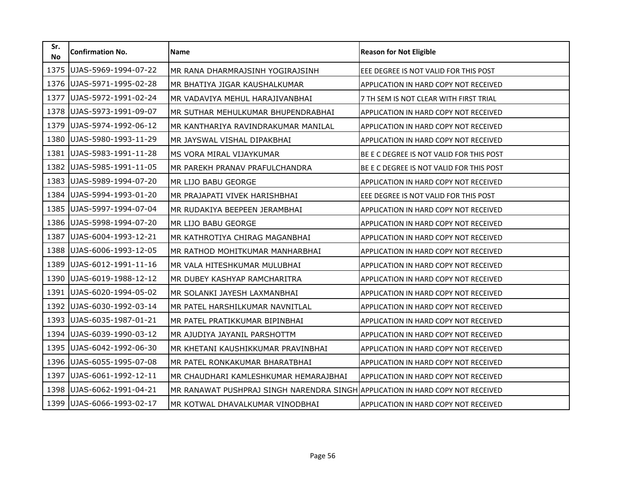| Sr.<br><b>No</b> | <b>Confirmation No.</b> | Name                                                                           | <b>Reason for Not Eligible</b>           |
|------------------|-------------------------|--------------------------------------------------------------------------------|------------------------------------------|
| 1375             | UJAS-5969-1994-07-22    | MR RANA DHARMRAJSINH YOGIRAJSINH                                               | EEE DEGREE IS NOT VALID FOR THIS POST    |
| 1376             | UJAS-5971-1995-02-28    | MR BHATIYA JIGAR KAUSHALKUMAR                                                  | APPLICATION IN HARD COPY NOT RECEIVED    |
| 1377             | UJAS-5972-1991-02-24    | MR VADAVIYA MEHUL HARAJIVANBHAI                                                | 7 TH SEM IS NOT CLEAR WITH FIRST TRIAL   |
| 1378             | UJAS-5973-1991-09-07    | MR SUTHAR MEHULKUMAR BHUPENDRABHAI                                             | APPLICATION IN HARD COPY NOT RECEIVED    |
| 1379             | UJAS-5974-1992-06-12    | MR KANTHARIYA RAVINDRAKUMAR MANILAL                                            | APPLICATION IN HARD COPY NOT RECEIVED    |
| 1380             | UJAS-5980-1993-11-29    | MR JAYSWAL VISHAL DIPAKBHAI                                                    | APPLICATION IN HARD COPY NOT RECEIVED    |
| 1381             | UJAS-5983-1991-11-28    | MS VORA MIRAL VIJAYKUMAR                                                       | BE E C DEGREE IS NOT VALID FOR THIS POST |
| 1382             | UJAS-5985-1991-11-05    | MR PAREKH PRANAV PRAFULCHANDRA                                                 | BE E C DEGREE IS NOT VALID FOR THIS POST |
| 1383             | UJAS-5989-1994-07-20    | MR LIJO BABU GEORGE                                                            | APPLICATION IN HARD COPY NOT RECEIVED    |
| 1384             | UJAS-5994-1993-01-20    | MR PRAJAPATI VIVEK HARISHBHAI                                                  | EEE DEGREE IS NOT VALID FOR THIS POST    |
| 1385             | UJAS-5997-1994-07-04    | MR RUDAKIYA BEEPEEN JERAMBHAI                                                  | APPLICATION IN HARD COPY NOT RECEIVED    |
| 1386             | UJAS-5998-1994-07-20    | MR LIJO BABU GEORGE                                                            | APPLICATION IN HARD COPY NOT RECEIVED    |
| 1387             | UJAS-6004-1993-12-21    | MR KATHROTIYA CHIRAG MAGANBHAI                                                 | APPLICATION IN HARD COPY NOT RECEIVED    |
| 1388             | UJAS-6006-1993-12-05    | MR RATHOD MOHITKUMAR MANHARBHAI                                                | APPLICATION IN HARD COPY NOT RECEIVED    |
| 1389             | UJAS-6012-1991-11-16    | MR VALA HITESHKUMAR MULUBHAI                                                   | APPLICATION IN HARD COPY NOT RECEIVED    |
| 1390             | UJAS-6019-1988-12-12    | MR DUBEY KASHYAP RAMCHARITRA                                                   | APPLICATION IN HARD COPY NOT RECEIVED    |
| 1391             | UJAS-6020-1994-05-02    | MR SOLANKI JAYESH LAXMANBHAI                                                   | APPLICATION IN HARD COPY NOT RECEIVED    |
| 1392             | UJAS-6030-1992-03-14    | MR PATEL HARSHILKUMAR NAVNITLAL                                                | APPLICATION IN HARD COPY NOT RECEIVED    |
| 1393             | UJAS-6035-1987-01-21    | MR PATEL PRATIKKUMAR BIPINBHAI                                                 | APPLICATION IN HARD COPY NOT RECEIVED    |
| 1394             | UJAS-6039-1990-03-12    | MR AJUDIYA JAYANIL PARSHOTTM                                                   | APPLICATION IN HARD COPY NOT RECEIVED    |
| 1395             | UJAS-6042-1992-06-30    | MR KHETANI KAUSHIKKUMAR PRAVINBHAI                                             | APPLICATION IN HARD COPY NOT RECEIVED    |
| 1396             | UJAS-6055-1995-07-08    | MR PATEL RONKAKUMAR BHARATBHAI                                                 | APPLICATION IN HARD COPY NOT RECEIVED    |
| 1397             | UJAS-6061-1992-12-11    | MR CHAUDHARI KAMLESHKUMAR HEMARAJBHAI                                          | APPLICATION IN HARD COPY NOT RECEIVED    |
| 1398             | UJAS-6062-1991-04-21    | MR RANAWAT PUSHPRAJ SINGH NARENDRA SINGH APPLICATION IN HARD COPY NOT RECEIVED |                                          |
| 1399             | UJAS-6066-1993-02-17    | MR KOTWAL DHAVALKUMAR VINODBHAI                                                | APPLICATION IN HARD COPY NOT RECEIVED    |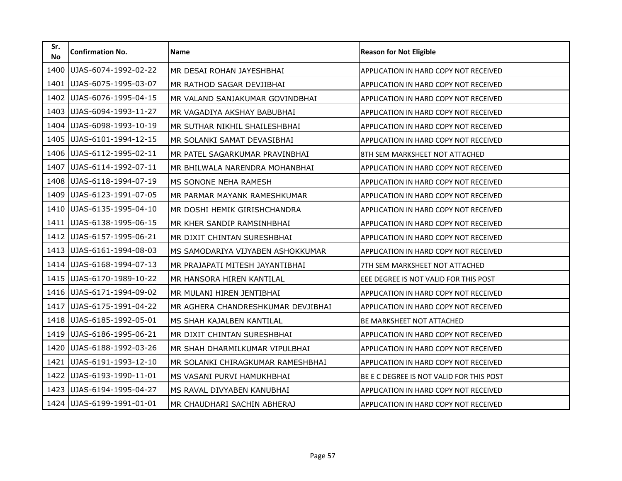| Sr.<br><b>No</b> | <b>Confirmation No.</b> | Name                               | <b>Reason for Not Eligible</b>           |
|------------------|-------------------------|------------------------------------|------------------------------------------|
| 1400             | UJAS-6074-1992-02-22    | MR DESAI ROHAN JAYESHBHAI          | APPLICATION IN HARD COPY NOT RECEIVED    |
| 1401             | UJAS-6075-1995-03-07    | MR RATHOD SAGAR DEVJIBHAI          | APPLICATION IN HARD COPY NOT RECEIVED    |
| 1402             | UJAS-6076-1995-04-15    | MR VALAND SANJAKUMAR GOVINDBHAI    | APPLICATION IN HARD COPY NOT RECEIVED    |
| 1403             | UJAS-6094-1993-11-27    | MR VAGADIYA AKSHAY BABUBHAI        | APPLICATION IN HARD COPY NOT RECEIVED    |
| 1404             | UJAS-6098-1993-10-19    | MR SUTHAR NIKHIL SHAILESHBHAI      | APPLICATION IN HARD COPY NOT RECEIVED    |
| 1405             | UJAS-6101-1994-12-15    | MR SOLANKI SAMAT DEVASIBHAI        | APPLICATION IN HARD COPY NOT RECEIVED    |
| 1406             | UJAS-6112-1995-02-11    | MR PATEL SAGARKUMAR PRAVINBHAI     | 8TH SEM MARKSHEET NOT ATTACHED           |
| 1407             | UJAS-6114-1992-07-11    | MR BHILWALA NARENDRA MOHANBHAI     | APPLICATION IN HARD COPY NOT RECEIVED    |
| 1408             | UJAS-6118-1994-07-19    | MS SONONE NEHA RAMESH              | APPLICATION IN HARD COPY NOT RECEIVED    |
| 1409             | UJAS-6123-1991-07-05    | MR PARMAR MAYANK RAMESHKUMAR       | APPLICATION IN HARD COPY NOT RECEIVED    |
| 1410             | UJAS-6135-1995-04-10    | MR DOSHI HEMIK GIRISHCHANDRA       | APPLICATION IN HARD COPY NOT RECEIVED    |
| 1411             | UJAS-6138-1995-06-15    | MR KHER SANDIP RAMSINHBHAI         | APPLICATION IN HARD COPY NOT RECEIVED    |
| 1412             | UJAS-6157-1995-06-21    | MR DIXIT CHINTAN SURESHBHAI        | APPLICATION IN HARD COPY NOT RECEIVED    |
| 1413             | UJAS-6161-1994-08-03    | MS SAMODARIYA VIJYABEN ASHOKKUMAR  | APPLICATION IN HARD COPY NOT RECEIVED    |
| 1414             | UJAS-6168-1994-07-13    | MR PRAJAPATI MITESH JAYANTIBHAI    | 7TH SEM MARKSHEET NOT ATTACHED           |
| 1415             | UJAS-6170-1989-10-22    | MR HANSORA HIREN KANTILAL          | EEE DEGREE IS NOT VALID FOR THIS POST    |
| 1416             | UJAS-6171-1994-09-02    | MR MULANI HIREN JENTIBHAI          | APPLICATION IN HARD COPY NOT RECEIVED    |
| 1417             | UJAS-6175-1991-04-22    | MR AGHERA CHANDRESHKUMAR DEVJIBHAI | APPLICATION IN HARD COPY NOT RECEIVED    |
| 1418             | UJAS-6185-1992-05-01    | MS SHAH KAJALBEN KANTILAL          | <b>BE MARKSHEET NOT ATTACHED</b>         |
| 1419             | UJAS-6186-1995-06-21    | MR DIXIT CHINTAN SURESHBHAI        | APPLICATION IN HARD COPY NOT RECEIVED    |
| 1420             | UJAS-6188-1992-03-26    | MR SHAH DHARMILKUMAR VIPULBHAI     | APPLICATION IN HARD COPY NOT RECEIVED    |
| 1421             | UJAS-6191-1993-12-10    | MR SOLANKI CHIRAGKUMAR RAMESHBHAI  | APPLICATION IN HARD COPY NOT RECEIVED    |
| 1422             | UJAS-6193-1990-11-01    | MS VASANI PURVI HAMUKHBHAI         | BE E C DEGREE IS NOT VALID FOR THIS POST |
| 1423             | UJAS-6194-1995-04-27    | MS RAVAL DIVYABEN KANUBHAI         | APPLICATION IN HARD COPY NOT RECEIVED    |
| 1424             | UJAS-6199-1991-01-01    | MR CHAUDHARI SACHIN ABHERAJ        | APPLICATION IN HARD COPY NOT RECEIVED    |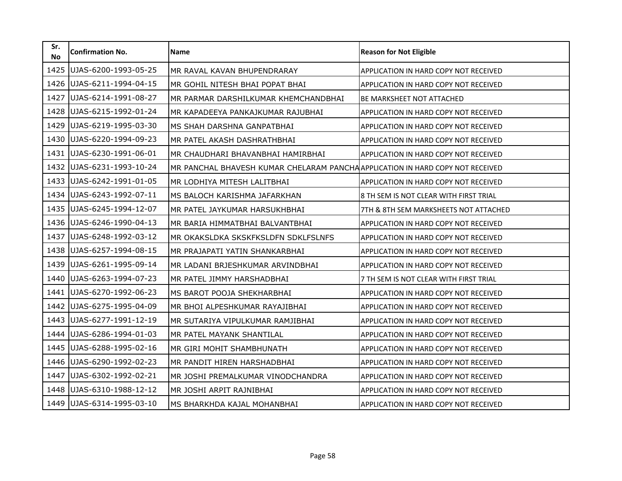| Sr.<br><b>No</b> | <b>Confirmation No.</b> | <b>Name</b>                                                                    | <b>Reason for Not Eligible</b>               |
|------------------|-------------------------|--------------------------------------------------------------------------------|----------------------------------------------|
| 1425             | UJAS-6200-1993-05-25    | MR RAVAL KAVAN BHUPENDRARAY                                                    | APPLICATION IN HARD COPY NOT RECEIVED        |
| 1426             | UJAS-6211-1994-04-15    | MR GOHIL NITESH BHAI POPAT BHAI                                                | <b>APPLICATION IN HARD COPY NOT RECEIVED</b> |
| 1427             | UJAS-6214-1991-08-27    | MR PARMAR DARSHILKUMAR KHEMCHANDBHAI                                           | <b>BE MARKSHEET NOT ATTACHED</b>             |
| 1428             | UJAS-6215-1992-01-24    | MR KAPADEEYA PANKAJKUMAR RAJUBHAI                                              | APPLICATION IN HARD COPY NOT RECEIVED        |
| 1429             | UJAS-6219-1995-03-30    | MS SHAH DARSHNA GANPATBHAI                                                     | APPLICATION IN HARD COPY NOT RECEIVED        |
| 1430             | UJAS-6220-1994-09-23    | MR PATEL AKASH DASHRATHBHAI                                                    | APPLICATION IN HARD COPY NOT RECEIVED        |
| 1431             | UJAS-6230-1991-06-01    | MR CHAUDHARI BHAVANBHAI HAMIRBHAI                                              | <b>APPLICATION IN HARD COPY NOT RECEIVED</b> |
| 1432             | UJAS-6231-1993-10-24    | MR PANCHAL BHAVESH KUMAR CHELARAM PANCHA APPLICATION IN HARD COPY NOT RECEIVED |                                              |
| 1433             | UJAS-6242-1991-01-05    | MR LODHIYA MITESH LALITBHAI                                                    | <b>APPLICATION IN HARD COPY NOT RECEIVED</b> |
| 1434             | UJAS-6243-1992-07-11    | MS BALOCH KARISHMA JAFARKHAN                                                   | 8 TH SEM IS NOT CLEAR WITH FIRST TRIAL       |
| 1435             | UJAS-6245-1994-12-07    | MR PATEL JAYKUMAR HARSUKHBHAI                                                  | 7TH & 8TH SEM MARKSHEETS NOT ATTACHED        |
| 1436             | UJAS-6246-1990-04-13    | MR BARIA HIMMATBHAI BALVANTBHAI                                                | APPLICATION IN HARD COPY NOT RECEIVED        |
| 1437             | UJAS-6248-1992-03-12    | MR OKAKSLDKA SKSKFKSLDFN SDKLFSLNFS                                            | APPLICATION IN HARD COPY NOT RECEIVED        |
| 1438             | UJAS-6257-1994-08-15    | MR PRAJAPATI YATIN SHANKARBHAI                                                 | APPLICATION IN HARD COPY NOT RECEIVED        |
| 1439             | UJAS-6261-1995-09-14    | MR LADANI BRJESHKUMAR ARVINDBHAI                                               | APPLICATION IN HARD COPY NOT RECEIVED        |
| 1440             | UJAS-6263-1994-07-23    | MR PATEL JIMMY HARSHADBHAI                                                     | 7 TH SEM IS NOT CLEAR WITH FIRST TRIAL       |
| 1441             | UJAS-6270-1992-06-23    | MS BAROT POOJA SHEKHARBHAI                                                     | APPLICATION IN HARD COPY NOT RECEIVED        |
| 1442             | UJAS-6275-1995-04-09    | MR BHOI ALPESHKUMAR RAYAJIBHAI                                                 | APPLICATION IN HARD COPY NOT RECEIVED        |
| 1443             | UJAS-6277-1991-12-19    | MR SUTARIYA VIPULKUMAR RAMJIBHAI                                               | APPLICATION IN HARD COPY NOT RECEIVED        |
| 1444             | UJAS-6286-1994-01-03    | MR PATEL MAYANK SHANTILAL                                                      | APPLICATION IN HARD COPY NOT RECEIVED        |
| 1445             | UJAS-6288-1995-02-16    | MR GIRI MOHIT SHAMBHUNATH                                                      | <b>APPLICATION IN HARD COPY NOT RECEIVED</b> |
| 1446             | UJAS-6290-1992-02-23    | MR PANDIT HIREN HARSHADBHAI                                                    | APPLICATION IN HARD COPY NOT RECEIVED        |
| 1447             | UJAS-6302-1992-02-21    | MR JOSHI PREMALKUMAR VINODCHANDRA                                              | <b>APPLICATION IN HARD COPY NOT RECEIVED</b> |
| 1448             | UJAS-6310-1988-12-12    | MR JOSHI ARPIT RAJNIBHAI                                                       | APPLICATION IN HARD COPY NOT RECEIVED        |
| 1449             | UJAS-6314-1995-03-10    | MS BHARKHDA KAJAL MOHANBHAI                                                    | APPLICATION IN HARD COPY NOT RECEIVED        |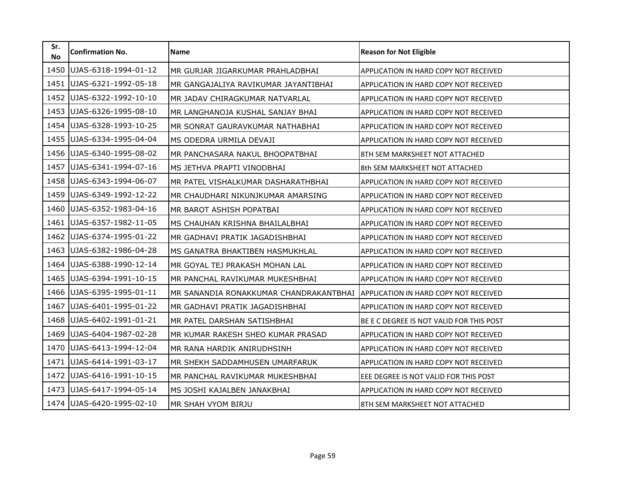| Sr.<br><b>No</b> | <b>Confirmation No.</b> | <b>Name</b>                            | <b>Reason for Not Eligible</b>               |
|------------------|-------------------------|----------------------------------------|----------------------------------------------|
| 1450             | UJAS-6318-1994-01-12    | MR GURJAR JIGARKUMAR PRAHLADBHAI       | APPLICATION IN HARD COPY NOT RECEIVED        |
| 1451             | UJAS-6321-1992-05-18    | MR GANGAJALIYA RAVIKUMAR JAYANTIBHAI   | <b>APPLICATION IN HARD COPY NOT RECEIVED</b> |
| 1452             | UJAS-6322-1992-10-10    | MR JADAV CHIRAGKUMAR NATVARLAL         | APPLICATION IN HARD COPY NOT RECEIVED        |
| 1453             | UJAS-6326-1995-08-10    | MR LANGHANOJA KUSHAL SANJAY BHAI       | APPLICATION IN HARD COPY NOT RECEIVED        |
| 1454             | UJAS-6328-1993-10-25    | MR SONRAT GAURAVKUMAR NATHABHAI        | APPLICATION IN HARD COPY NOT RECEIVED        |
| 1455             | UJAS-6334-1995-04-04    | MS ODEDRA URMILA DEVAJI                | APPLICATION IN HARD COPY NOT RECEIVED        |
| 1456             | UJAS-6340-1995-08-02    | MR PANCHASARA NAKUL BHOOPATBHAI        | 8TH SEM MARKSHEET NOT ATTACHED               |
| 1457             | UJAS-6341-1994-07-16    | MS JETHVA PRAPTI VINODBHAI             | 8th SEM MARKSHEET NOT ATTACHED               |
| 1458             | UJAS-6343-1994-06-07    | MR PATEL VISHALKUMAR DASHARATHBHAI     | <b>APPLICATION IN HARD COPY NOT RECEIVED</b> |
| 1459             | UJAS-6349-1992-12-22    | MR CHAUDHARI NIKUNJKUMAR AMARSING      | APPLICATION IN HARD COPY NOT RECEIVED        |
| 1460             | UJAS-6352-1983-04-16    | MR BAROT ASHISH POPATBAI               | APPLICATION IN HARD COPY NOT RECEIVED        |
| 1461             | UJAS-6357-1982-11-05    | MS CHAUHAN KRISHNA BHAILALBHAI         | APPLICATION IN HARD COPY NOT RECEIVED        |
| 1462             | UJAS-6374-1995-01-22    | MR GADHAVI PRATIK JAGADISHBHAI         | APPLICATION IN HARD COPY NOT RECEIVED        |
| 1463             | UJAS-6382-1986-04-28    | MS GANATRA BHAKTIBEN HASMUKHLAL        | APPLICATION IN HARD COPY NOT RECEIVED        |
| 1464             | UJAS-6388-1990-12-14    | MR GOYAL TEJ PRAKASH MOHAN LAL         | <b>APPLICATION IN HARD COPY NOT RECEIVED</b> |
| 1465             | UJAS-6394-1991-10-15    | MR PANCHAL RAVIKUMAR MUKESHBHAI        | APPLICATION IN HARD COPY NOT RECEIVED        |
| 1466             | UJAS-6395-1995-01-11    | MR SANANDIA RONAKKUMAR CHANDRAKANTBHAI | APPLICATION IN HARD COPY NOT RECEIVED        |
| 1467             | UJAS-6401-1995-01-22    | MR GADHAVI PRATIK JAGADISHBHAI         | APPLICATION IN HARD COPY NOT RECEIVED        |
| 1468             | UJAS-6402-1991-01-21    | MR PATEL DARSHAN SATISHBHAI            | BE E C DEGREE IS NOT VALID FOR THIS POST     |
| 1469             | UJAS-6404-1987-02-28    | MR KUMAR RAKESH SHEO KUMAR PRASAD      | APPLICATION IN HARD COPY NOT RECEIVED        |
| 1470             | UJAS-6413-1994-12-04    | MR RANA HARDIK ANIRUDHSINH             | <b>APPLICATION IN HARD COPY NOT RECEIVED</b> |
| 1471             | UJAS-6414-1991-03-17    | MR SHEKH SADDAMHUSEN UMARFARUK         | APPLICATION IN HARD COPY NOT RECEIVED        |
| 1472             | UJAS-6416-1991-10-15    | MR PANCHAL RAVIKUMAR MUKESHBHAI        | EEE DEGREE IS NOT VALID FOR THIS POST        |
| 1473             | UJAS-6417-1994-05-14    | MS JOSHI KAJALBEN JANAKBHAI            | APPLICATION IN HARD COPY NOT RECEIVED        |
| 1474             | UJAS-6420-1995-02-10    | MR SHAH VYOM BIRJU                     | 8TH SEM MARKSHEET NOT ATTACHED               |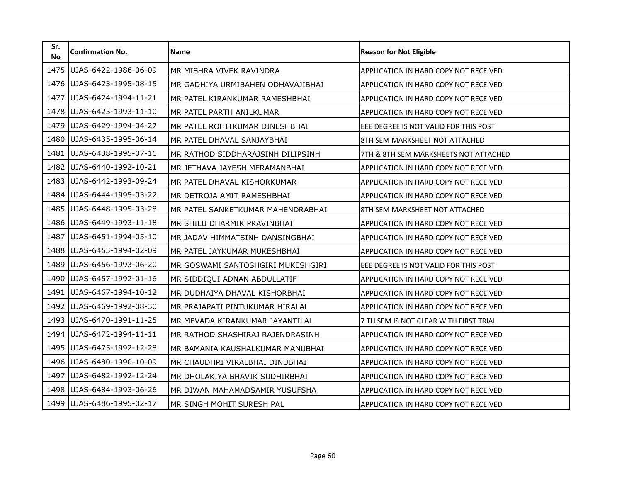| Sr.<br><b>No</b> | <b>Confirmation No.</b> | <b>Name</b>                       | <b>Reason for Not Eligible</b>               |
|------------------|-------------------------|-----------------------------------|----------------------------------------------|
| 1475             | UJAS-6422-1986-06-09    | MR MISHRA VIVEK RAVINDRA          | APPLICATION IN HARD COPY NOT RECEIVED        |
| 1476             | UJAS-6423-1995-08-15    | MR GADHIYA URMIBAHEN ODHAVAJIBHAI | <b>APPLICATION IN HARD COPY NOT RECEIVED</b> |
| 1477             | UJAS-6424-1994-11-21    | MR PATEL KIRANKUMAR RAMESHBHAI    | APPLICATION IN HARD COPY NOT RECEIVED        |
| 1478             | UJAS-6425-1993-11-10    | MR PATEL PARTH ANILKUMAR          | APPLICATION IN HARD COPY NOT RECEIVED        |
| 1479             | UJAS-6429-1994-04-27    | MR PATEL ROHITKUMAR DINESHBHAI    | EEE DEGREE IS NOT VALID FOR THIS POST        |
| 1480             | UJAS-6435-1995-06-14    | MR PATEL DHAVAL SANJAYBHAI        | 8TH SEM MARKSHEET NOT ATTACHED               |
| 1481             | UJAS-6438-1995-07-16    | MR RATHOD SIDDHARAJSINH DILIPSINH | 7TH & 8TH SEM MARKSHEETS NOT ATTACHED        |
| 1482             | UJAS-6440-1992-10-21    | MR JETHAVA JAYESH MERAMANBHAI     | APPLICATION IN HARD COPY NOT RECEIVED        |
| 1483             | UJAS-6442-1993-09-24    | MR PATEL DHAVAL KISHORKUMAR       | APPLICATION IN HARD COPY NOT RECEIVED        |
| 1484             | UJAS-6444-1995-03-22    | MR DETROJA AMIT RAMESHBHAI        | <b>APPLICATION IN HARD COPY NOT RECEIVED</b> |
| 1485             | UJAS-6448-1995-03-28    | MR PATEL SANKETKUMAR MAHENDRABHAI | 8TH SEM MARKSHEET NOT ATTACHED               |
| 1486             | UJAS-6449-1993-11-18    | MR SHILU DHARMIK PRAVINBHAI       | APPLICATION IN HARD COPY NOT RECEIVED        |
| 1487             | UJAS-6451-1994-05-10    | MR JADAV HIMMATSINH DANSINGBHAI   | APPLICATION IN HARD COPY NOT RECEIVED        |
| 1488             | UJAS-6453-1994-02-09    | MR PATEL JAYKUMAR MUKESHBHAI      | APPLICATION IN HARD COPY NOT RECEIVED        |
| 1489             | UJAS-6456-1993-06-20    | MR GOSWAMI SANTOSHGIRI MUKESHGIRI | EEE DEGREE IS NOT VALID FOR THIS POST        |
| 1490             | UJAS-6457-1992-01-16    | MR SIDDIQUI ADNAN ABDULLATIF      | <b>APPLICATION IN HARD COPY NOT RECEIVED</b> |
| 1491             | UJAS-6467-1994-10-12    | MR DUDHAIYA DHAVAL KISHORBHAI     | APPLICATION IN HARD COPY NOT RECEIVED        |
| 1492             | UJAS-6469-1992-08-30    | MR PRAJAPATI PINTUKUMAR HIRALAL   | APPLICATION IN HARD COPY NOT RECEIVED        |
| 1493             | UJAS-6470-1991-11-25    | MR MEVADA KIRANKUMAR JAYANTILAL   | 7 TH SEM IS NOT CLEAR WITH FIRST TRIAL       |
| 1494             | UJAS-6472-1994-11-11    | MR RATHOD SHASHIRAJ RAJENDRASINH  | APPLICATION IN HARD COPY NOT RECEIVED        |
| 1495             | UJAS-6475-1992-12-28    | MR BAMANIA KAUSHALKUMAR MANUBHAI  | <b>APPLICATION IN HARD COPY NOT RECEIVED</b> |
| 1496             | UJAS-6480-1990-10-09    | MR CHAUDHRI VIRALBHAI DINUBHAI    | APPLICATION IN HARD COPY NOT RECEIVED        |
| 1497             | UJAS-6482-1992-12-24    | MR DHOLAKIYA BHAVIK SUDHIRBHAI    | <b>APPLICATION IN HARD COPY NOT RECEIVED</b> |
| 1498             | UJAS-6484-1993-06-26    | MR DIWAN MAHAMADSAMIR YUSUFSHA    | APPLICATION IN HARD COPY NOT RECEIVED        |
| 1499             | UJAS-6486-1995-02-17    | MR SINGH MOHIT SURESH PAL         | APPLICATION IN HARD COPY NOT RECEIVED        |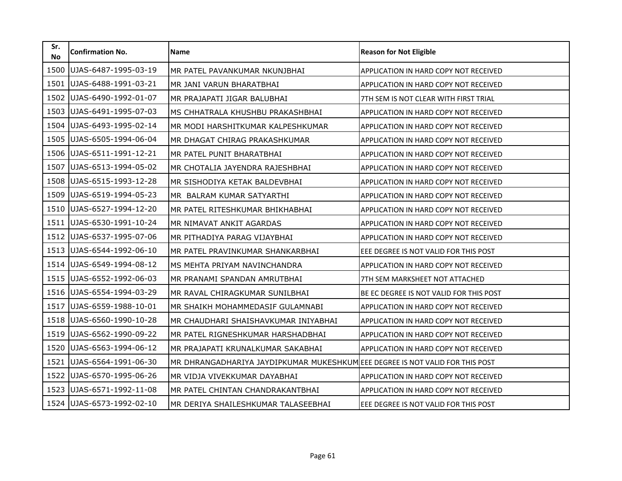| Sr.<br><b>No</b> | <b>Confirmation No.</b> | Name                                                                         | <b>Reason for Not Eligible</b>          |
|------------------|-------------------------|------------------------------------------------------------------------------|-----------------------------------------|
| 1500             | UJAS-6487-1995-03-19    | MR PATEL PAVANKUMAR NKUNJBHAI                                                | APPLICATION IN HARD COPY NOT RECEIVED   |
| 1501             | UJAS-6488-1991-03-21    | MR JANI VARUN BHARATBHAI                                                     | APPLICATION IN HARD COPY NOT RECEIVED   |
| 1502             | UJAS-6490-1992-01-07    | MR PRAJAPATI JIGAR BALUBHAI                                                  | 7TH SEM IS NOT CLEAR WITH FIRST TRIAL   |
| 1503             | UJAS-6491-1995-07-03    | MS CHHATRALA KHUSHBU PRAKASHBHAI                                             | APPLICATION IN HARD COPY NOT RECEIVED   |
| 1504             | UJAS-6493-1995-02-14    | MR MODI HARSHITKUMAR KALPESHKUMAR                                            | APPLICATION IN HARD COPY NOT RECEIVED   |
| 1505             | UJAS-6505-1994-06-04    | MR DHAGAT CHIRAG PRAKASHKUMAR                                                | APPLICATION IN HARD COPY NOT RECEIVED   |
| 1506             | UJAS-6511-1991-12-21    | MR PATEL PUNIT BHARATBHAI                                                    | APPLICATION IN HARD COPY NOT RECEIVED   |
| 1507             | UJAS-6513-1994-05-02    | MR CHOTALIA JAYENDRA RAJESHBHAI                                              | APPLICATION IN HARD COPY NOT RECEIVED   |
| 1508             | UJAS-6515-1993-12-28    | MR SISHODIYA KETAK BALDEVBHAI                                                | APPLICATION IN HARD COPY NOT RECEIVED   |
| 1509             | UJAS-6519-1994-05-23    | MR BALRAM KUMAR SATYARTHI                                                    | APPLICATION IN HARD COPY NOT RECEIVED   |
| 1510             | UJAS-6527-1994-12-20    | MR PATEL RITESHKUMAR BHIKHABHAI                                              | APPLICATION IN HARD COPY NOT RECEIVED   |
| 1511             | UJAS-6530-1991-10-24    | MR NIMAVAT ANKIT AGARDAS                                                     | APPLICATION IN HARD COPY NOT RECEIVED   |
| 1512             | UJAS-6537-1995-07-06    | MR PITHADIYA PARAG VIJAYBHAI                                                 | APPLICATION IN HARD COPY NOT RECEIVED   |
| 1513             | UJAS-6544-1992-06-10    | MR PATEL PRAVINKUMAR SHANKARBHAI                                             | EEE DEGREE IS NOT VALID FOR THIS POST   |
| 1514             | UJAS-6549-1994-08-12    | MS MEHTA PRIYAM NAVINCHANDRA                                                 | APPLICATION IN HARD COPY NOT RECEIVED   |
| 1515             | UJAS-6552-1992-06-03    | MR PRANAMI SPANDAN AMRUTBHAI                                                 | 7TH SEM MARKSHEET NOT ATTACHED          |
| 1516             | UJAS-6554-1994-03-29    | MR RAVAL CHIRAGKUMAR SUNILBHAI                                               | BE EC DEGREE IS NOT VALID FOR THIS POST |
| 1517             | UJAS-6559-1988-10-01    | MR SHAIKH MOHAMMEDASIF GULAMNABI                                             | APPLICATION IN HARD COPY NOT RECEIVED   |
| 1518             | UJAS-6560-1990-10-28    | MR CHAUDHARI SHAISHAVKUMAR INIYABHAI                                         | APPLICATION IN HARD COPY NOT RECEIVED   |
| 1519             | UJAS-6562-1990-09-22    | MR PATEL RIGNESHKUMAR HARSHADBHAI                                            | APPLICATION IN HARD COPY NOT RECEIVED   |
| 1520             | UJAS-6563-1994-06-12    | MR PRAJAPATI KRUNALKUMAR SAKABHAI                                            | APPLICATION IN HARD COPY NOT RECEIVED   |
| 1521             | UJAS-6564-1991-06-30    | MR DHRANGADHARIYA JAYDIPKUMAR MUKESHKUMEEE DEGREE IS NOT VALID FOR THIS POST |                                         |
| 1522             | UJAS-6570-1995-06-26    | MR VIDJA VIVEKKUMAR DAYABHAI                                                 | APPLICATION IN HARD COPY NOT RECEIVED   |
| 1523             | UJAS-6571-1992-11-08    | MR PATEL CHINTAN CHANDRAKANTBHAI                                             | APPLICATION IN HARD COPY NOT RECEIVED   |
| 1524             | UJAS-6573-1992-02-10    | MR DERIYA SHAILESHKUMAR TALASEEBHAI                                          | EEE DEGREE IS NOT VALID FOR THIS POST   |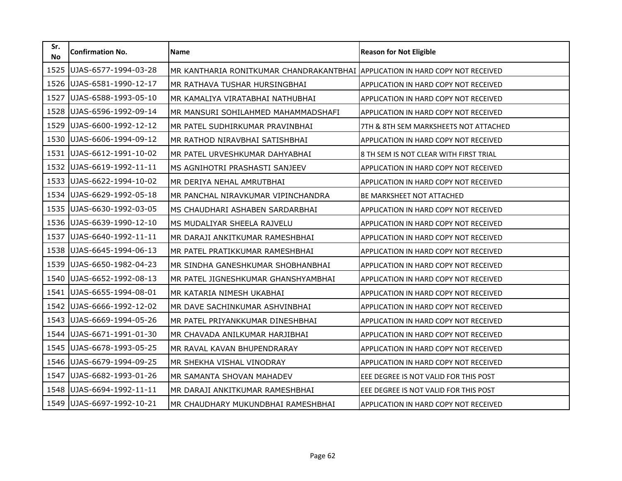| Sr.<br><b>No</b> | <b>Confirmation No.</b> | <b>Name</b>                                                                   | <b>Reason for Not Eligible</b>         |
|------------------|-------------------------|-------------------------------------------------------------------------------|----------------------------------------|
| 1525             | UJAS-6577-1994-03-28    | MR KANTHARIA RONITKUMAR CHANDRAKANTBHAI APPLICATION IN HARD COPY NOT RECEIVED |                                        |
| 1526             | UJAS-6581-1990-12-17    | MR RATHAVA TUSHAR HURSINGBHAI                                                 | APPLICATION IN HARD COPY NOT RECEIVED  |
| 1527             | UJAS-6588-1993-05-10    | MR KAMALIYA VIRATABHAI NATHUBHAI                                              | APPLICATION IN HARD COPY NOT RECEIVED  |
| 1528             | UJAS-6596-1992-09-14    | MR MANSURI SOHILAHMED MAHAMMADSHAFI                                           | APPLICATION IN HARD COPY NOT RECEIVED  |
| 1529             | UJAS-6600-1992-12-12    | MR PATEL SUDHIRKUMAR PRAVINBHAI                                               | 7TH & 8TH SEM MARKSHEETS NOT ATTACHED  |
| 1530             | UJAS-6606-1994-09-12    | MR RATHOD NIRAVBHAI SATISHBHAI                                                | APPLICATION IN HARD COPY NOT RECEIVED  |
| 1531             | UJAS-6612-1991-10-02    | MR PATEL URVESHKUMAR DAHYABHAI                                                | 8 TH SEM IS NOT CLEAR WITH FIRST TRIAL |
| 1532             | UJAS-6619-1992-11-11    | MS AGNIHOTRI PRASHASTI SANJEEV                                                | APPLICATION IN HARD COPY NOT RECEIVED  |
| 1533             | UJAS-6622-1994-10-02    | MR DERIYA NEHAL AMRUTBHAI                                                     | APPLICATION IN HARD COPY NOT RECEIVED  |
| 1534             | UJAS-6629-1992-05-18    | MR PANCHAL NIRAVKUMAR VIPINCHANDRA                                            | <b>BE MARKSHEET NOT ATTACHED</b>       |
| 1535             | UJAS-6630-1992-03-05    | MS CHAUDHARI ASHABEN SARDARBHAI                                               | APPLICATION IN HARD COPY NOT RECEIVED  |
| 1536             | UJAS-6639-1990-12-10    | MS MUDALIYAR SHEELA RAJVELU                                                   | APPLICATION IN HARD COPY NOT RECEIVED  |
| 1537             | UJAS-6640-1992-11-11    | MR DARAJI ANKITKUMAR RAMESHBHAI                                               | APPLICATION IN HARD COPY NOT RECEIVED  |
| 1538             | UJAS-6645-1994-06-13    | MR PATEL PRATIKKUMAR RAMESHBHAI                                               | APPLICATION IN HARD COPY NOT RECEIVED  |
| 1539             | UJAS-6650-1982-04-23    | MR SINDHA GANESHKUMAR SHOBHANBHAI                                             | APPLICATION IN HARD COPY NOT RECEIVED  |
| 1540             | UJAS-6652-1992-08-13    | MR PATEL JIGNESHKUMAR GHANSHYAMBHAI                                           | APPLICATION IN HARD COPY NOT RECEIVED  |
| 1541             | UJAS-6655-1994-08-01    | MR KATARIA NIMESH UKABHAI                                                     | APPLICATION IN HARD COPY NOT RECEIVED  |
| 1542             | UJAS-6666-1992-12-02    | MR DAVE SACHINKUMAR ASHVINBHAI                                                | APPLICATION IN HARD COPY NOT RECEIVED  |
| 1543             | UJAS-6669-1994-05-26    | MR PATEL PRIYANKKUMAR DINESHBHAI                                              | APPLICATION IN HARD COPY NOT RECEIVED  |
| 1544             | UJAS-6671-1991-01-30    | MR CHAVADA ANILKUMAR HARJIBHAI                                                | APPLICATION IN HARD COPY NOT RECEIVED  |
| 1545             | UJAS-6678-1993-05-25    | MR RAVAL KAVAN BHUPENDRARAY                                                   | APPLICATION IN HARD COPY NOT RECEIVED  |
| 1546             | UJAS-6679-1994-09-25    | MR SHEKHA VISHAL VINODRAY                                                     | APPLICATION IN HARD COPY NOT RECEIVED  |
| 1547             | UJAS-6682-1993-01-26    | MR SAMANTA SHOVAN MAHADEV                                                     | EEE DEGREE IS NOT VALID FOR THIS POST  |
| 1548             | UJAS-6694-1992-11-11    | MR DARAJI ANKITKUMAR RAMESHBHAI                                               | EEE DEGREE IS NOT VALID FOR THIS POST  |
| 1549             | UJAS-6697-1992-10-21    | MR CHAUDHARY MUKUNDBHAI RAMESHBHAI                                            | APPLICATION IN HARD COPY NOT RECEIVED  |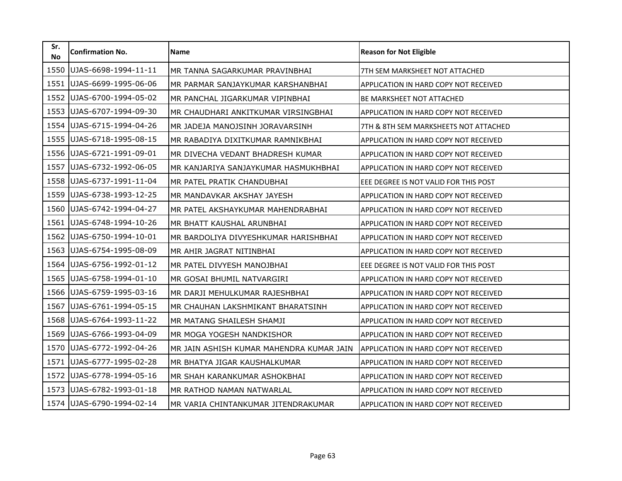| Sr.<br><b>No</b> | <b>Confirmation No.</b> | <b>Name</b>                              | <b>Reason for Not Eligible</b>               |
|------------------|-------------------------|------------------------------------------|----------------------------------------------|
| 1550             | UJAS-6698-1994-11-11    | MR TANNA SAGARKUMAR PRAVINBHAI           | 7TH SEM MARKSHEET NOT ATTACHED               |
| 1551             | UJAS-6699-1995-06-06    | MR PARMAR SANJAYKUMAR KARSHANBHAI        | <b>APPLICATION IN HARD COPY NOT RECEIVED</b> |
| 1552             | UJAS-6700-1994-05-02    | MR PANCHAL JIGARKUMAR VIPINBHAI          | <b>BE MARKSHEET NOT ATTACHED</b>             |
| 1553             | UJAS-6707-1994-09-30    | MR CHAUDHARI ANKITKUMAR VIRSINGBHAI      | <b>APPLICATION IN HARD COPY NOT RECEIVED</b> |
| 1554             | UJAS-6715-1994-04-26    | MR JADEJA MANOJSINH JORAVARSINH          | 7TH & 8TH SEM MARKSHEETS NOT ATTACHED        |
| 1555             | UJAS-6718-1995-08-15    | MR RABADIYA DIXITKUMAR RAMNIKBHAI        | APPLICATION IN HARD COPY NOT RECEIVED        |
| 1556             | UJAS-6721-1991-09-01    | MR DIVECHA VEDANT BHADRESH KUMAR         | <b>APPLICATION IN HARD COPY NOT RECEIVED</b> |
| 1557             | UJAS-6732-1992-06-05    | MR KANJARIYA SANJAYKUMAR HASMUKHBHAI     | APPLICATION IN HARD COPY NOT RECEIVED        |
| 1558             | UJAS-6737-1991-11-04    | MR PATEL PRATIK CHANDUBHAI               | EEE DEGREE IS NOT VALID FOR THIS POST        |
| 1559             | UJAS-6738-1993-12-25    | MR MANDAVKAR AKSHAY JAYESH               | APPLICATION IN HARD COPY NOT RECEIVED        |
| 1560             | UJAS-6742-1994-04-27    | MR PATEL AKSHAYKUMAR MAHENDRABHAI        | APPLICATION IN HARD COPY NOT RECEIVED        |
| 1561             | UJAS-6748-1994-10-26    | MR BHATT KAUSHAL ARUNBHAI                | APPLICATION IN HARD COPY NOT RECEIVED        |
| 1562             | UJAS-6750-1994-10-01    | MR BARDOLIYA DIVYESHKUMAR HARISHBHAI     | <b>APPLICATION IN HARD COPY NOT RECEIVED</b> |
| 1563             | UJAS-6754-1995-08-09    | MR AHIR JAGRAT NITINBHAI                 | APPLICATION IN HARD COPY NOT RECEIVED        |
| 1564             | UJAS-6756-1992-01-12    | MR PATEL DIVYESH MANOJBHAI               | EEE DEGREE IS NOT VALID FOR THIS POST        |
| 1565             | UJAS-6758-1994-01-10    | MR GOSAI BHUMIL NATVARGIRI               | <b>APPLICATION IN HARD COPY NOT RECEIVED</b> |
| 1566             | UJAS-6759-1995-03-16    | MR DARJI MEHULKUMAR RAJESHBHAI           | APPLICATION IN HARD COPY NOT RECEIVED        |
| 1567             | UJAS-6761-1994-05-15    | MR CHAUHAN LAKSHMIKANT BHARATSINH        | APPLICATION IN HARD COPY NOT RECEIVED        |
| 1568             | UJAS-6764-1993-11-22    | MR MATANG SHAILESH SHAMJI                | APPLICATION IN HARD COPY NOT RECEIVED        |
| 1569             | UJAS-6766-1993-04-09    | MR MOGA YOGESH NANDKISHOR                | APPLICATION IN HARD COPY NOT RECEIVED        |
| 1570             | UJAS-6772-1992-04-26    | MR JAIN ASHISH KUMAR MAHENDRA KUMAR JAIN | <b>APPLICATION IN HARD COPY NOT RECEIVED</b> |
| 1571             | UJAS-6777-1995-02-28    | MR BHATYA JIGAR KAUSHALKUMAR             | APPLICATION IN HARD COPY NOT RECEIVED        |
| 1572             | UJAS-6778-1994-05-16    | MR SHAH KARANKUMAR ASHOKBHAI             | <b>APPLICATION IN HARD COPY NOT RECEIVED</b> |
| 1573             | UJAS-6782-1993-01-18    | MR RATHOD NAMAN NATWARLAL                | APPLICATION IN HARD COPY NOT RECEIVED        |
| 1574             | UJAS-6790-1994-02-14    | MR VARIA CHINTANKUMAR JITENDRAKUMAR      | APPLICATION IN HARD COPY NOT RECEIVED        |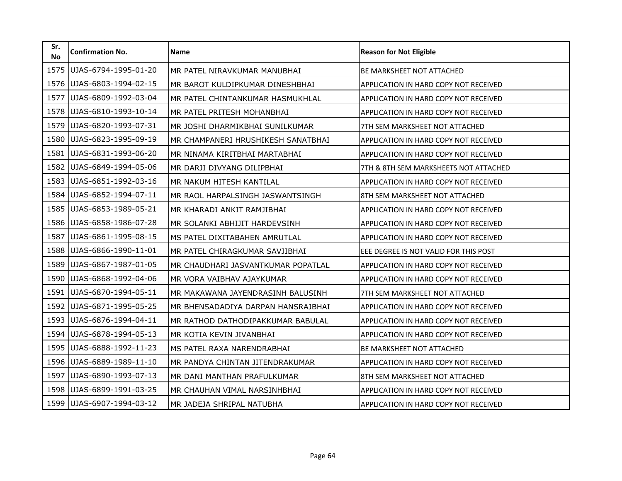| Sr.<br><b>No</b> | <b>Confirmation No.</b> | <b>Name</b>                        | <b>Reason for Not Eligible</b>        |
|------------------|-------------------------|------------------------------------|---------------------------------------|
| 1575             | UJAS-6794-1995-01-20    | MR PATEL NIRAVKUMAR MANUBHAI       | <b>BE MARKSHEET NOT ATTACHED</b>      |
| 1576             | UJAS-6803-1994-02-15    | MR BAROT KULDIPKUMAR DINESHBHAI    | APPLICATION IN HARD COPY NOT RECEIVED |
| 1577             | UJAS-6809-1992-03-04    | MR PATEL CHINTANKUMAR HASMUKHLAL   | APPLICATION IN HARD COPY NOT RECEIVED |
| 1578             | UJAS-6810-1993-10-14    | MR PATEL PRITESH MOHANBHAI         | APPLICATION IN HARD COPY NOT RECEIVED |
| 1579             | UJAS-6820-1993-07-31    | MR JOSHI DHARMIKBHAI SUNILKUMAR    | 7TH SEM MARKSHEET NOT ATTACHED        |
| 1580             | UJAS-6823-1995-09-19    | MR CHAMPANERI HRUSHIKESH SANATBHAI | APPLICATION IN HARD COPY NOT RECEIVED |
| 1581             | UJAS-6831-1993-06-20    | MR NINAMA KIRITBHAI MARTABHAI      | APPLICATION IN HARD COPY NOT RECEIVED |
| 1582             | UJAS-6849-1994-05-06    | MR DARJI DIVYANG DILIPBHAI         | 7TH & 8TH SEM MARKSHEETS NOT ATTACHED |
| 1583             | UJAS-6851-1992-03-16    | MR NAKUM HITESH KANTILAL           | APPLICATION IN HARD COPY NOT RECEIVED |
| 1584             | UJAS-6852-1994-07-11    | MR RAOL HARPALSINGH JASWANTSINGH   | 8TH SEM MARKSHEET NOT ATTACHED        |
| 1585             | UJAS-6853-1989-05-21    | MR KHARADI ANKIT RAMJIBHAI         | APPLICATION IN HARD COPY NOT RECEIVED |
| 1586             | UJAS-6858-1986-07-28    | MR SOLANKI ABHIJIT HARDEVSINH      | APPLICATION IN HARD COPY NOT RECEIVED |
| 1587             | UJAS-6861-1995-08-15    | MS PATEL DIXITABAHEN AMRUTLAL      | APPLICATION IN HARD COPY NOT RECEIVED |
| 1588             | UJAS-6866-1990-11-01    | MR PATEL CHIRAGKUMAR SAVJIBHAI     | EEE DEGREE IS NOT VALID FOR THIS POST |
| 1589             | UJAS-6867-1987-01-05    | MR CHAUDHARI JASVANTKUMAR POPATLAL | APPLICATION IN HARD COPY NOT RECEIVED |
| 1590             | UJAS-6868-1992-04-06    | MR VORA VAIBHAV AJAYKUMAR          | APPLICATION IN HARD COPY NOT RECEIVED |
| 1591             | UJAS-6870-1994-05-11    | MR MAKAWANA JAYENDRASINH BALUSINH  | 7TH SEM MARKSHEET NOT ATTACHED        |
| 1592             | UJAS-6871-1995-05-25    | MR BHENSADADIYA DARPAN HANSRAJBHAI | APPLICATION IN HARD COPY NOT RECEIVED |
| 1593             | UJAS-6876-1994-04-11    | MR RATHOD DATHODIPAKKUMAR BABULAL  | APPLICATION IN HARD COPY NOT RECEIVED |
| 1594             | UJAS-6878-1994-05-13    | MR KOTIA KEVIN JIVANBHAI           | APPLICATION IN HARD COPY NOT RECEIVED |
| 1595             | UJAS-6888-1992-11-23    | MS PATEL RAXA NARENDRABHAI         | <b>BE MARKSHEET NOT ATTACHED</b>      |
| 1596             | UJAS-6889-1989-11-10    | MR PANDYA CHINTAN JITENDRAKUMAR    | APPLICATION IN HARD COPY NOT RECEIVED |
| 1597             | UJAS-6890-1993-07-13    | MR DANI MANTHAN PRAFULKUMAR        | 8TH SEM MARKSHEET NOT ATTACHED        |
| 1598             | UJAS-6899-1991-03-25    | MR CHAUHAN VIMAL NARSINHBHAI       | APPLICATION IN HARD COPY NOT RECEIVED |
| 1599             | UJAS-6907-1994-03-12    | MR JADEJA SHRIPAL NATUBHA          | APPLICATION IN HARD COPY NOT RECEIVED |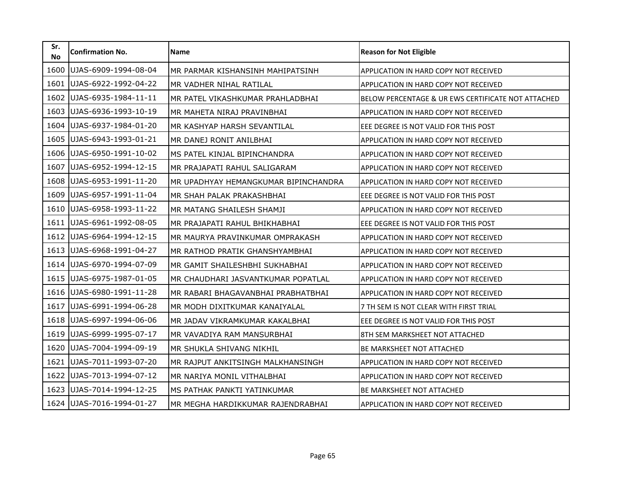| Sr.<br><b>No</b> | <b>Confirmation No.</b> | <b>Name</b>                          | <b>Reason for Not Eligible</b>                     |
|------------------|-------------------------|--------------------------------------|----------------------------------------------------|
| 1600             | UJAS-6909-1994-08-04    | MR PARMAR KISHANSINH MAHIPATSINH     | APPLICATION IN HARD COPY NOT RECEIVED              |
| 1601             | UJAS-6922-1992-04-22    | MR VADHER NIHAL RATILAL              | APPLICATION IN HARD COPY NOT RECEIVED              |
| 1602             | UJAS-6935-1984-11-11    | MR PATEL VIKASHKUMAR PRAHLADBHAI     | BELOW PERCENTAGE & UR EWS CERTIFICATE NOT ATTACHED |
| 1603             | UJAS-6936-1993-10-19    | MR MAHETA NIRAJ PRAVINBHAI           | APPLICATION IN HARD COPY NOT RECEIVED              |
| 1604             | UJAS-6937-1984-01-20    | MR KASHYAP HARSH SEVANTILAL          | EEE DEGREE IS NOT VALID FOR THIS POST              |
| 1605             | UJAS-6943-1993-01-21    | MR DANEJ RONIT ANILBHAI              | APPLICATION IN HARD COPY NOT RECEIVED              |
| 1606             | UJAS-6950-1991-10-02    | MS PATEL KINJAL BIPINCHANDRA         | APPLICATION IN HARD COPY NOT RECEIVED              |
| 1607             | UJAS-6952-1994-12-15    | MR PRAJAPATI RAHUL SALIGARAM         | APPLICATION IN HARD COPY NOT RECEIVED              |
| 1608             | UJAS-6953-1991-11-20    | MR UPADHYAY HEMANGKUMAR BIPINCHANDRA | APPLICATION IN HARD COPY NOT RECEIVED              |
| 1609             | UJAS-6957-1991-11-04    | MR SHAH PALAK PRAKASHBHAI            | EEE DEGREE IS NOT VALID FOR THIS POST              |
| 1610             | UJAS-6958-1993-11-22    | MR MATANG SHAILESH SHAMJI            | APPLICATION IN HARD COPY NOT RECEIVED              |
| 1611             | UJAS-6961-1992-08-05    | MR PRAJAPATI RAHUL BHIKHABHAI        | EEE DEGREE IS NOT VALID FOR THIS POST              |
| 1612             | UJAS-6964-1994-12-15    | MR MAURYA PRAVINKUMAR OMPRAKASH      | APPLICATION IN HARD COPY NOT RECEIVED              |
| 1613             | UJAS-6968-1991-04-27    | MR RATHOD PRATIK GHANSHYAMBHAI       | APPLICATION IN HARD COPY NOT RECEIVED              |
| 1614             | UJAS-6970-1994-07-09    | MR GAMIT SHAILESHBHI SUKHABHAI       | APPLICATION IN HARD COPY NOT RECEIVED              |
| 1615             | UJAS-6975-1987-01-05    | MR CHAUDHARI JASVANTKUMAR POPATLAL   | APPLICATION IN HARD COPY NOT RECEIVED              |
| 1616             | UJAS-6980-1991-11-28    | MR RABARI BHAGAVANBHAI PRABHATBHAI   | APPLICATION IN HARD COPY NOT RECEIVED              |
| 1617             | UJAS-6991-1994-06-28    | MR MODH DIXITKUMAR KANAIYALAL        | 7 TH SEM IS NOT CLEAR WITH FIRST TRIAL             |
| 1618             | UJAS-6997-1994-06-06    | MR JADAV VIKRAMKUMAR KAKALBHAI       | EEE DEGREE IS NOT VALID FOR THIS POST              |
| 1619             | UJAS-6999-1995-07-17    | MR VAVADIYA RAM MANSURBHAI           | 8TH SEM MARKSHEET NOT ATTACHED                     |
| 1620             | UJAS-7004-1994-09-19    | MR SHUKLA SHIVANG NIKHIL             | BE MARKSHEET NOT ATTACHED                          |
| 1621             | UJAS-7011-1993-07-20    | MR RAJPUT ANKITSINGH MALKHANSINGH    | APPLICATION IN HARD COPY NOT RECEIVED              |
| 1622             | UJAS-7013-1994-07-12    | MR NARIYA MONIL VITHALBHAI           | APPLICATION IN HARD COPY NOT RECEIVED              |
| 1623             | UJAS-7014-1994-12-25    | MS PATHAK PANKTI YATINKUMAR          | BE MARKSHEET NOT ATTACHED                          |
| 1624             | UJAS-7016-1994-01-27    | MR MEGHA HARDIKKUMAR RAJENDRABHAI    | APPLICATION IN HARD COPY NOT RECEIVED              |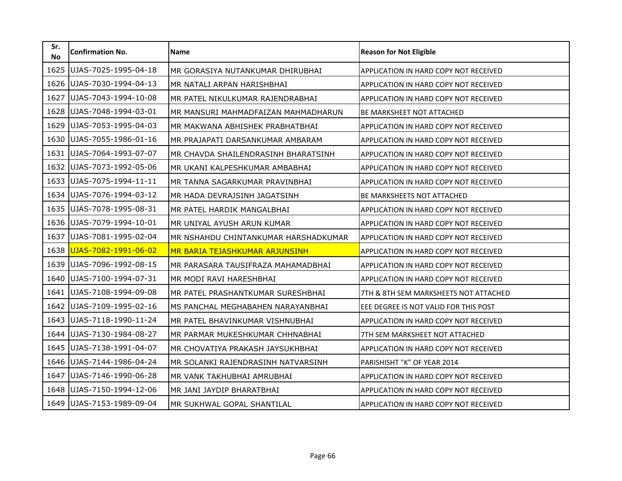| Sr.<br><b>No</b> | <b>Confirmation No.</b> | <b>Name</b>                           | <b>Reason for Not Eligible</b>               |
|------------------|-------------------------|---------------------------------------|----------------------------------------------|
| 1625             | UJAS-7025-1995-04-18    | MR GORASIYA NUTANKUMAR DHIRUBHAI      | APPLICATION IN HARD COPY NOT RECEIVED        |
| 1626             | UJAS-7030-1994-04-13    | MR NATALI ARPAN HARISHBHAI            | APPLICATION IN HARD COPY NOT RECEIVED        |
| 1627             | UJAS-7043-1994-10-08    | MR PATEL NIKULKUMAR RAJENDRABHAI      | APPLICATION IN HARD COPY NOT RECEIVED        |
| 1628             | UJAS-7048-1994-03-01    | IMR MANSURI MAHMADFAIZAN MAHMADHARUN  | <b>BE MARKSHEET NOT ATTACHED</b>             |
| 1629             | UJAS-7053-1995-04-03    | MR MAKWANA ABHISHEK PRABHATBHAI       | <b>APPLICATION IN HARD COPY NOT RECEIVED</b> |
| 1630             | UJAS-7055-1986-01-16    | MR PRAJAPATI DARSANKUMAR AMBARAM      | APPLICATION IN HARD COPY NOT RECEIVED        |
| 1631             | UJAS-7064-1993-07-07    | MR CHAVDA SHAILENDRASINH BHARATSINH   | APPLICATION IN HARD COPY NOT RECEIVED        |
| 1632             | UJAS-7073-1992-05-06    | MR UKANI KALPESHKUMAR AMBABHAI        | APPLICATION IN HARD COPY NOT RECEIVED        |
| 1633             | UJAS-7075-1994-11-11    | MR TANNA SAGARKUMAR PRAVINBHAI        | APPLICATION IN HARD COPY NOT RECEIVED        |
| 1634             | UJAS-7076-1994-03-12    | MR HADA DEVRAJSINH JAGATSINH          | <b>BE MARKSHEETS NOT ATTACHED</b>            |
| 1635             | UJAS-7078-1995-08-31    | MR PATEL HARDIK MANGALBHAI            | APPLICATION IN HARD COPY NOT RECEIVED        |
| 1636             | UJAS-7079-1994-10-01    | MR UNIYAL AYUSH ARUN KUMAR            | APPLICATION IN HARD COPY NOT RECEIVED        |
| 1637             | UJAS-7081-1995-02-04    | MR NSHAHDU CHINTANKUMAR HARSHADKUMAR  | <b>APPLICATION IN HARD COPY NOT RECEIVED</b> |
| 1638             | UJAS-7082-1991-06-02    | <b>MR BARIA TEJASHKUMAR ARJUNSINH</b> | APPLICATION IN HARD COPY NOT RECEIVED        |
| 1639             | UJAS-7096-1992-08-15    | MR PARASARA TAUSIFRAZA MAHAMADBHAI    | APPLICATION IN HARD COPY NOT RECEIVED        |
| 1640             | UJAS-7100-1994-07-31    | MR MODI RAVI HARESHBHAI               | APPLICATION IN HARD COPY NOT RECEIVED        |
| 1641             | UJAS-7108-1994-09-08    | MR PATEL PRASHANTKUMAR SURESHBHAI     | 7TH & 8TH SEM MARKSHEETS NOT ATTACHED        |
| 1642             | UJAS-7109-1995-02-16    | MS PANCHAL MEGHABAHEN NARAYANBHAI     | EEE DEGREE IS NOT VALID FOR THIS POST        |
| 1643             | UJAS-7118-1990-11-24    | MR PATEL BHAVINKUMAR VISHNUBHAI       | APPLICATION IN HARD COPY NOT RECEIVED        |
| 1644             | UJAS-7130-1984-08-27    | MR PARMAR MUKESHKUMAR CHHNABHAI       | 7TH SEM MARKSHEET NOT ATTACHED               |
| 1645             | UJAS-7138-1991-04-07    | MR CHOVATIYA PRAKASH JAYSUKHBHAI      | <b>APPLICATION IN HARD COPY NOT RECEIVED</b> |
| 1646             | UJAS-7144-1986-04-24    | MR SOLANKI RAJENDRASINH NATVARSINH    | PARISHISHT "K" OF YEAR 2014                  |
| 1647             | UJAS-7146-1990-06-28    | IMR VANK TAKHUBHAI AMRUBHAI           | <b>APPLICATION IN HARD COPY NOT RECEIVED</b> |
| 1648             | UJAS-7150-1994-12-06    | MR JANI JAYDIP BHARATBHAI             | APPLICATION IN HARD COPY NOT RECEIVED        |
| 1649             | UJAS-7153-1989-09-04    | MR SUKHWAL GOPAL SHANTILAL            | APPLICATION IN HARD COPY NOT RECEIVED        |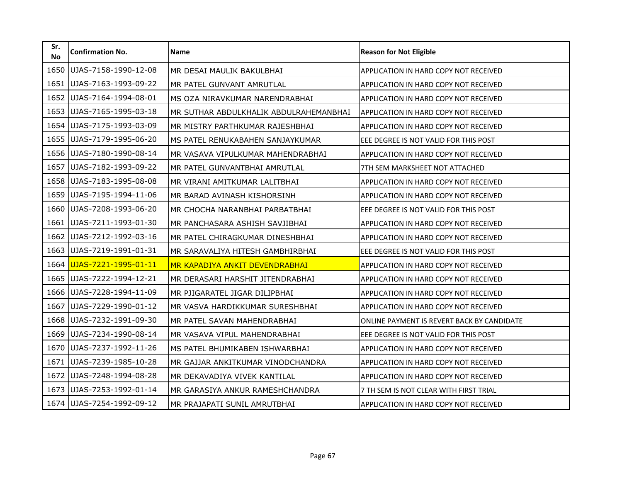| Sr.<br><b>No</b> | <b>Confirmation No.</b> | <b>Name</b>                            | <b>Reason for Not Eligible</b>               |
|------------------|-------------------------|----------------------------------------|----------------------------------------------|
| 1650             | UJAS-7158-1990-12-08    | MR DESAI MAULIK BAKULBHAI              | APPLICATION IN HARD COPY NOT RECEIVED        |
| 1651             | UJAS-7163-1993-09-22    | MR PATEL GUNVANT AMRUTLAL              | APPLICATION IN HARD COPY NOT RECEIVED        |
| 1652             | UJAS-7164-1994-08-01    | MS OZA NIRAVKUMAR NARENDRABHAI         | APPLICATION IN HARD COPY NOT RECEIVED        |
| 1653             | UJAS-7165-1995-03-18    | MR SUTHAR ABDULKHALIK ABDULRAHEMANBHAI | <b>APPLICATION IN HARD COPY NOT RECEIVED</b> |
| 1654             | UJAS-7175-1993-03-09    | MR MISTRY PARTHKUMAR RAJESHBHAI        | APPLICATION IN HARD COPY NOT RECEIVED        |
| 1655             | UJAS-7179-1995-06-20    | MS PATEL RENUKABAHEN SANJAYKUMAR       | EEE DEGREE IS NOT VALID FOR THIS POST        |
| 1656             | UJAS-7180-1990-08-14    | MR VASAVA VIPULKUMAR MAHENDRABHAI      | <b>APPLICATION IN HARD COPY NOT RECEIVED</b> |
| 1657             | UJAS-7182-1993-09-22    | MR PATEL GUNVANTBHAI AMRUTLAL          | 7TH SEM MARKSHEET NOT ATTACHED               |
| 1658             | UJAS-7183-1995-08-08    | MR VIRANI AMITKUMAR LALITBHAI          | APPLICATION IN HARD COPY NOT RECEIVED        |
| 1659             | UJAS-7195-1994-11-06    | MR BARAD AVINASH KISHORSINH            | APPLICATION IN HARD COPY NOT RECEIVED        |
| 1660             | UJAS-7208-1993-06-20    | MR CHOCHA NARANBHAI PARBATBHAI         | EEE DEGREE IS NOT VALID FOR THIS POST        |
| 1661             | UJAS-7211-1993-01-30    | MR PANCHASARA ASHISH SAVJIBHAI         | APPLICATION IN HARD COPY NOT RECEIVED        |
| 1662             | UJAS-7212-1992-03-16    | MR PATEL CHIRAGKUMAR DINESHBHAI        | APPLICATION IN HARD COPY NOT RECEIVED        |
| 1663             | UJAS-7219-1991-01-31    | MR SARAVALIYA HITESH GAMBHIRBHAI       | EEE DEGREE IS NOT VALID FOR THIS POST        |
| 1664             | UJAS-7221-1995-01-11    | MR KAPADIYA ANKIT DEVENDRABHAI         | APPLICATION IN HARD COPY NOT RECEIVED        |
| 1665             | UJAS-7222-1994-12-21    | MR DERASARI HARSHIT JITENDRABHAI       | <b>APPLICATION IN HARD COPY NOT RECEIVED</b> |
| 1666             | UJAS-7228-1994-11-09    | MR PJIGARATEL JIGAR DILIPBHAI          | APPLICATION IN HARD COPY NOT RECEIVED        |
| 1667             | UJAS-7229-1990-01-12    | MR VASVA HARDIKKUMAR SURESHBHAI        | APPLICATION IN HARD COPY NOT RECEIVED        |
| 1668             | UJAS-7232-1991-09-30    | MR PATEL SAVAN MAHENDRABHAI            | ONLINE PAYMENT IS REVERT BACK BY CANDIDATE   |
| 1669             | UJAS-7234-1990-08-14    | MR VASAVA VIPUL MAHENDRABHAI           | EEE DEGREE IS NOT VALID FOR THIS POST        |
| 1670             | UJAS-7237-1992-11-26    | MS PATEL BHUMIKABEN ISHWARBHAI         | <b>APPLICATION IN HARD COPY NOT RECEIVED</b> |
| 1671             | UJAS-7239-1985-10-28    | MR GAJJAR ANKITKUMAR VINODCHANDRA      | APPLICATION IN HARD COPY NOT RECEIVED        |
| 1672             | UJAS-7248-1994-08-28    | MR DEKAVADIYA VIVEK KANTILAL           | <b>APPLICATION IN HARD COPY NOT RECEIVED</b> |
| 1673             | UJAS-7253-1992-01-14    | MR GARASIYA ANKUR RAMESHCHANDRA        | 7 TH SEM IS NOT CLEAR WITH FIRST TRIAL       |
| 1674             | UJAS-7254-1992-09-12    | MR PRAJAPATI SUNIL AMRUTBHAI           | APPLICATION IN HARD COPY NOT RECEIVED        |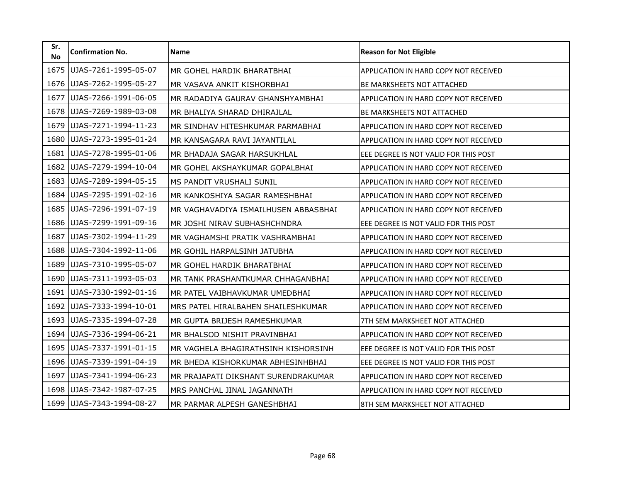| Sr.<br><b>No</b> | <b>Confirmation No.</b> | Name                                 | <b>Reason for Not Eligible</b>        |
|------------------|-------------------------|--------------------------------------|---------------------------------------|
| 1675             | UJAS-7261-1995-05-07    | MR GOHEL HARDIK BHARATBHAI           | APPLICATION IN HARD COPY NOT RECEIVED |
| 1676             | UJAS-7262-1995-05-27    | MR VASAVA ANKIT KISHORBHAI           | <b>BE MARKSHEETS NOT ATTACHED</b>     |
| 1677             | UJAS-7266-1991-06-05    | MR RADADIYA GAURAV GHANSHYAMBHAI     | APPLICATION IN HARD COPY NOT RECEIVED |
| 1678             | UJAS-7269-1989-03-08    | MR BHALIYA SHARAD DHIRAJLAL          | <b>BE MARKSHEETS NOT ATTACHED</b>     |
| 1679             | UJAS-7271-1994-11-23    | MR SINDHAV HITESHKUMAR PARMABHAI     | APPLICATION IN HARD COPY NOT RECEIVED |
| 1680             | UJAS-7273-1995-01-24    | MR KANSAGARA RAVI JAYANTILAL         | APPLICATION IN HARD COPY NOT RECEIVED |
| 1681             | UJAS-7278-1995-01-06    | MR BHADAJA SAGAR HARSUKHLAL          | EEE DEGREE IS NOT VALID FOR THIS POST |
| 1682             | UJAS-7279-1994-10-04    | MR GOHEL AKSHAYKUMAR GOPALBHAI       | APPLICATION IN HARD COPY NOT RECEIVED |
| 1683             | UJAS-7289-1994-05-15    | MS PANDIT VRUSHALI SUNIL             | APPLICATION IN HARD COPY NOT RECEIVED |
| 1684             | UJAS-7295-1991-02-16    | MR KANKOSHIYA SAGAR RAMESHBHAI       | APPLICATION IN HARD COPY NOT RECEIVED |
| 1685             | UJAS-7296-1991-07-19    | MR VAGHAVADIYA ISMAILHUSEN ABBASBHAI | APPLICATION IN HARD COPY NOT RECEIVED |
| 1686             | UJAS-7299-1991-09-16    | MR JOSHI NIRAV SUBHASHCHNDRA         | EEE DEGREE IS NOT VALID FOR THIS POST |
| 1687             | UJAS-7302-1994-11-29    | MR VAGHAMSHI PRATIK VASHRAMBHAI      | APPLICATION IN HARD COPY NOT RECEIVED |
| 1688             | UJAS-7304-1992-11-06    | MR GOHIL HARPALSINH JATUBHA          | APPLICATION IN HARD COPY NOT RECEIVED |
| 1689             | UJAS-7310-1995-05-07    | MR GOHEL HARDIK BHARATBHAI           | APPLICATION IN HARD COPY NOT RECEIVED |
| 1690             | UJAS-7311-1993-05-03    | MR TANK PRASHANTKUMAR CHHAGANBHAI    | APPLICATION IN HARD COPY NOT RECEIVED |
| 1691             | UJAS-7330-1992-01-16    | MR PATEL VAIBHAVKUMAR UMEDBHAI       | APPLICATION IN HARD COPY NOT RECEIVED |
| 1692             | UJAS-7333-1994-10-01    | MRS PATEL HIRALBAHEN SHAILESHKUMAR   | APPLICATION IN HARD COPY NOT RECEIVED |
| 1693             | UJAS-7335-1994-07-28    | MR GUPTA BRIJESH RAMESHKUMAR         | 7TH SEM MARKSHEET NOT ATTACHED        |
| 1694             | UJAS-7336-1994-06-21    | MR BHALSOD NISHIT PRAVINBHAI         | APPLICATION IN HARD COPY NOT RECEIVED |
| 1695             | UJAS-7337-1991-01-15    | MR VAGHELA BHAGIRATHSINH KISHORSINH  | EEE DEGREE IS NOT VALID FOR THIS POST |
| 1696             | UJAS-7339-1991-04-19    | MR BHEDA KISHORKUMAR ABHESINHBHAI    | EEE DEGREE IS NOT VALID FOR THIS POST |
| 1697             | UJAS-7341-1994-06-23    | MR PRAJAPATI DIKSHANT SURENDRAKUMAR  | APPLICATION IN HARD COPY NOT RECEIVED |
| 1698             | UJAS-7342-1987-07-25    | MRS PANCHAL JINAL JAGANNATH          | APPLICATION IN HARD COPY NOT RECEIVED |
| 1699             | UJAS-7343-1994-08-27    | MR PARMAR ALPESH GANESHBHAI          | 8TH SEM MARKSHEET NOT ATTACHED        |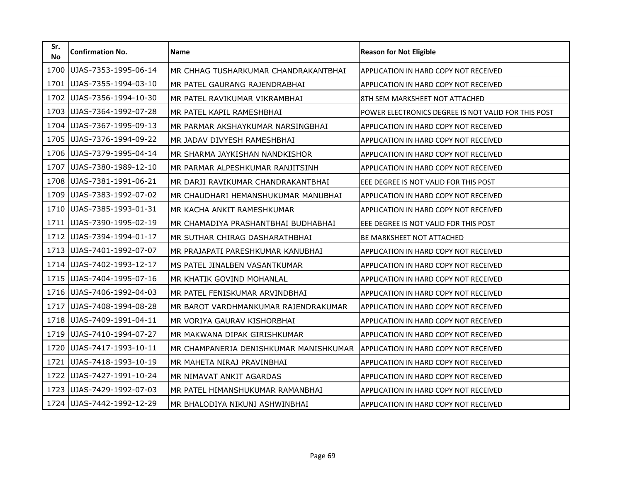| Sr.<br><b>No</b> | <b>Confirmation No.</b> | <b>Name</b>                            | <b>Reason for Not Eligible</b>                      |
|------------------|-------------------------|----------------------------------------|-----------------------------------------------------|
| 1700             | UJAS-7353-1995-06-14    | MR CHHAG TUSHARKUMAR CHANDRAKANTBHAI   | APPLICATION IN HARD COPY NOT RECEIVED               |
| 1701             | UJAS-7355-1994-03-10    | MR PATEL GAURANG RAJENDRABHAI          | APPLICATION IN HARD COPY NOT RECEIVED               |
| 1702             | UJAS-7356-1994-10-30    | MR PATEL RAVIKUMAR VIKRAMBHAI          | 8TH SEM MARKSHEET NOT ATTACHED                      |
| 1703             | UJAS-7364-1992-07-28    | MR PATEL KAPIL RAMESHBHAI              | POWER ELECTRONICS DEGREE IS NOT VALID FOR THIS POST |
| 1704             | UJAS-7367-1995-09-13    | MR PARMAR AKSHAYKUMAR NARSINGBHAI      | APPLICATION IN HARD COPY NOT RECEIVED               |
| 1705             | UJAS-7376-1994-09-22    | MR JADAV DIVYESH RAMESHBHAI            | APPLICATION IN HARD COPY NOT RECEIVED               |
| 1706             | UJAS-7379-1995-04-14    | MR SHARMA JAYKISHAN NANDKISHOR         | APPLICATION IN HARD COPY NOT RECEIVED               |
| 1707             | UJAS-7380-1989-12-10    | MR PARMAR ALPESHKUMAR RANJITSINH       | APPLICATION IN HARD COPY NOT RECEIVED               |
| 1708             | UJAS-7381-1991-06-21    | MR DARJI RAVIKUMAR CHANDRAKANTBHAI     | EEE DEGREE IS NOT VALID FOR THIS POST               |
| 1709             | UJAS-7383-1992-07-02    | MR CHAUDHARI HEMANSHUKUMAR MANUBHAI    | APPLICATION IN HARD COPY NOT RECEIVED               |
| 1710             | UJAS-7385-1993-01-31    | MR KACHA ANKIT RAMESHKUMAR             | APPLICATION IN HARD COPY NOT RECEIVED               |
| 1711             | UJAS-7390-1995-02-19    | MR CHAMADIYA PRASHANTBHAI BUDHABHAI    | EEE DEGREE IS NOT VALID FOR THIS POST               |
| 1712             | UJAS-7394-1994-01-17    | MR SUTHAR CHIRAG DASHARATHBHAI         | <b>BE MARKSHEET NOT ATTACHED</b>                    |
| 1713             | UJAS-7401-1992-07-07    | MR PRAJAPATI PARESHKUMAR KANUBHAI      | APPLICATION IN HARD COPY NOT RECEIVED               |
| 1714             | UJAS-7402-1993-12-17    | MS PATEL JINALBEN VASANTKUMAR          | APPLICATION IN HARD COPY NOT RECEIVED               |
| 1715             | UJAS-7404-1995-07-16    | MR KHATIK GOVIND MOHANLAL              | APPLICATION IN HARD COPY NOT RECEIVED               |
| 1716             | UJAS-7406-1992-04-03    | MR PATEL FENISKUMAR ARVINDBHAI         | APPLICATION IN HARD COPY NOT RECEIVED               |
| 1717             | UJAS-7408-1994-08-28    | MR BAROT VARDHMANKUMAR RAJENDRAKUMAR   | APPLICATION IN HARD COPY NOT RECEIVED               |
| 1718             | UJAS-7409-1991-04-11    | MR VORIYA GAURAV KISHORBHAI            | APPLICATION IN HARD COPY NOT RECEIVED               |
| 1719             | UJAS-7410-1994-07-27    | MR MAKWANA DIPAK GIRISHKUMAR           | APPLICATION IN HARD COPY NOT RECEIVED               |
| 1720             | UJAS-7417-1993-10-11    | MR CHAMPANERIA DENISHKUMAR MANISHKUMAR | APPLICATION IN HARD COPY NOT RECEIVED               |
| 1721             | UJAS-7418-1993-10-19    | MR MAHETA NIRAJ PRAVINBHAI             | APPLICATION IN HARD COPY NOT RECEIVED               |
| 1722             | UJAS-7427-1991-10-24    | MR NIMAVAT ANKIT AGARDAS               | APPLICATION IN HARD COPY NOT RECEIVED               |
| 1723             | UJAS-7429-1992-07-03    | MR PATEL HIMANSHUKUMAR RAMANBHAI       | APPLICATION IN HARD COPY NOT RECEIVED               |
| 1724             | UJAS-7442-1992-12-29    | MR BHALODIYA NIKUNJ ASHWINBHAI         | APPLICATION IN HARD COPY NOT RECEIVED               |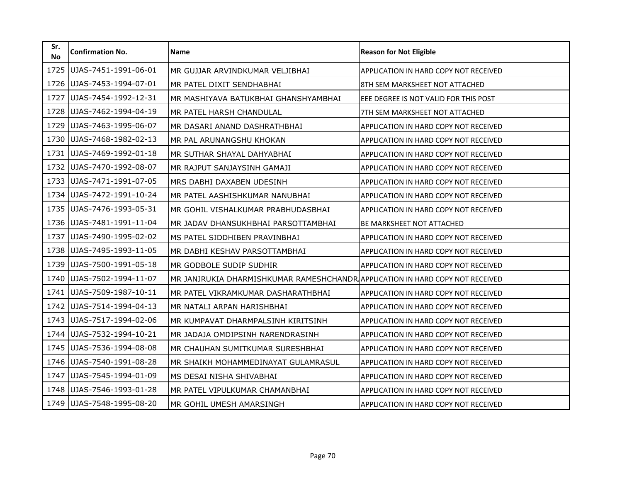| Sr.<br><b>No</b> | <b>Confirmation No.</b> | <b>Name</b>                                                                   | <b>Reason for Not Eligible</b>               |
|------------------|-------------------------|-------------------------------------------------------------------------------|----------------------------------------------|
| 1725             | UJAS-7451-1991-06-01    | MR GUJJAR ARVINDKUMAR VELJIBHAI                                               | APPLICATION IN HARD COPY NOT RECEIVED        |
| 1726             | UJAS-7453-1994-07-01    | MR PATEL DIXIT SENDHABHAI                                                     | 8TH SEM MARKSHEET NOT ATTACHED               |
| 1727             | UJAS-7454-1992-12-31    | MR MASHIYAVA BATUKBHAI GHANSHYAMBHAI                                          | EEE DEGREE IS NOT VALID FOR THIS POST        |
| 1728             | UJAS-7462-1994-04-19    | MR PATEL HARSH CHANDULAL                                                      | 7TH SEM MARKSHEET NOT ATTACHED               |
| 1729             | UJAS-7463-1995-06-07    | MR DASARI ANAND DASHRATHBHAI                                                  | APPLICATION IN HARD COPY NOT RECEIVED        |
| 1730             | UJAS-7468-1982-02-13    | MR PAL ARUNANGSHU KHOKAN                                                      | APPLICATION IN HARD COPY NOT RECEIVED        |
| 1731             | UJAS-7469-1992-01-18    | MR SUTHAR SHAYAL DAHYABHAI                                                    | APPLICATION IN HARD COPY NOT RECEIVED        |
| 1732             | UJAS-7470-1992-08-07    | MR RAJPUT SANJAYSINH GAMAJI                                                   | APPLICATION IN HARD COPY NOT RECEIVED        |
| 1733             | UJAS-7471-1991-07-05    | MRS DABHI DAXABEN UDESINH                                                     | APPLICATION IN HARD COPY NOT RECEIVED        |
| 1734             | UJAS-7472-1991-10-24    | MR PATEL AASHISHKUMAR NANUBHAI                                                | APPLICATION IN HARD COPY NOT RECEIVED        |
| 1735             | UJAS-7476-1993-05-31    | MR GOHIL VISHALKUMAR PRABHUDASBHAI                                            | APPLICATION IN HARD COPY NOT RECEIVED        |
| 1736             | UJAS-7481-1991-11-04    | MR JADAV DHANSUKHBHAI PARSOTTAMBHAI                                           | <b>BE MARKSHEET NOT ATTACHED</b>             |
| 1737             | UJAS-7490-1995-02-02    | MS PATEL SIDDHIBEN PRAVINBHAI                                                 | APPLICATION IN HARD COPY NOT RECEIVED        |
| 1738             | UJAS-7495-1993-11-05    | MR DABHI KESHAV PARSOTTAMBHAI                                                 | APPLICATION IN HARD COPY NOT RECEIVED        |
| 1739             | UJAS-7500-1991-05-18    | MR GODBOLE SUDIP SUDHIR                                                       | APPLICATION IN HARD COPY NOT RECEIVED        |
| 1740             | UJAS-7502-1994-11-07    | MR JANJRUKIA DHARMISHKUMAR RAMESHCHANDR APPLICATION IN HARD COPY NOT RECEIVED |                                              |
| 1741             | UJAS-7509-1987-10-11    | MR PATEL VIKRAMKUMAR DASHARATHBHAI                                            | APPLICATION IN HARD COPY NOT RECEIVED        |
| 1742             | UJAS-7514-1994-04-13    | MR NATALI ARPAN HARISHBHAI                                                    | <b>APPLICATION IN HARD COPY NOT RECEIVED</b> |
| 1743             | UJAS-7517-1994-02-06    | MR KUMPAVAT DHARMPALSINH KIRITSINH                                            | APPLICATION IN HARD COPY NOT RECEIVED        |
| 1744             | UJAS-7532-1994-10-21    | MR JADAJA OMDIPSINH NARENDRASINH                                              | APPLICATION IN HARD COPY NOT RECEIVED        |
| 1745             | UJAS-7536-1994-08-08    | MR CHAUHAN SUMITKUMAR SURESHBHAI                                              | APPLICATION IN HARD COPY NOT RECEIVED        |
| 1746             | UJAS-7540-1991-08-28    | MR SHAIKH MOHAMMEDINAYAT GULAMRASUL                                           | APPLICATION IN HARD COPY NOT RECEIVED        |
| 1747             | UJAS-7545-1994-01-09    | MS DESAI NISHA SHIVABHAI                                                      | <b>APPLICATION IN HARD COPY NOT RECEIVED</b> |
| 1748             | UJAS-7546-1993-01-28    | MR PATEL VIPULKUMAR CHAMANBHAI                                                | APPLICATION IN HARD COPY NOT RECEIVED        |
| 1749             | UJAS-7548-1995-08-20    | MR GOHIL UMESH AMARSINGH                                                      | APPLICATION IN HARD COPY NOT RECEIVED        |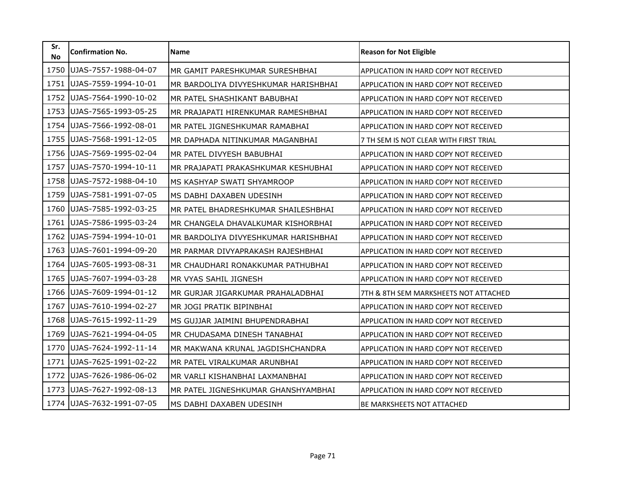| Sr.<br><b>No</b> | <b>Confirmation No.</b> | Name                                 | <b>Reason for Not Eligible</b>         |
|------------------|-------------------------|--------------------------------------|----------------------------------------|
| 1750             | UJAS-7557-1988-04-07    | MR GAMIT PARESHKUMAR SURESHBHAI      | APPLICATION IN HARD COPY NOT RECEIVED  |
| 1751             | UJAS-7559-1994-10-01    | MR BARDOLIYA DIVYESHKUMAR HARISHBHAI | APPLICATION IN HARD COPY NOT RECEIVED  |
| 1752             | UJAS-7564-1990-10-02    | MR PATEL SHASHIKANT BABUBHAI         | APPLICATION IN HARD COPY NOT RECEIVED  |
| 1753             | UJAS-7565-1993-05-25    | MR PRAJAPATI HIRENKUMAR RAMESHBHAI   | APPLICATION IN HARD COPY NOT RECEIVED  |
| 1754             | UJAS-7566-1992-08-01    | MR PATEL JIGNESHKUMAR RAMABHAI       | APPLICATION IN HARD COPY NOT RECEIVED  |
| 1755             | UJAS-7568-1991-12-05    | MR DAPHADA NITINKUMAR MAGANBHAI      | 7 TH SEM IS NOT CLEAR WITH FIRST TRIAL |
| 1756             | UJAS-7569-1995-02-04    | MR PATEL DIVYESH BABUBHAI            | APPLICATION IN HARD COPY NOT RECEIVED  |
| 1757             | UJAS-7570-1994-10-11    | MR PRAJAPATI PRAKASHKUMAR KESHUBHAI  | APPLICATION IN HARD COPY NOT RECEIVED  |
| 1758             | UJAS-7572-1988-04-10    | MS KASHYAP SWATI SHYAMROOP           | APPLICATION IN HARD COPY NOT RECEIVED  |
| 1759             | UJAS-7581-1991-07-05    | MS DABHI DAXABEN UDESINH             | APPLICATION IN HARD COPY NOT RECEIVED  |
| 1760             | UJAS-7585-1992-03-25    | MR PATEL BHADRESHKUMAR SHAILESHBHAI  | APPLICATION IN HARD COPY NOT RECEIVED  |
| 1761             | UJAS-7586-1995-03-24    | MR CHANGELA DHAVALKUMAR KISHORBHAI   | APPLICATION IN HARD COPY NOT RECEIVED  |
| 1762             | UJAS-7594-1994-10-01    | MR BARDOLIYA DIVYESHKUMAR HARISHBHAI | APPLICATION IN HARD COPY NOT RECEIVED  |
| 1763             | UJAS-7601-1994-09-20    | MR PARMAR DIVYAPRAKASH RAJESHBHAI    | APPLICATION IN HARD COPY NOT RECEIVED  |
| 1764             | UJAS-7605-1993-08-31    | MR CHAUDHARI RONAKKUMAR PATHUBHAI    | APPLICATION IN HARD COPY NOT RECEIVED  |
| 1765             | UJAS-7607-1994-03-28    | MR VYAS SAHIL JIGNESH                | APPLICATION IN HARD COPY NOT RECEIVED  |
| 1766             | UJAS-7609-1994-01-12    | MR GURJAR JIGARKUMAR PRAHALADBHAI    | 7TH & 8TH SEM MARKSHEETS NOT ATTACHED  |
| 1767             | UJAS-7610-1994-02-27    | MR JOGI PRATIK BIPINBHAI             | APPLICATION IN HARD COPY NOT RECEIVED  |
| 1768             | UJAS-7615-1992-11-29    | MS GUJJAR JAIMINI BHUPENDRABHAI      | APPLICATION IN HARD COPY NOT RECEIVED  |
| 1769             | UJAS-7621-1994-04-05    | MR CHUDASAMA DINESH TANABHAI         | APPLICATION IN HARD COPY NOT RECEIVED  |
| 1770             | UJAS-7624-1992-11-14    | MR MAKWANA KRUNAL JAGDISHCHANDRA     | APPLICATION IN HARD COPY NOT RECEIVED  |
| 1771             | UJAS-7625-1991-02-22    | MR PATEL VIRALKUMAR ARUNBHAI         | APPLICATION IN HARD COPY NOT RECEIVED  |
| 1772             | UJAS-7626-1986-06-02    | MR VARLI KISHANBHAI LAXMANBHAI       | APPLICATION IN HARD COPY NOT RECEIVED  |
| 1773             | UJAS-7627-1992-08-13    | MR PATEL JIGNESHKUMAR GHANSHYAMBHAI  | APPLICATION IN HARD COPY NOT RECEIVED  |
| 1774             | UJAS-7632-1991-07-05    | MS DABHI DAXABEN UDESINH             | BE MARKSHEETS NOT ATTACHED             |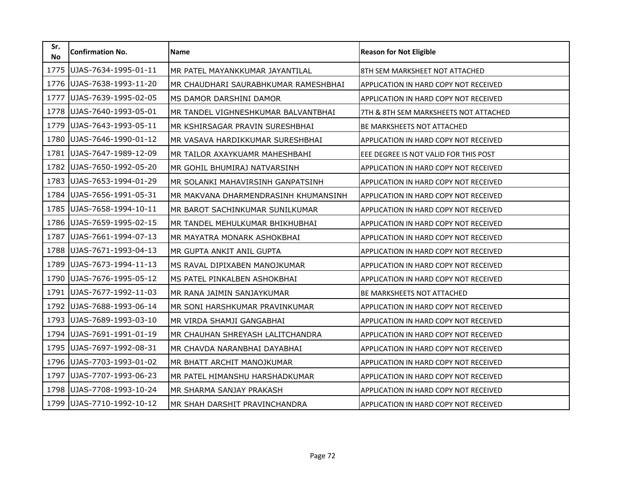| Sr.<br><b>No</b> | <b>Confirmation No.</b> | <b>Name</b>                          | <b>Reason for Not Eligible</b>               |
|------------------|-------------------------|--------------------------------------|----------------------------------------------|
| 1775             | UJAS-7634-1995-01-11    | MR PATEL MAYANKKUMAR JAYANTILAL      | 8TH SEM MARKSHEET NOT ATTACHED               |
| 1776             | UJAS-7638-1993-11-20    | MR CHAUDHARI SAURABHKUMAR RAMESHBHAI | APPLICATION IN HARD COPY NOT RECEIVED        |
| 1777             | UJAS-7639-1995-02-05    | MS DAMOR DARSHINI DAMOR              | APPLICATION IN HARD COPY NOT RECEIVED        |
| 1778             | UJAS-7640-1993-05-01    | MR TANDEL VIGHNESHKUMAR BALVANTBHAI  | 7TH & 8TH SEM MARKSHEETS NOT ATTACHED        |
| 1779             | UJAS-7643-1993-05-11    | MR KSHIRSAGAR PRAVIN SURESHBHAI      | BE MARKSHEETS NOT ATTACHED                   |
| 1780             | UJAS-7646-1990-01-12    | MR VASAVA HARDIKKUMAR SURESHBHAI     | APPLICATION IN HARD COPY NOT RECEIVED        |
| 1781             | UJAS-7647-1989-12-09    | MR TAILOR AXAYKUAMR MAHESHBAHI       | EEE DEGREE IS NOT VALID FOR THIS POST        |
| 1782             | UJAS-7650-1992-05-20    | MR GOHIL BHUMIRAJ NATVARSINH         | APPLICATION IN HARD COPY NOT RECEIVED        |
| 1783             | UJAS-7653-1994-01-29    | MR SOLANKI MAHAVIRSINH GANPATSINH    | <b>APPLICATION IN HARD COPY NOT RECEIVED</b> |
| 1784             | UJAS-7656-1991-05-31    | MR MAKVANA DHARMENDRASINH KHUMANSINH | APPLICATION IN HARD COPY NOT RECEIVED        |
| 1785             | UJAS-7658-1994-10-11    | MR BAROT SACHINKUMAR SUNILKUMAR      | APPLICATION IN HARD COPY NOT RECEIVED        |
| 1786             | UJAS-7659-1995-02-15    | MR TANDEL MEHULKUMAR BHIKHUBHAI      | APPLICATION IN HARD COPY NOT RECEIVED        |
| 1787             | UJAS-7661-1994-07-13    | MR MAYATRA MONARK ASHOKBHAI          | APPLICATION IN HARD COPY NOT RECEIVED        |
| 1788             | UJAS-7671-1993-04-13    | MR GUPTA ANKIT ANIL GUPTA            | APPLICATION IN HARD COPY NOT RECEIVED        |
| 1789             | UJAS-7673-1994-11-13    | MS RAVAL DIPIXABEN MANOJKUMAR        | APPLICATION IN HARD COPY NOT RECEIVED        |
| 1790             | UJAS-7676-1995-05-12    | MS PATEL PINKALBEN ASHOKBHAI         | APPLICATION IN HARD COPY NOT RECEIVED        |
| 1791             | UJAS-7677-1992-11-03    | MR RANA JAIMIN SANJAYKUMAR           | <b>BE MARKSHEETS NOT ATTACHED</b>            |
| 1792             | UJAS-7688-1993-06-14    | MR SONI HARSHKUMAR PRAVINKUMAR       | APPLICATION IN HARD COPY NOT RECEIVED        |
| 1793             | UJAS-7689-1993-03-10    | MR VIRDA SHAMJI GANGABHAI            | APPLICATION IN HARD COPY NOT RECEIVED        |
| 1794             | UJAS-7691-1991-01-19    | MR CHAUHAN SHREYASH LALITCHANDRA     | APPLICATION IN HARD COPY NOT RECEIVED        |
| 1795             | UJAS-7697-1992-08-31    | MR CHAVDA NARANBHAI DAYABHAI         | APPLICATION IN HARD COPY NOT RECEIVED        |
| 1796             | UJAS-7703-1993-01-02    | MR BHATT ARCHIT MANOJKUMAR           | APPLICATION IN HARD COPY NOT RECEIVED        |
| 1797             | UJAS-7707-1993-06-23    | MR PATEL HIMANSHU HARSHADKUMAR       | <b>APPLICATION IN HARD COPY NOT RECEIVED</b> |
| 1798             | UJAS-7708-1993-10-24    | MR SHARMA SANJAY PRAKASH             | APPLICATION IN HARD COPY NOT RECEIVED        |
| 1799             | UJAS-7710-1992-10-12    | MR SHAH DARSHIT PRAVINCHANDRA        | APPLICATION IN HARD COPY NOT RECEIVED        |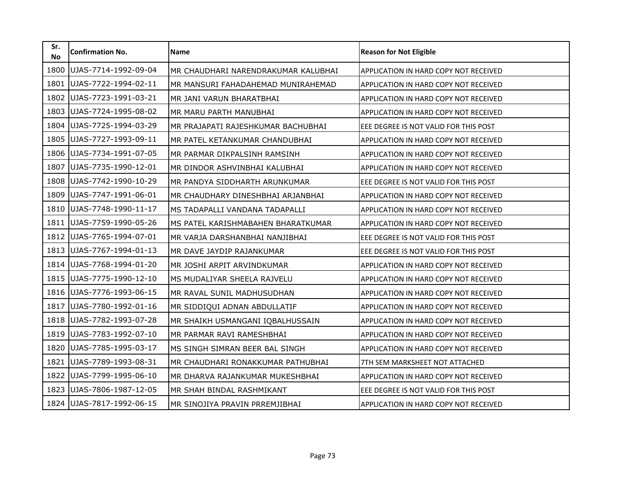| Sr.<br><b>No</b> | <b>Confirmation No.</b> | <b>Name</b>                         | <b>Reason for Not Eligible</b>               |
|------------------|-------------------------|-------------------------------------|----------------------------------------------|
| 1800             | UJAS-7714-1992-09-04    | MR CHAUDHARI NARENDRAKUMAR KALUBHAI | APPLICATION IN HARD COPY NOT RECEIVED        |
| 1801             | UJAS-7722-1994-02-11    | MR MANSURI FAHADAHEMAD MUNIRAHEMAD  | <b>APPLICATION IN HARD COPY NOT RECEIVED</b> |
| 1802             | UJAS-7723-1991-03-21    | MR JANI VARUN BHARATBHAI            | APPLICATION IN HARD COPY NOT RECEIVED        |
| 1803             | UJAS-7724-1995-08-02    | MR MARU PARTH MANUBHAI              | APPLICATION IN HARD COPY NOT RECEIVED        |
| 1804             | UJAS-7725-1994-03-29    | MR PRAJAPATI RAJESHKUMAR BACHUBHAI  | EEE DEGREE IS NOT VALID FOR THIS POST        |
| 1805             | UJAS-7727-1993-09-11    | MR PATEL KETANKUMAR CHANDUBHAI      | APPLICATION IN HARD COPY NOT RECEIVED        |
| 1806             | UJAS-7734-1991-07-05    | MR PARMAR DIKPALSINH RAMSINH        | <b>APPLICATION IN HARD COPY NOT RECEIVED</b> |
| 1807             | UJAS-7735-1990-12-01    | MR DINDOR ASHVINBHAI KALUBHAI       | APPLICATION IN HARD COPY NOT RECEIVED        |
| 1808             | UJAS-7742-1990-10-29    | MR PANDYA SIDDHARTH ARUNKUMAR       | EEE DEGREE IS NOT VALID FOR THIS POST        |
| 1809             | UJAS-7747-1991-06-01    | MR CHAUDHARY DINESHBHAI ARJANBHAI   | <b>APPLICATION IN HARD COPY NOT RECEIVED</b> |
| 1810             | UJAS-7748-1990-11-17    | MS TADAPALLI VANDANA TADAPALLI      | APPLICATION IN HARD COPY NOT RECEIVED        |
| 1811             | UJAS-7759-1990-05-26    | MS PATEL KARISHMABAHEN BHARATKUMAR  | APPLICATION IN HARD COPY NOT RECEIVED        |
| 1812             | UJAS-7765-1994-07-01    | MR VARJA DARSHANBHAI NANJIBHAI      | EEE DEGREE IS NOT VALID FOR THIS POST        |
| 1813             | UJAS-7767-1994-01-13    | MR DAVE JAYDIP RAJANKUMAR           | EEE DEGREE IS NOT VALID FOR THIS POST        |
| 1814             | UJAS-7768-1994-01-20    | MR JOSHI ARPIT ARVINDKUMAR          | APPLICATION IN HARD COPY NOT RECEIVED        |
| 1815             | UJAS-7775-1990-12-10    | MS MUDALIYAR SHEELA RAJVELU         | <b>APPLICATION IN HARD COPY NOT RECEIVED</b> |
| 1816             | UJAS-7776-1993-06-15    | MR RAVAL SUNIL MADHUSUDHAN          | APPLICATION IN HARD COPY NOT RECEIVED        |
| 1817             | UJAS-7780-1992-01-16    | MR SIDDIQUI ADNAN ABDULLATIF        | APPLICATION IN HARD COPY NOT RECEIVED        |
| 1818             | UJAS-7782-1993-07-28    | MR SHAIKH USMANGANI IQBALHUSSAIN    | APPLICATION IN HARD COPY NOT RECEIVED        |
| 1819             | UJAS-7783-1992-07-10    | MR PARMAR RAVI RAMESHBHAI           | APPLICATION IN HARD COPY NOT RECEIVED        |
| 1820             | UJAS-7785-1995-03-17    | MS SINGH SIMRAN BEER BAL SINGH      | APPLICATION IN HARD COPY NOT RECEIVED        |
| 1821             | UJAS-7789-1993-08-31    | MR CHAUDHARI RONAKKUMAR PATHUBHAI   | 7TH SEM MARKSHEET NOT ATTACHED               |
| 1822             | UJAS-7799-1995-06-10    | MR DHARVA RAJANKUMAR MUKESHBHAI     | APPLICATION IN HARD COPY NOT RECEIVED        |
| 1823             | UJAS-7806-1987-12-05    | MR SHAH BINDAL RASHMIKANT           | EEE DEGREE IS NOT VALID FOR THIS POST        |
| 1824             | UJAS-7817-1992-06-15    | MR SINOJIYA PRAVIN PRREMJIBHAI      | APPLICATION IN HARD COPY NOT RECEIVED        |